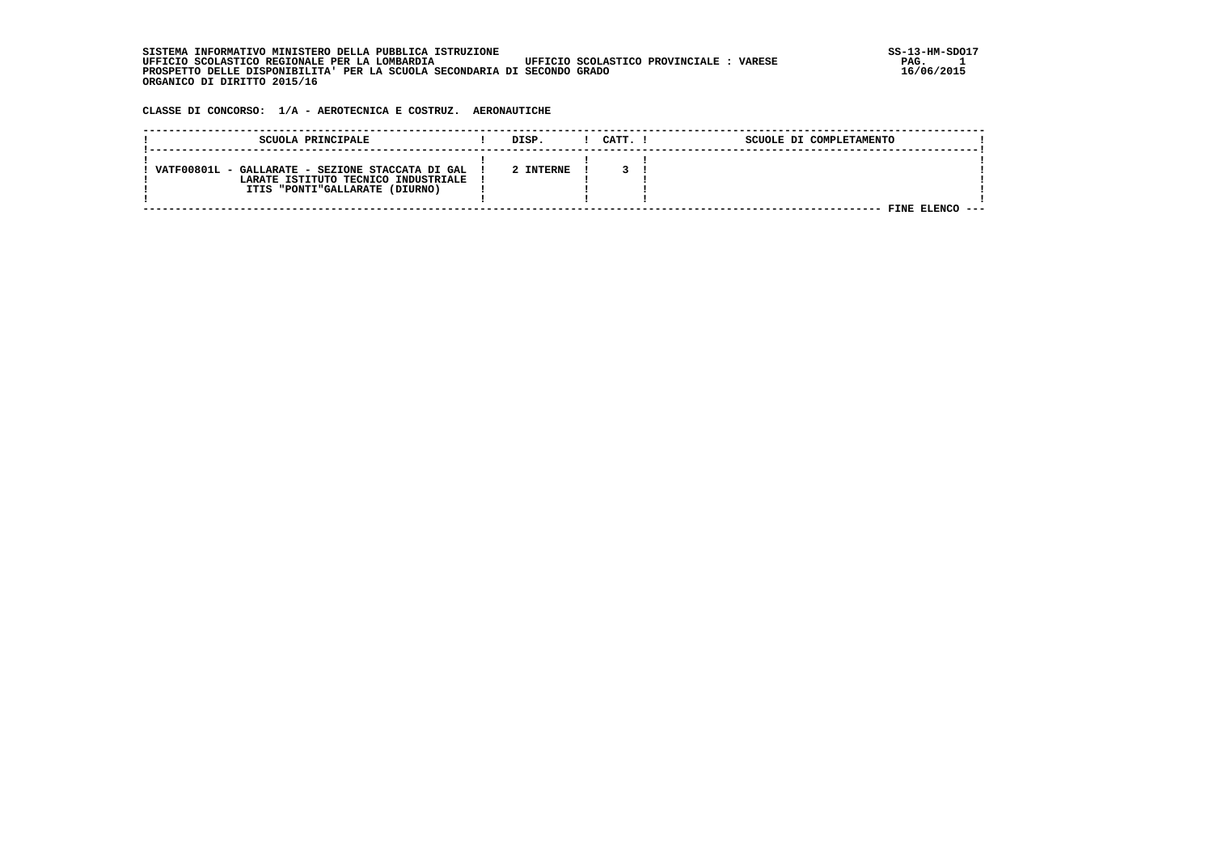**SISTEMA INFORMATIVO MINISTERO DELLA PUBBLICA ISTRUZIONE SS-13-HM-SDO17 UFFICIO SCOLASTICO REGIONALE PER LA LOMBARDIA UFFICIO SCOLASTICO PROVINCIALE : VARESE PAG. 1 PROSPETTO DELLE DISPONIBILITA' PER LA SCUOLA SECONDARIA DI SECONDO GRADO 16/06/2015 ORGANICO DI DIRITTO 2015/16**

 $PAG.$  1<br>16/06/2015

 **CLASSE DI CONCORSO: 1/A - AEROTECNICA E COSTRUZ. AERONAUTICHE**

| SCUOLA PRINCIPALE                                | DISP.     | CATT. I | SCUOLE DI COMPLETAMENTO |  |
|--------------------------------------------------|-----------|---------|-------------------------|--|
|                                                  |           |         |                         |  |
| VATF00801L - GALLARATE - SEZIONE STACCATA DI GAL | 2 INTERNE |         |                         |  |
| LARATE ISTITUTO TECNICO INDUSTRIALE              |           |         |                         |  |
| ITIS "PONTI"GALLARATE (DIURNO)                   |           |         |                         |  |
|                                                  |           |         |                         |  |
|                                                  |           |         | FINE                    |  |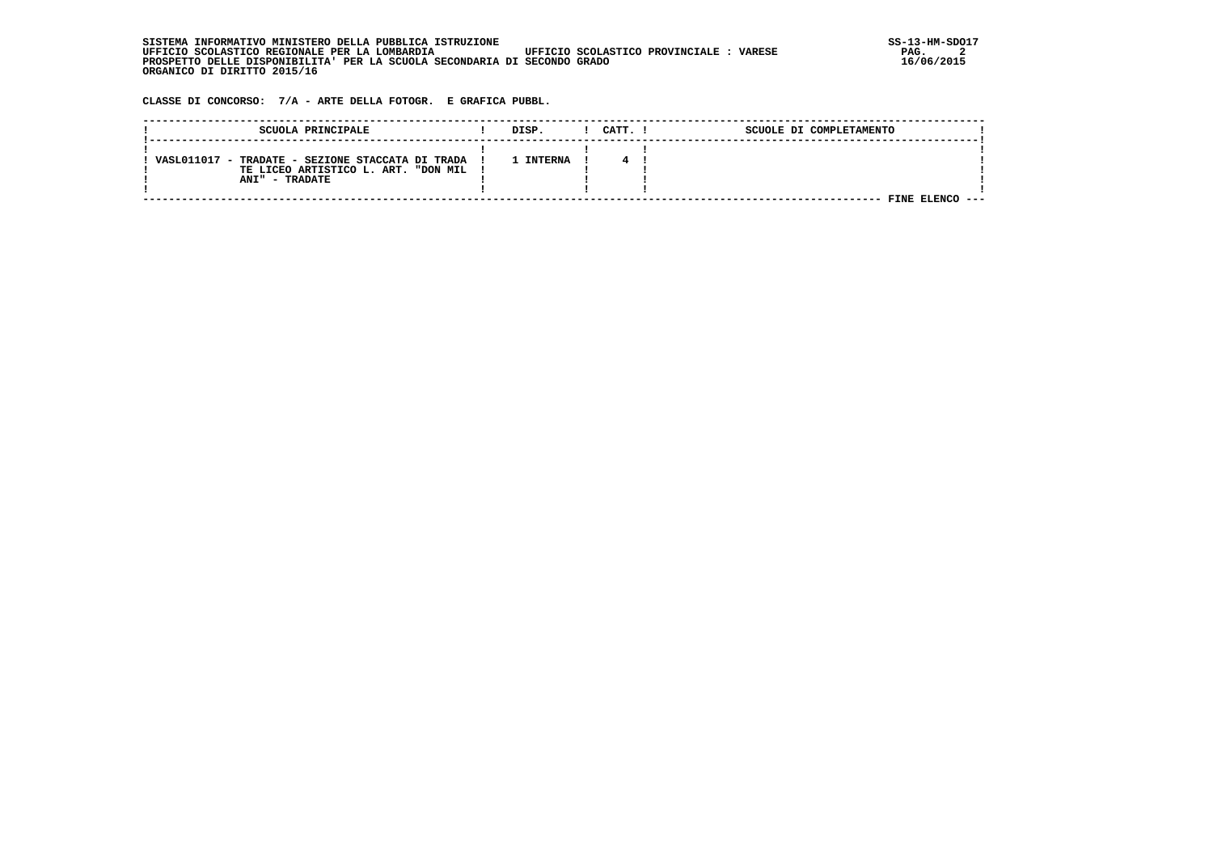| . INFORMATIVO MINISTERO DELLA PUBBLICA ISTRUZIONE<br>STSTEMA                                      | SS-13-HM-SDC |
|---------------------------------------------------------------------------------------------------|--------------|
| UFFICIO SCOLASTICO REGIONALE PER LA LOMBARDIA<br>UFFICIO SCOLASTICO PROVINCIALE:<br><b>VARESE</b> | PAG.         |
| PROSPETTO DELLE DISPONIBILITA' PER LA SCUOLA SECONDARIA DI SECONDO GRADO                          | 16/06/2015   |
| ORGANICO DI DIRITTO 2015/16                                                                       |              |

 **CLASSE DI CONCORSO: 7/A - ARTE DELLA FOTOGR. E GRAFICA PUBBL.**

| SCUOLA PRINCIPALE                                                                                                | DISP.     | CATT. ! | SCUOLE DI COMPLETAMENTO |  |
|------------------------------------------------------------------------------------------------------------------|-----------|---------|-------------------------|--|
| VASL011017 - TRADATE - SEZIONE STACCATA DI TRADA<br>TE LICEO ARTISTICO L. ART. "DON MIL<br><b>ANI" - TRADATE</b> | 1 INTERNA |         | FINE ELENCO ---         |  |
|                                                                                                                  |           |         |                         |  |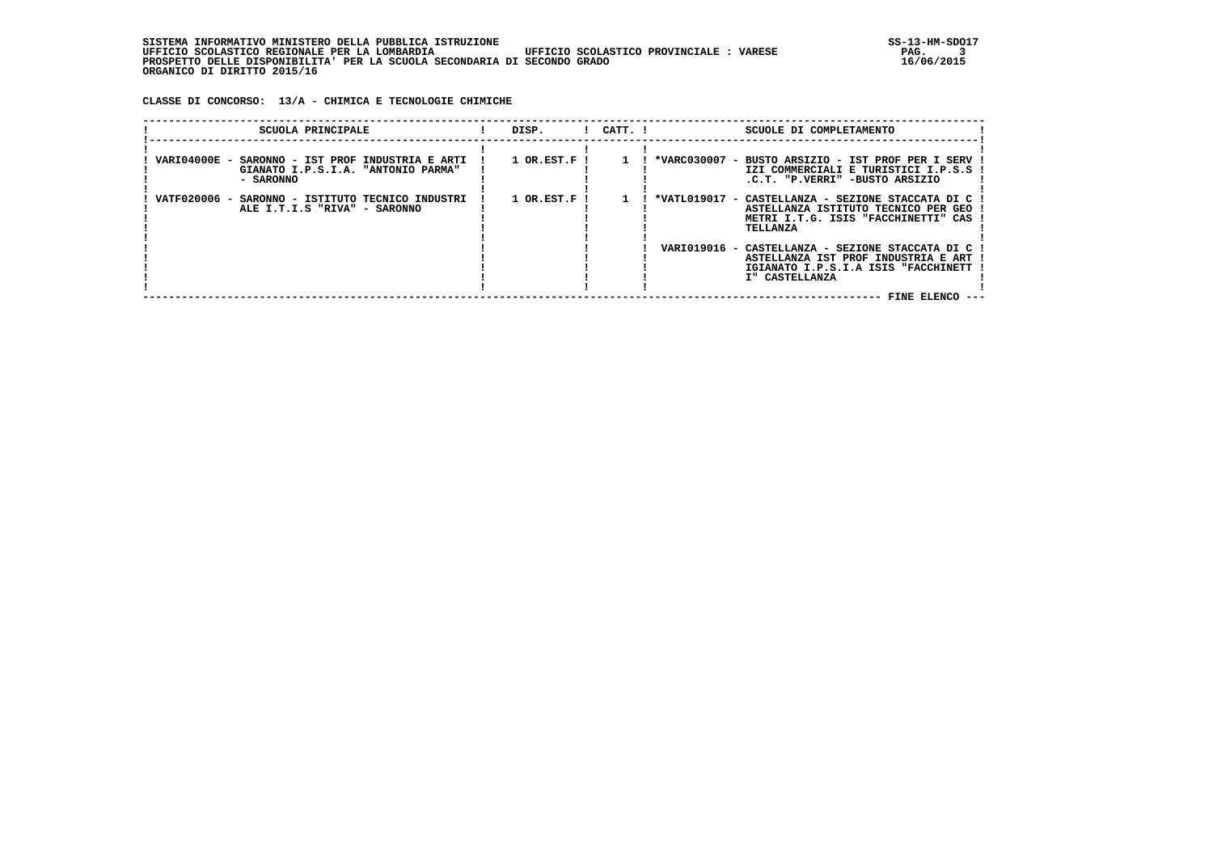**CLASSE DI CONCORSO: 13/A - CHIMICA E TECNOLOGIE CHIMICHE**

| $1$ OR. EST. F $\;$ I<br>*VARC030007 - BUSTO ARSIZIO - IST PROF PER I SERV<br>VARI04000E - SARONNO - IST PROF INDUSTRIA E ARTI<br>GIANATO I.P.S.I.A. "ANTONIO PARMA"<br>- SARONNO<br>.C.T. "P.VERRI" -BUSTO ARSIZIO<br>VATF020006 -<br>$1$ OR.EST.F $\overline{1}$<br>*VATL019017 - CASTELLANZA - SEZIONE STACCATA DI C<br>SARONNO - ISTITUTO TECNICO INDUSTRI<br>ALE I.T.I.S "RIVA" - SARONNO<br>TELLANZA | SCUOLA PRINCIPALE | DISP. | $!$ CATT. $!$ | SCUOLE DI COMPLETAMENTO                                                                                           |  |
|------------------------------------------------------------------------------------------------------------------------------------------------------------------------------------------------------------------------------------------------------------------------------------------------------------------------------------------------------------------------------------------------------------|-------------------|-------|---------------|-------------------------------------------------------------------------------------------------------------------|--|
|                                                                                                                                                                                                                                                                                                                                                                                                            |                   |       |               | IZI COMMERCIALI E TURISTICI I.P.S.S                                                                               |  |
|                                                                                                                                                                                                                                                                                                                                                                                                            |                   |       |               | ASTELLANZA ISTITUTO TECNICO PER GEO<br>METRI I.T.G. ISIS "FACCHINETTI" CAS                                        |  |
| VARI019016 -<br>I" CASTELLANZA                                                                                                                                                                                                                                                                                                                                                                             |                   |       |               | CASTELLANZA - SEZIONE STACCATA DI C<br>ASTELLANZA IST PROF INDUSTRIA E ART<br>IGIANATO I.P.S.I.A ISIS "FACCHINETT |  |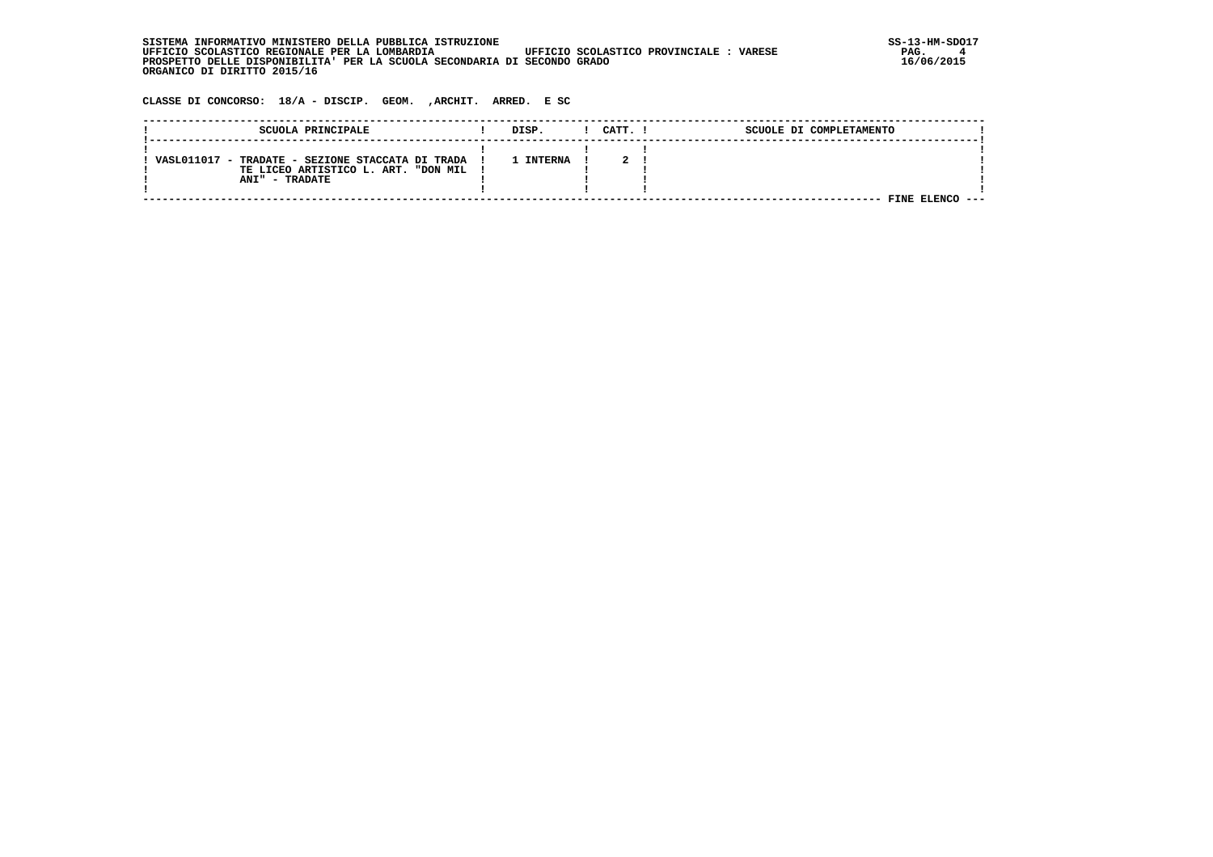SISTEMA INFORMATIVO MINISTERO DELLA PUBBLICA ISTRUZIONE UPFICIO SCOLASTICO PROVINCIALE : VARESE SS-13-HM-SDO17<br>1 GEFICIO SCOLASTICO REGIONALE PER LA LOMBARDIA UFFICIO SCOLASTICO PROVINCIALE : VARESE  **UFFICIO SCOLASTICO REGIONALE PER LA LOMBARDIA UFFICIO SCOLASTICO PROVINCIALE : VARESE PAG. 4 PROSPETTO DELLE DISPONIBILITA' PER LA SCUOLA SECONDARIA DI SECONDO GRADO 16/06/2015 ORGANICO DI DIRITTO 2015/16**

 **CLASSE DI CONCORSO: 18/A - DISCIP. GEOM. ,ARCHIT. ARRED. E SC**

| SCUOLA PRINCIPALE                                | DISP.          | CATT. | SCUOLE DI COMPLETAMENTO |  |
|--------------------------------------------------|----------------|-------|-------------------------|--|
|                                                  |                |       |                         |  |
| VASL011017 - TRADATE - SEZIONE STACCATA DI TRADA | <b>INTERNA</b> |       |                         |  |
| TE LICEO ARTISTICO L. ART. "DON MIL              |                |       |                         |  |
| <b>ANI" - TRADATE</b>                            |                |       |                         |  |
|                                                  |                |       |                         |  |
|                                                  |                |       | FINE                    |  |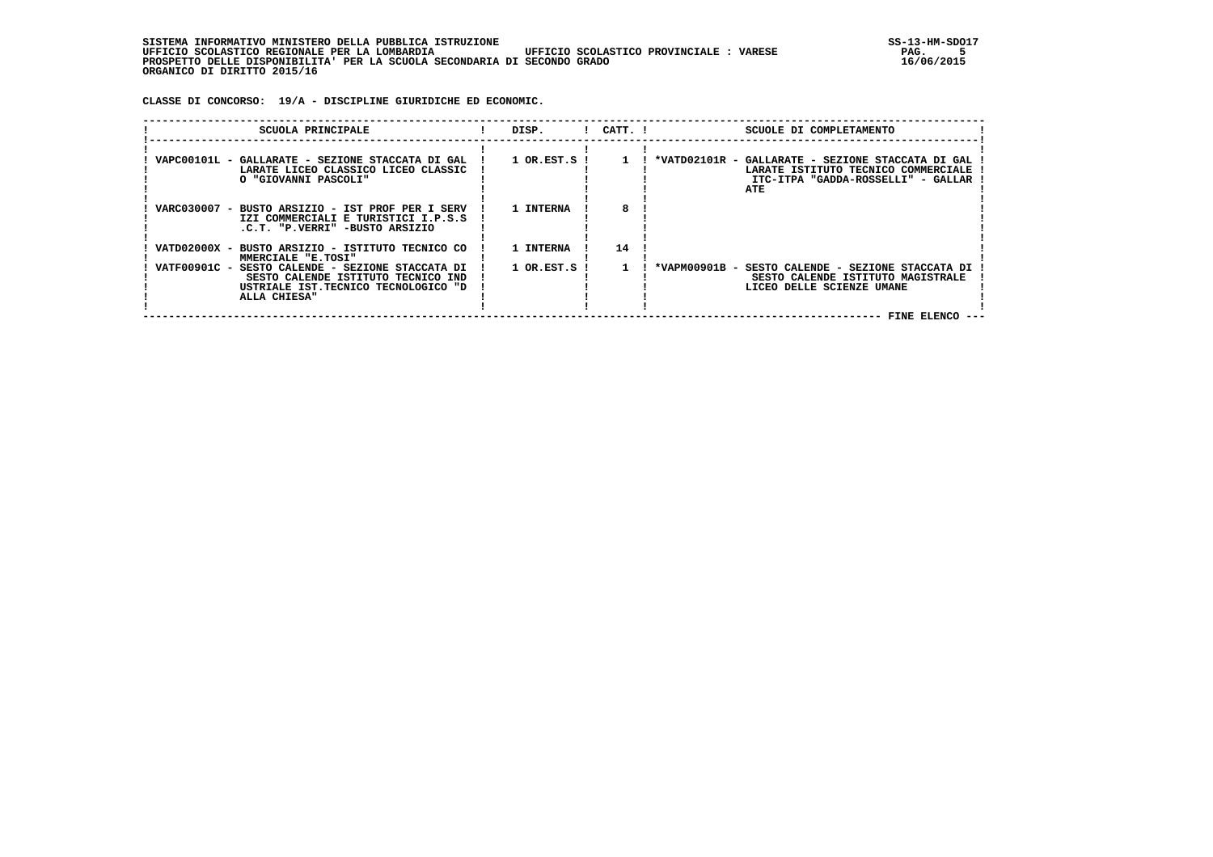| , INFORMATIVO MINISTERO DELLA PUBBLICA ISTRUZIONE<br>STSTEMA                                      | SS-13-HM-SDC |
|---------------------------------------------------------------------------------------------------|--------------|
| UFFICIO SCOLASTICO REGIONALE PER LA LOMBARDIA<br>UFFICIO SCOLASTICO PROVINCIALE:<br><b>VARESE</b> | PAG.         |
| PROSPETTO DELLE DISPONIBILITA' PER LA SCUOLA SECONDARIA DI SECONDO GRADO                          | 16/06/2015   |
| ORGANICO DI DIRITTO 2015/16                                                                       |              |

 **CLASSE DI CONCORSO: 19/A - DISCIPLINE GIURIDICHE ED ECONOMIC.**

| SCUOLA PRINCIPALE                                                                                                                             | DISP.            | $!$ $CATT$ . $!$ | SCUOLE DI COMPLETAMENTO                                                                                                               |  |
|-----------------------------------------------------------------------------------------------------------------------------------------------|------------------|------------------|---------------------------------------------------------------------------------------------------------------------------------------|--|
| VAPC00101L - GALLARATE - SEZIONE STACCATA DI GAL<br>LARATE LICEO CLASSICO LICEO CLASSIC<br>O "GIOVANNI PASCOLI"                               | $1$ OR.EST.S $1$ | $1 \quad 1$      | *VATD02101R - GALLARATE - SEZIONE STACCATA DI GAL<br>LARATE ISTITUTO TECNICO COMMERCIALE<br>ITC-ITPA "GADDA-ROSSELLI" - GALLAR<br>ATE |  |
| VARC030007 - BUSTO ARSIZIO - IST PROF PER I SERV<br>IZI COMMERCIALI E TURISTICI I.P.S.S<br>.C.T. "P.VERRI" -BUSTO ARSIZIO                     | 1 INTERNA        |                  |                                                                                                                                       |  |
| VATD02000X - BUSTO ARSIZIO - ISTITUTO TECNICO CO<br>MMERCIALE "E.TOSI"                                                                        | 1 INTERNA        | 14               |                                                                                                                                       |  |
| VATF00901C - SESTO CALENDE - SEZIONE STACCATA DI<br>SESTO CALENDE ISTITUTO TECNICO IND<br>USTRIALE IST.TECNICO TECNOLOGICO "D<br>ALLA CHIESA" | $1$ OR.EST.S $1$ |                  | *VAPM00901B - SESTO CALENDE - SEZIONE STACCATA DI<br>SESTO CALENDE ISTITUTO MAGISTRALE<br>LICEO DELLE SCIENZE UMANE                   |  |
|                                                                                                                                               |                  |                  | FINE ELENCO --                                                                                                                        |  |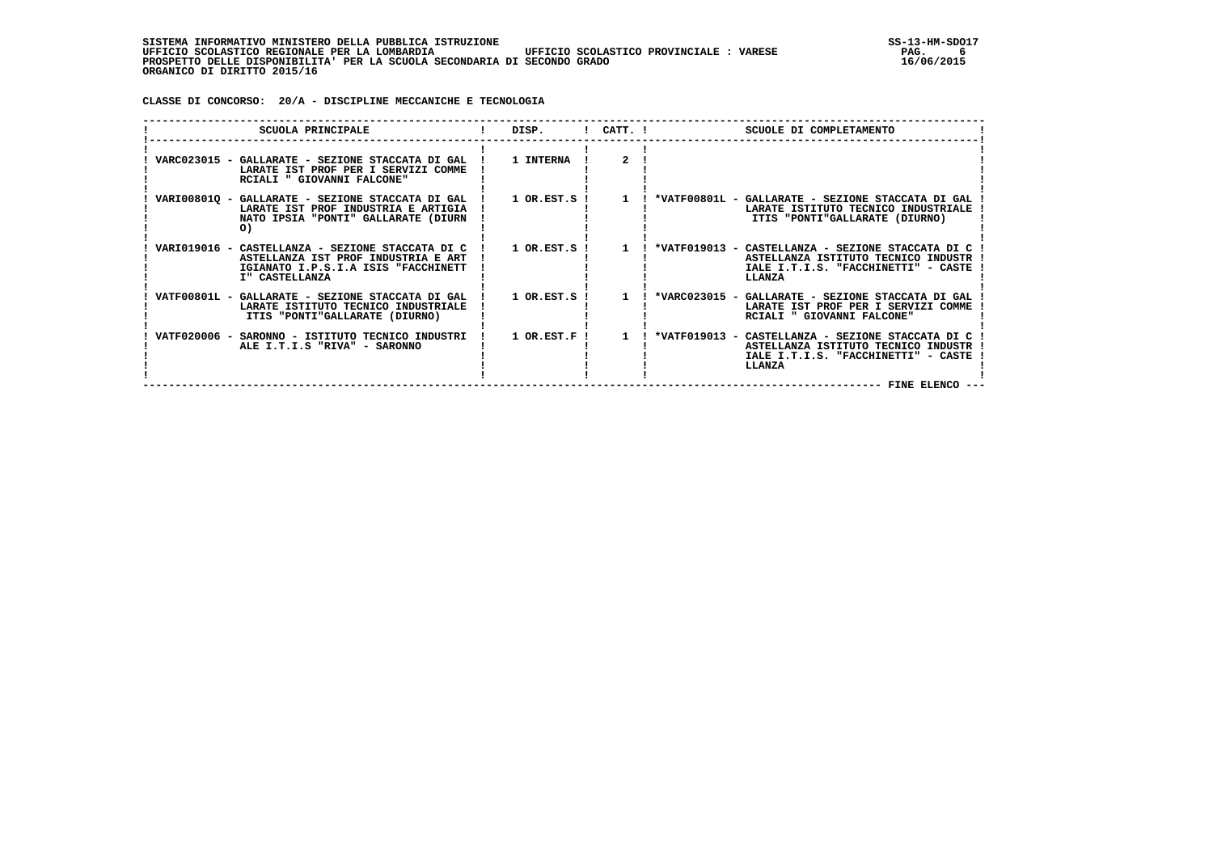**CLASSE DI CONCORSO: 20/A - DISCIPLINE MECCANICHE E TECNOLOGIA**

| SCUOLA PRINCIPALE                                                                                                                                | DISP.                       | $!$ $CATT$ . $!$ | SCUOLE DI COMPLETAMENTO                                                                                                                                     |
|--------------------------------------------------------------------------------------------------------------------------------------------------|-----------------------------|------------------|-------------------------------------------------------------------------------------------------------------------------------------------------------------|
| VARC023015 - GALLARATE - SEZIONE STACCATA DI GAL !<br>LARATE IST PROF PER I SERVIZI COMME<br>RCIALI " GIOVANNI FALCONE"                          | <b>1 INTERNA</b>            | $\overline{2}$   |                                                                                                                                                             |
| VARI008010 - GALLARATE - SEZIONE STACCATA DI GAL !<br>LARATE IST PROF INDUSTRIA E ARTIGIA<br>NATO IPSIA "PONTI" GALLARATE (DIURN<br>O)           | $1$ OR.EST.S $\overline{1}$ | $\mathbf{1}$     | *VATF00801L - GALLARATE - SEZIONE STACCATA DI GAL<br>LARATE ISTITUTO TECNICO INDUSTRIALE<br>ITIS "PONTI"GALLARATE (DIURNO)                                  |
| VARIO19016 - CASTELLANZA - SEZIONE STACCATA DI C<br>ASTELLANZA IST PROF INDUSTRIA E ART<br>IGIANATO I.P.S.I.A ISIS "FACCHINETT<br>I" CASTELLANZA | $1$ OR.EST.S !              | $\overline{1}$   | ! *VATF019013 - CASTELLANZA - SEZIONE STACCATA DI C<br>ASTELLANZA ISTITUTO TECNICO INDUSTR<br>IALE I.T.I.S. "FACCHINETTI" - CASTE<br>LLANZA                 |
| VATF00801L - GALLARATE - SEZIONE STACCATA DI GAL<br>LARATE ISTITUTO TECNICO INDUSTRIALE<br>ITIS "PONTI"GALLARATE (DIURNO)                        | $1$ OR.EST.S $1$            | $\mathbf{1}$     | *VARC023015 - GALLARATE - SEZIONE STACCATA DI GAL<br>LARATE IST PROF PER I SERVIZI COMME<br>RCIALI " GIOVANNI FALCONE"                                      |
| VATF020006 - SARONNO - ISTITUTO TECNICO INDUSTRI<br>ALE I.T.I.S "RIVA" - SARONNO                                                                 | $1$ OR.EST.F !              | $\mathbf{1}$     | *VATF019013 - CASTELLANZA - SEZIONE STACCATA DI C<br>ASTELLANZA ISTITUTO TECNICO INDUSTR<br>IALE I.T.I.S. "FACCHINETTI" - CASTE<br>LLANZA<br>FINE ELENCO -- |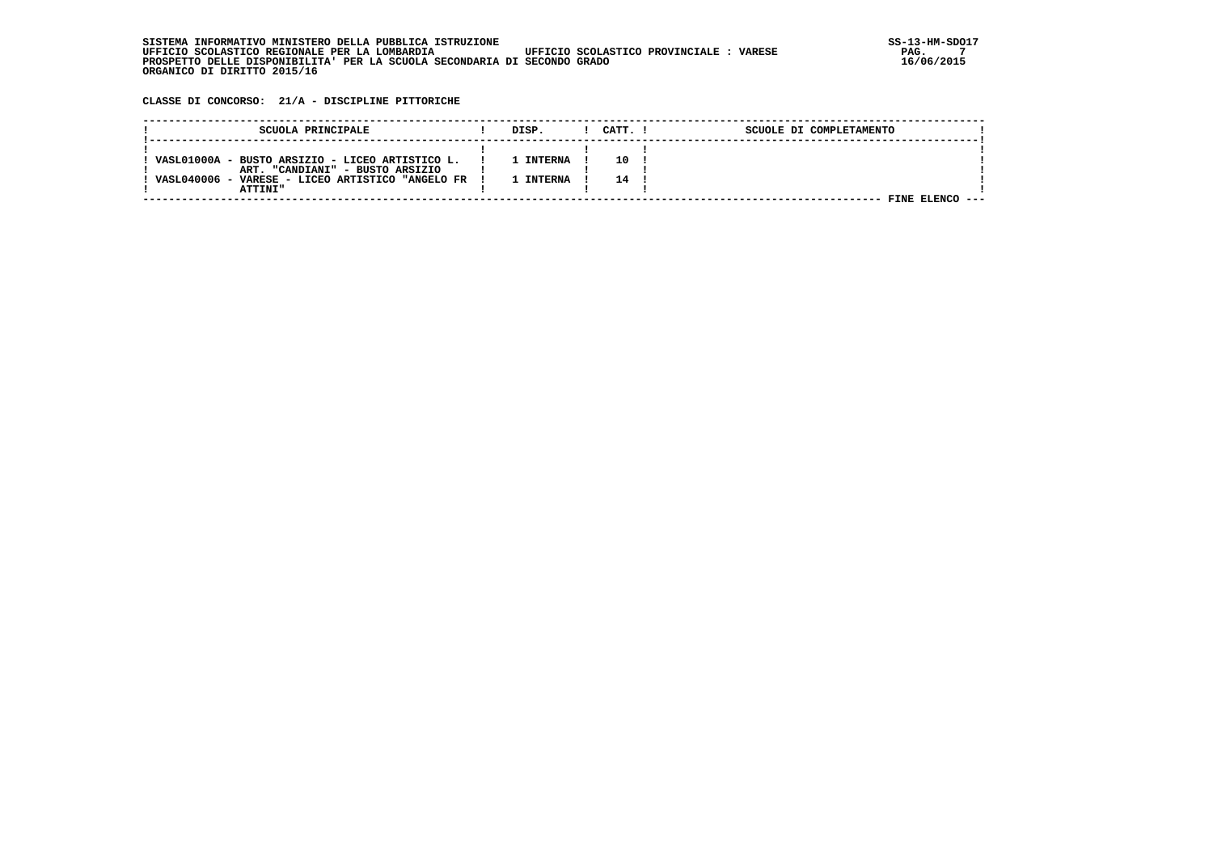| . INFORMATIVO MINISTERO DELLA PUBBLICA ISTRUZIONE<br>STSTEMA                                      | SS-13-HM-SDC |
|---------------------------------------------------------------------------------------------------|--------------|
| UFFICIO SCOLASTICO PROVINCIALE:<br>UFFICIO SCOLASTICO REGIONALE PER LA LOMBARDIA<br><b>VARESE</b> | PAG.         |
| PROSPETTO DELLE DISPONIBILITA' PER LA SCUOLA SECONDARIA DI SECONDO GRADO                          | 16/06/2015   |
| ORGANICO DI DIRITTO 2015/16                                                                       |              |

 **CLASSE DI CONCORSO: 21/A - DISCIPLINE PITTORICHE**

| SCUOLA PRINCIPALE                                | DISP.          | CATT. I | SCUOLE DI COMPLETAMENTO |  |
|--------------------------------------------------|----------------|---------|-------------------------|--|
|                                                  |                |         |                         |  |
|                                                  |                |         |                         |  |
| VASL01000A - BUSTO ARSIZIO - LICEO ARTISTICO L.  | <b>INTERNA</b> | 10      |                         |  |
| ART. "CANDIANI" - BUSTO ARSIZIO                  |                |         |                         |  |
| VASL040006 - VARESE - LICEO ARTISTICO "ANGELO FR | TNTERNA        | 14      |                         |  |
| <b>ATTINT"</b>                                   |                |         |                         |  |
|                                                  |                |         | FINE FLENCO             |  |
|                                                  |                |         |                         |  |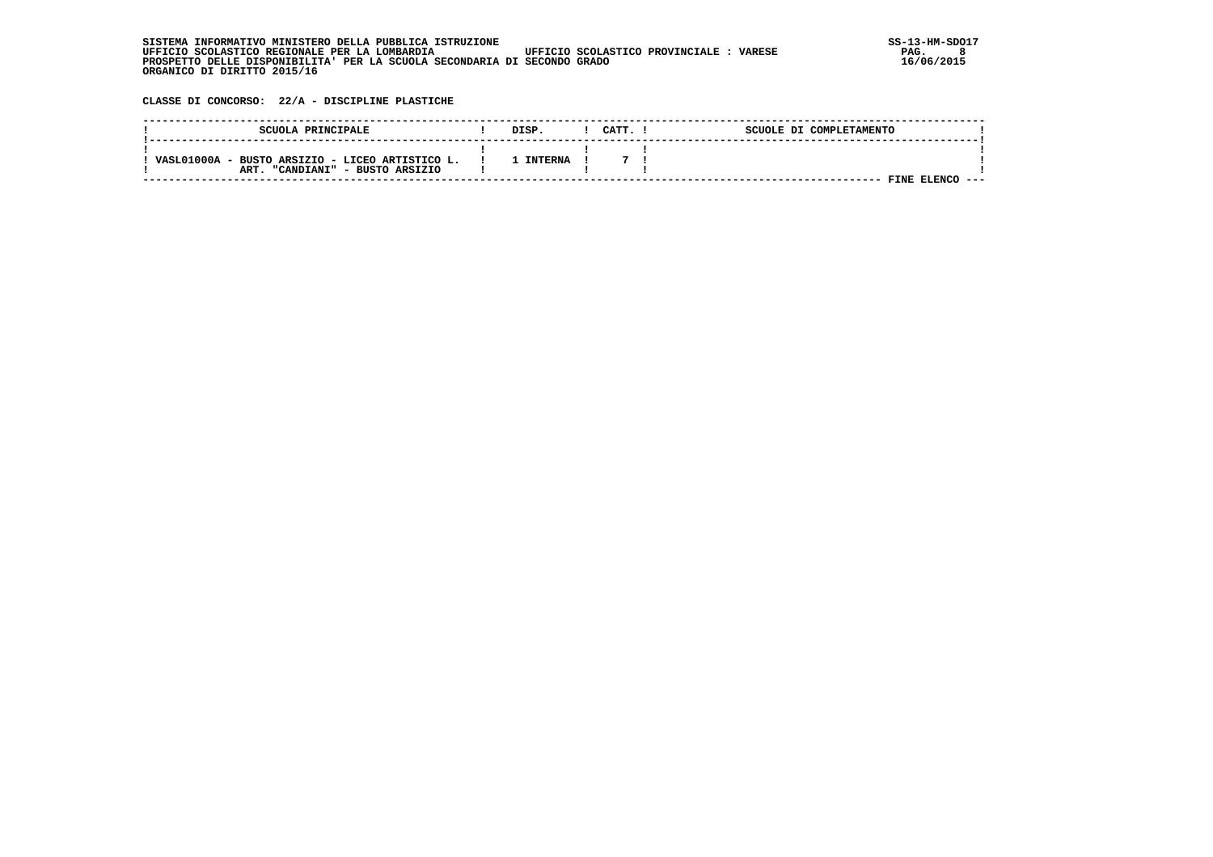| . INFORMATIVO MINISTERO DELLA PUBBLICA ISTRUZIONE<br>STSTEMA                                      | SS-13-HM-SDC |
|---------------------------------------------------------------------------------------------------|--------------|
| UFFICIO SCOLASTICO REGIONALE PER LA LOMBARDIA<br>UFFICIO SCOLASTICO PROVINCIALE:<br><b>VARESE</b> | PAG.         |
| PROSPETTO DELLE DISPONIBILITA' PER LA SCUOLA SECONDARIA DI SECONDO GRADO                          | 16/06/2015   |
| ORGANICO DI DIRITTO 2015/16                                                                       |              |

 **CLASSE DI CONCORSO: 22/A - DISCIPLINE PLASTICHE**

| SCUOLA PRINCIPALE                                                                     | DISP           | CATT. | SCUOLE DI COMPLETAMENTO |      |
|---------------------------------------------------------------------------------------|----------------|-------|-------------------------|------|
| VASL01000A - BUSTO ARSIZIO - LICEO ARTISTICO L.<br>"CANDIANI" - BUSTO ARSIZIO<br>ART. | <b>INTERNA</b> |       |                         |      |
|                                                                                       |                |       | FINE ELENCO             | ---- |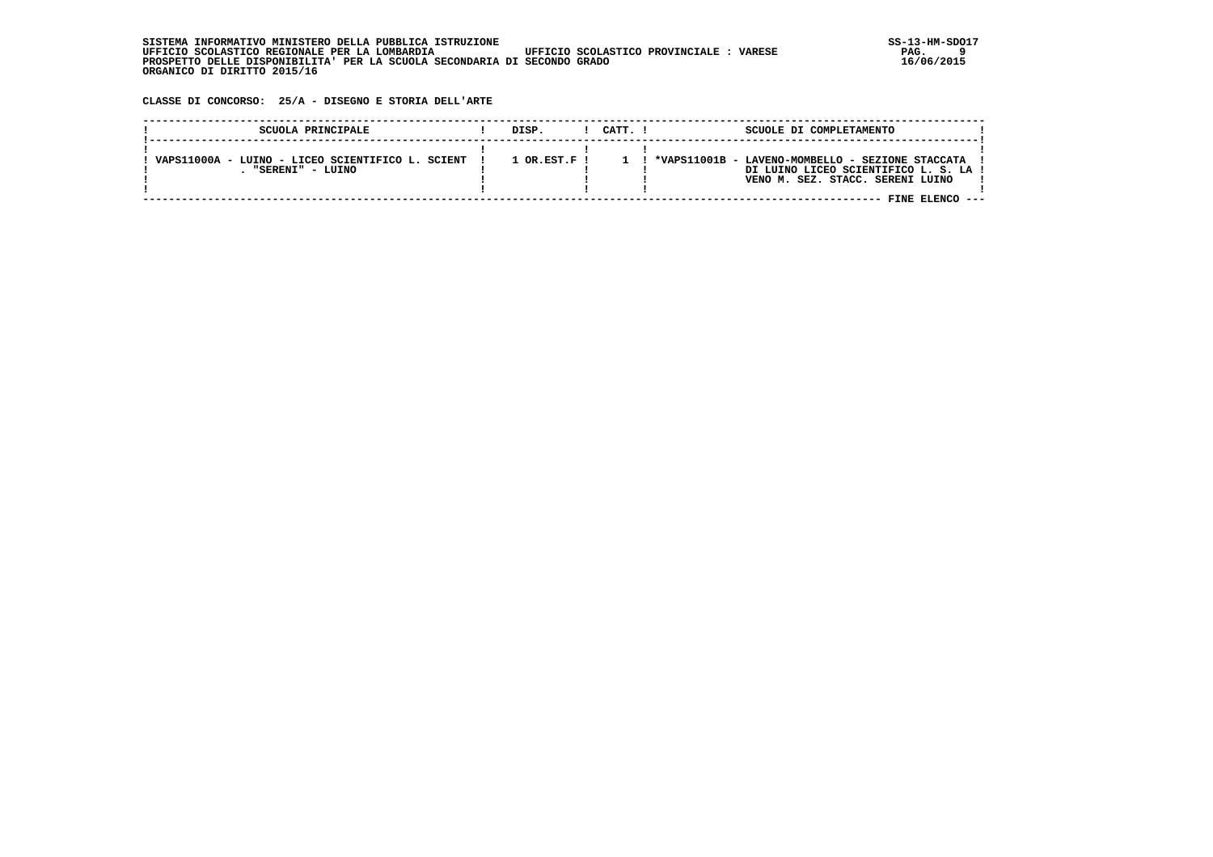**CLASSE DI CONCORSO: 25/A - DISEGNO E STORIA DELL'ARTE**

| SCUOLA PRINCIPALE                                                    | DISP.                | CATT. ! | SCUOLE DI COMPLETAMENTO                          |                                                                           |  |
|----------------------------------------------------------------------|----------------------|---------|--------------------------------------------------|---------------------------------------------------------------------------|--|
| VAPS11000A - LUINO - LICEO SCIENTIFICO L. SCIENT<br>"SERENT" - LUINO | $1$ OR $RST$ $F$ $I$ |         | *VAPS11001B - LAVENO-MOMBELLO - SEZIONE STACCATA | DI LUINO LICEO SCIENTIFICO L. S. LA !<br>VENO M. SEZ. STACC. SERENI LUINO |  |
|                                                                      |                      |         |                                                  | FINE ELENCO                                                               |  |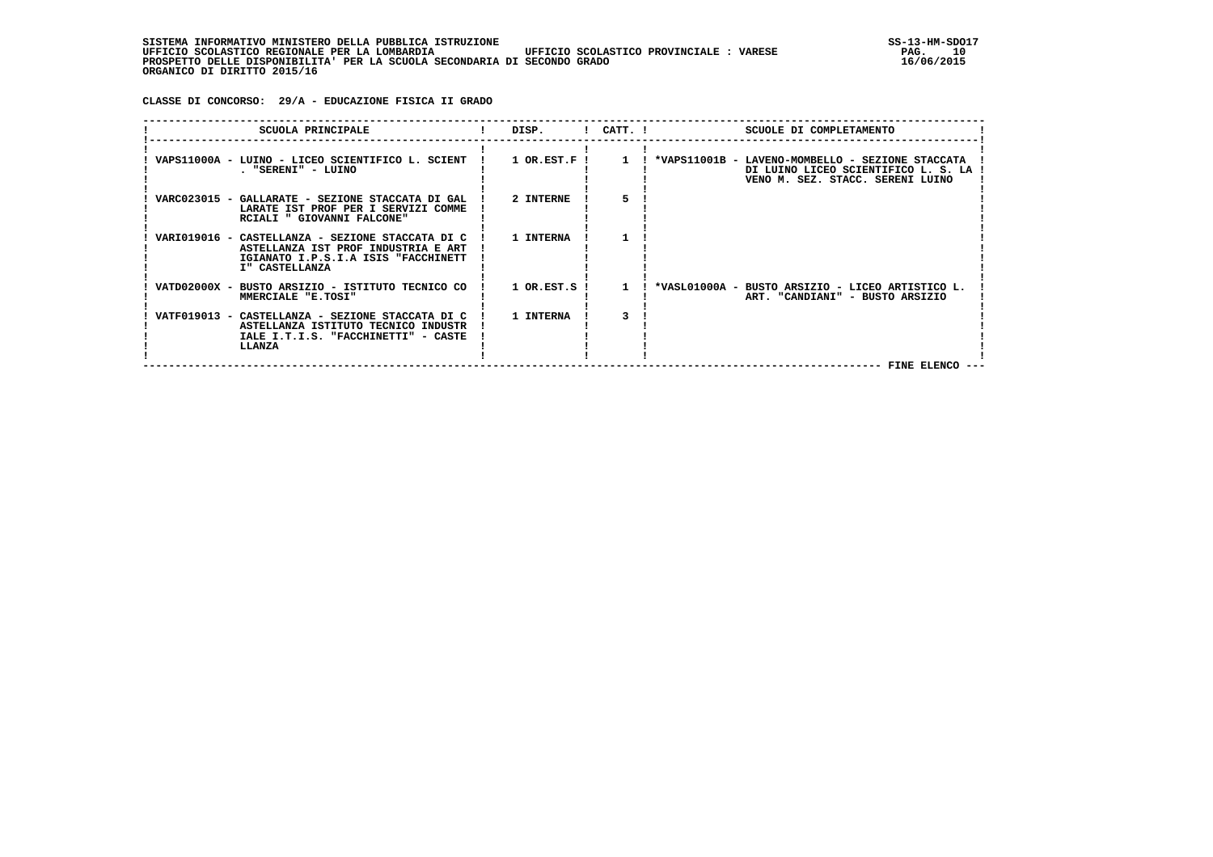**CLASSE DI CONCORSO: 29/A - EDUCAZIONE FISICA II GRADO**

| SCUOLA PRINCIPALE                                                                                                                                | DISP.          | $!$ $CATT$ . $!$ | SCUOLE DI COMPLETAMENTO                                                                                                       |
|--------------------------------------------------------------------------------------------------------------------------------------------------|----------------|------------------|-------------------------------------------------------------------------------------------------------------------------------|
| VAPS11000A - LUINO - LICEO SCIENTIFICO L. SCIENT !<br>. "SERENI" - LUINO                                                                         | $1$ OR.EST.F ! | $\mathbf{1}$     | ! *VAPS11001B - LAVENO-MOMBELLO - SEZIONE STACCATA<br>DI LUINO LICEO SCIENTIFICO L. S. LA<br>VENO M. SEZ. STACC. SERENI LUINO |
| VARC023015 - GALLARATE - SEZIONE STACCATA DI GAL<br>LARATE IST PROF PER I SERVIZI COMME<br>RCIALI " GIOVANNI FALCONE"                            | 2 INTERNE      | 5.               |                                                                                                                               |
| VARI019016 - CASTELLANZA - SEZIONE STACCATA DI C<br>ASTELLANZA IST PROF INDUSTRIA E ART<br>IGIANATO I.P.S.I.A ISIS "FACCHINETT<br>I" CASTELLANZA | 1 INTERNA      |                  |                                                                                                                               |
| VATD02000X - BUSTO ARSIZIO - ISTITUTO TECNICO CO<br>MMERCIALE "E.TOSI"                                                                           | 1 OR.EST.S     | $\mathbf{1}$     | *VASL01000A - BUSTO ARSIZIO - LICEO ARTISTICO L.<br>ART. "CANDIANI" - BUSTO ARSIZIO                                           |
| VATF019013 - CASTELLANZA - SEZIONE STACCATA DI C<br>ASTELLANZA ISTITUTO TECNICO INDUSTR<br>IALE I.T.I.S. "FACCHINETTI" - CASTE<br>LLANZA         | 1 INTERNA      |                  | <b>FINE ELENCO</b>                                                                                                            |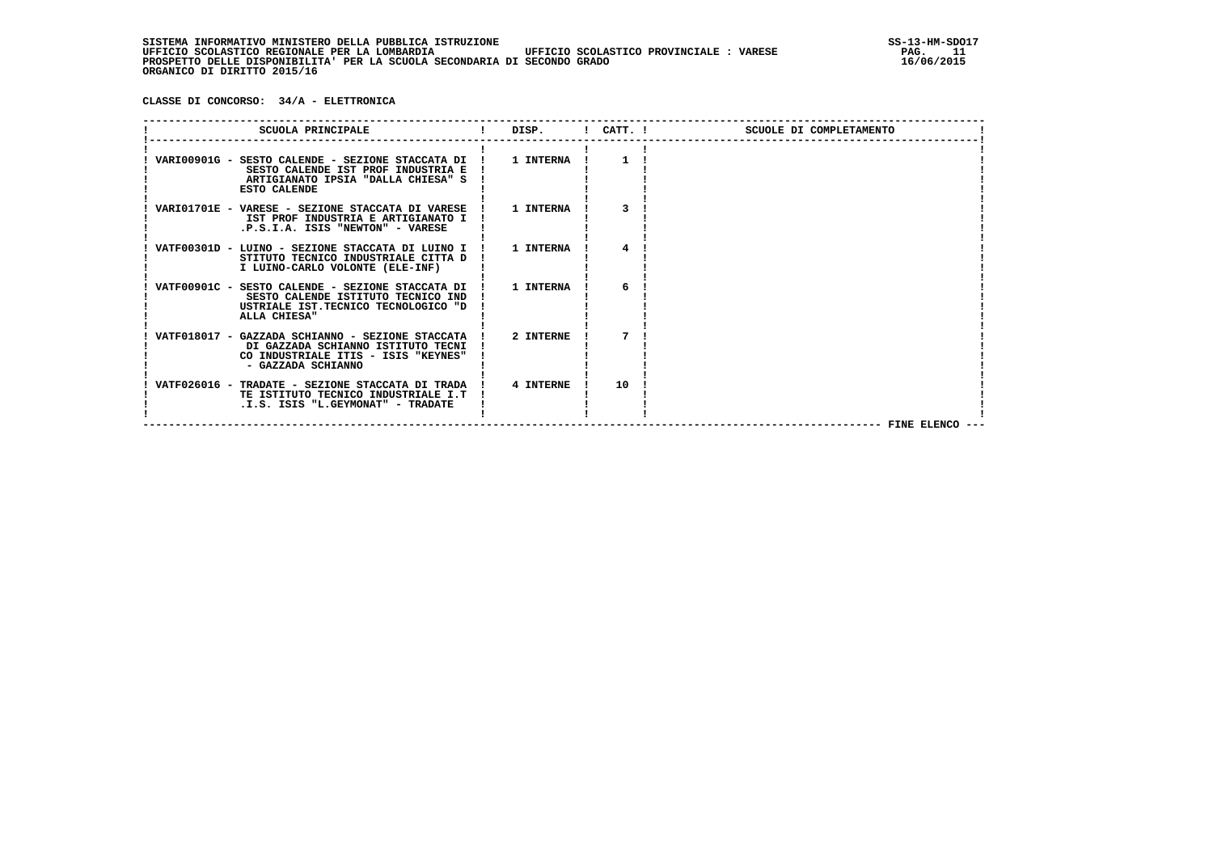**CLASSE DI CONCORSO: 34/A - ELETTRONICA**

| SCUOLA PRINCIPALE                                                                                                                                     | and the set of the set of the set of the set of the set of the set of the set of the set of the set of the set o |    | SCUOLE DI COMPLETAMENTO |
|-------------------------------------------------------------------------------------------------------------------------------------------------------|------------------------------------------------------------------------------------------------------------------|----|-------------------------|
| VARI00901G - SESTO CALENDE - SEZIONE STACCATA DI !<br>SESTO CALENDE IST PROF INDUSTRIA E<br>ARTIGIANATO IPSIA "DALLA CHIESA" S<br><b>ESTO CALENDE</b> | 1 INTERNA                                                                                                        | -1 |                         |
| VARI01701E - VARESE - SEZIONE STACCATA DI VARESE !<br>IST PROF INDUSTRIA E ARTIGIANATO I<br>.P.S.I.A. ISIS "NEWTON" - VARESE                          | 1 INTERNA                                                                                                        |    |                         |
| VATF00301D - LUINO - SEZIONE STACCATA DI LUINO I ! 1 INTERNA<br>STITUTO TECNICO INDUSTRIALE CITTA D<br>I LUINO-CARLO VOLONTE (ELE-INF)                |                                                                                                                  |    |                         |
| VATF00901C - SESTO CALENDE - SEZIONE STACCATA DI !<br>SESTO CALENDE ISTITUTO TECNICO IND<br>USTRIALE IST.TECNICO TECNOLOGICO "D<br>ALLA CHIESA"       | 1 INTERNA                                                                                                        | 6  |                         |
| VATF018017 - GAZZADA SCHIANNO - SEZIONE STACCATA !<br>DI GAZZADA SCHIANNO ISTITUTO TECNI<br>CO INDUSTRIALE ITIS - ISIS "KEYNES"<br>- GAZZADA SCHIANNO | 2 INTERNE                                                                                                        |    |                         |
| VATF026016 - TRADATE - SEZIONE STACCATA DI TRADA !<br>TE ISTITUTO TECNICO INDUSTRIALE I.T<br>.I.S. ISIS "L.GEYMONAT" - TRADATE                        | 4 INTERNE                                                                                                        | 10 | FINE ELENCO ---         |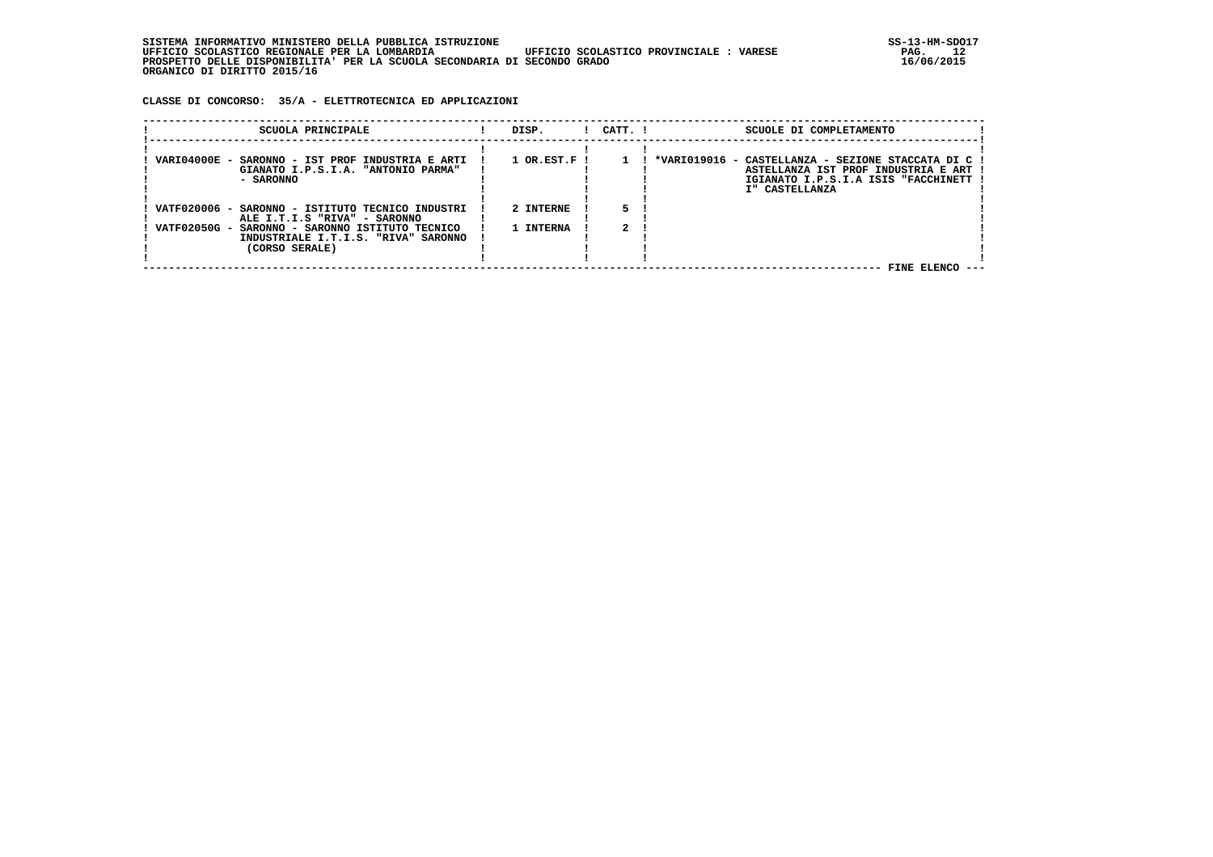**CLASSE DI CONCORSO: 35/A - ELETTROTECNICA ED APPLICAZIONI**

| SCUOLA PRINCIPALE                                                                                           | DISP.                       | CATT. ! | SCUOLE DI COMPLETAMENTO                                                                                                                             |
|-------------------------------------------------------------------------------------------------------------|-----------------------------|---------|-----------------------------------------------------------------------------------------------------------------------------------------------------|
| VARI04000E -<br>SARONNO - IST PROF INDUSTRIA E ARTI<br>GIANATO I.P.S.I.A. "ANTONIO PARMA"<br>- SARONNO      | $1$ OR.EST.F $\overline{1}$ |         | *VARI019016 - CASTELLANZA - SEZIONE STACCATA DI C !<br>ASTELLANZA IST PROF INDUSTRIA E ART<br>IGIANATO I.P.S.I.A ISIS "FACCHINETT<br>I" CASTELLANZA |
| VATF020006 -<br>SARONNO - ISTITUTO TECNICO INDUSTRI<br>ALE I.T.I.S "RIVA" - SARONNO                         | 2 INTERNE                   |         |                                                                                                                                                     |
| VATF02050G -<br>SARONNO - SARONNO ISTITUTO TECNICO<br>INDUSTRIALE I.T.I.S. "RIVA" SARONNO<br>(CORSO SERALE) | 1 INTERNA                   |         |                                                                                                                                                     |
|                                                                                                             |                             |         | FINE ELENCO                                                                                                                                         |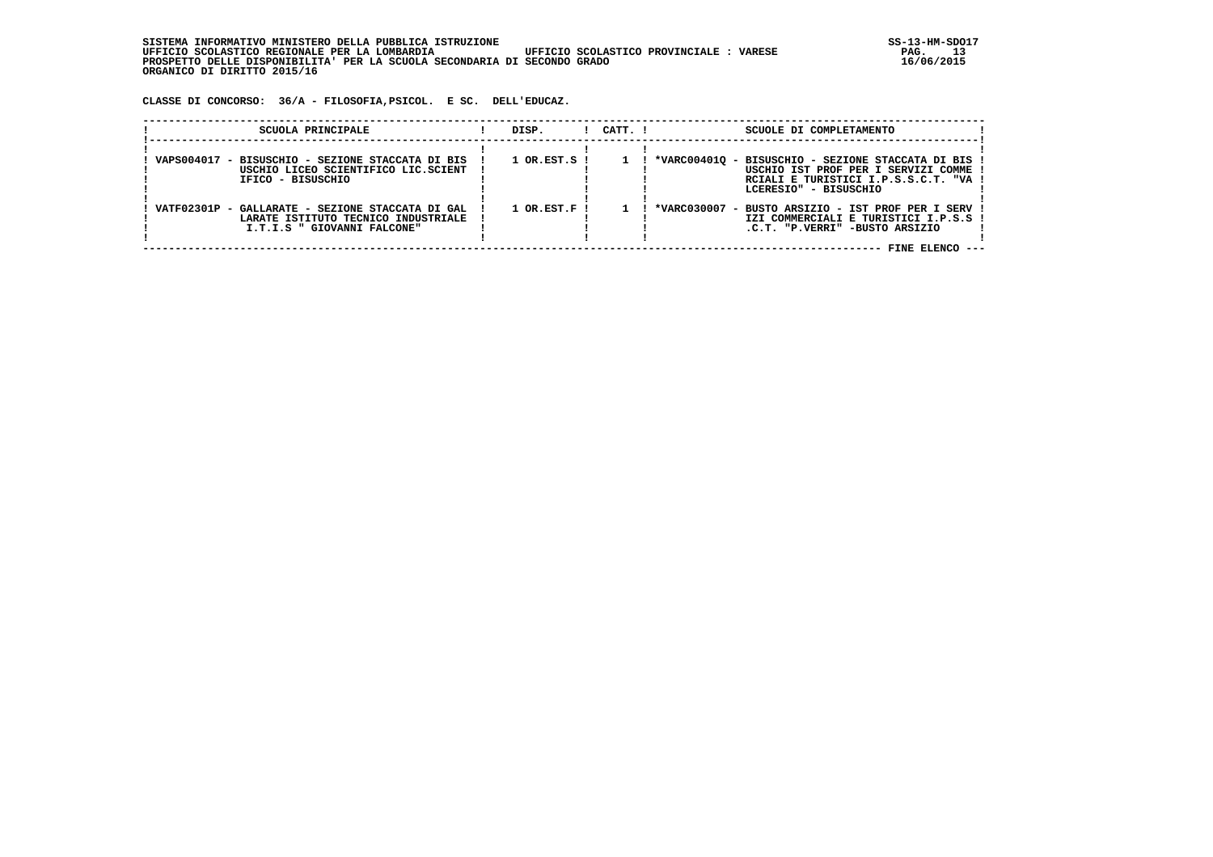SISTEMA INFORMATIVO MINISTERO DELLA PUBBLICA ISTRUZIONE<br>13 UFFICIO SCOLASTICO REGIONALE PER LA LOMBARDIA UFFICIO SCOLASTICO PROVINCIALE : VARESE  **UFFICIO SCOLASTICO REGIONALE PER LA LOMBARDIA UFFICIO SCOLASTICO PROVINCIALE : VARESE PAG. 13 PROSPETTO DELLE DISPONIBILITA' PER LA SCUOLA SECONDARIA DI SECONDO GRADO 16/06/2015 ORGANICO DI DIRITTO 2015/16**

 **CLASSE DI CONCORSO: 36/A - FILOSOFIA,PSICOL. E SC. DELL'EDUCAZ.**

| SCUOLA PRINCIPALE                                                                                                      | DISP.            | CATT. I | SCUOLE DI COMPLETAMENTO                                                                                                                                      |
|------------------------------------------------------------------------------------------------------------------------|------------------|---------|--------------------------------------------------------------------------------------------------------------------------------------------------------------|
| VAPS004017 - BISUSCHIO - SEZIONE STACCATA DI BIS<br>USCHIO LICEO SCIENTIFICO LIC.SCIENT<br>IFICO - BISUSCHIO           | $1$ OR.EST.S $1$ |         | *VARC004010 - BISUSCHIO - SEZIONE STACCATA DI BIS !<br>USCHIO IST PROF PER I SERVIZI COMME<br>RCIALI E TURISTICI I.P.S.S.C.T. "VA !<br>LCERESIO" - BISUSCHIO |
| VATF02301P - GALLARATE - SEZIONE STACCATA DI GAL<br>LARATE ISTITUTO TECNICO INDUSTRIALE<br>I.T.I.S " GIOVANNI FALCONE" | $1$ OR.EST.F !   |         | *VARC030007 - BUSTO ARSIZIO - IST PROF PER I SERV !<br>IZI COMMERCIALI E TURISTICI I.P.S.S !<br>.C.T. "P.VERRI" -BUSTO ARSIZIO<br>FINE ELENCO ---            |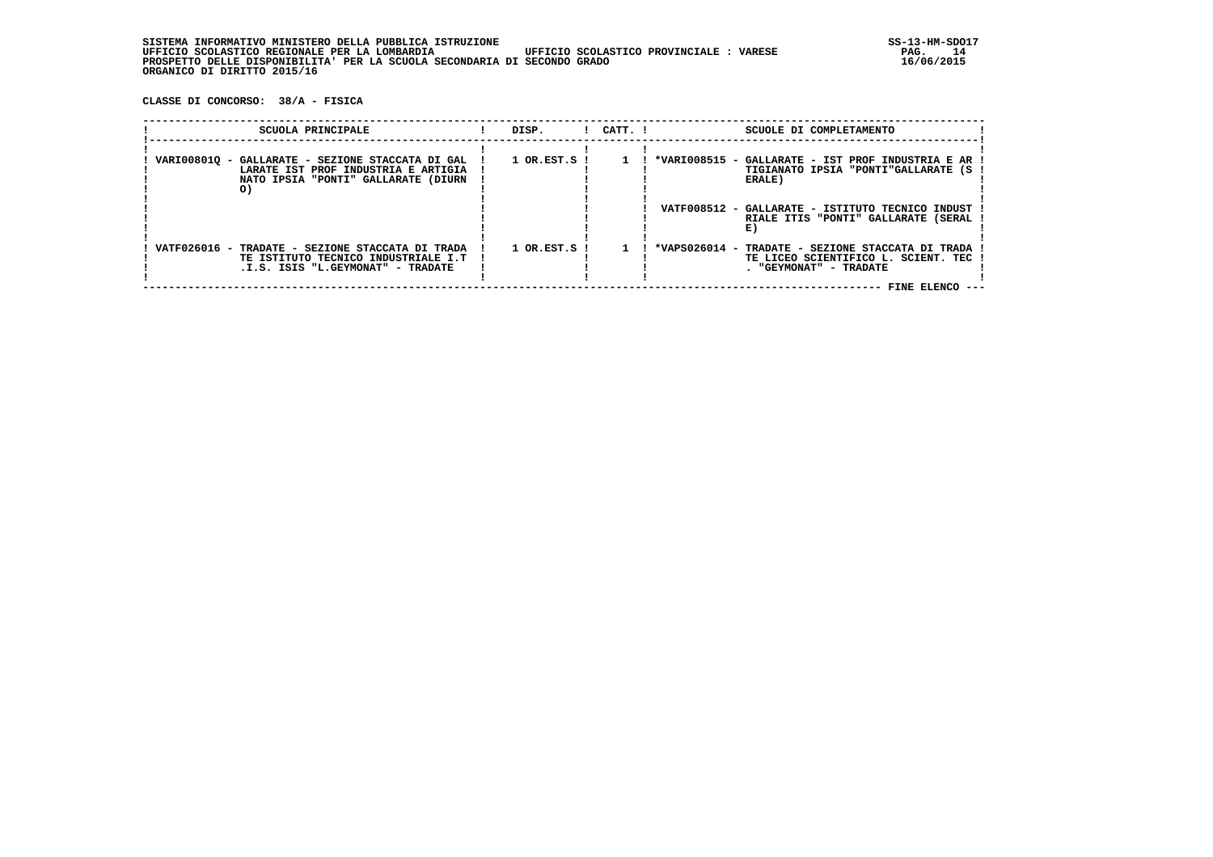**CLASSE DI CONCORSO: 38/A - FISICA**

| SCUOLA PRINCIPALE                                                                                                                    | DISP.                       | $1$ $CATT$ . $1$ | SCUOLE DI COMPLETAMENTO                                                                                                               |  |
|--------------------------------------------------------------------------------------------------------------------------------------|-----------------------------|------------------|---------------------------------------------------------------------------------------------------------------------------------------|--|
| VARI008010 - GALLARATE - SEZIONE STACCATA DI GAL<br>LARATE IST PROF INDUSTRIA E ARTIGIA<br>NATO IPSIA "PONTI" GALLARATE (DIURN<br>O) | $1$ OR.EST.S $\overline{1}$ |                  | *VARI008515 - GALLARATE - IST PROF INDUSTRIA E AR<br>TIGIANATO IPSIA "PONTI"GALLARATE (S )<br>ERALE)                                  |  |
|                                                                                                                                      |                             |                  | VATF008512 - GALLARATE - ISTITUTO TECNICO INDUST<br>RIALE ITIS "PONTI" GALLARATE (SERAL                                               |  |
| VATF026016 - TRADATE - SEZIONE STACCATA DI TRADA<br>TE ISTITUTO TECNICO INDUSTRIALE I.T<br>.I.S. ISIS "L.GEYMONAT" - TRADATE         | $1$ OR. EST. S $\;$ I       |                  | *VAPS026014 - TRADATE - SEZIONE STACCATA DI TRADA<br>TE LICEO SCIENTIFICO L. SCIENT. TEC<br>. "GEYMONAT" - TRADATE<br>FINE ELENCO --- |  |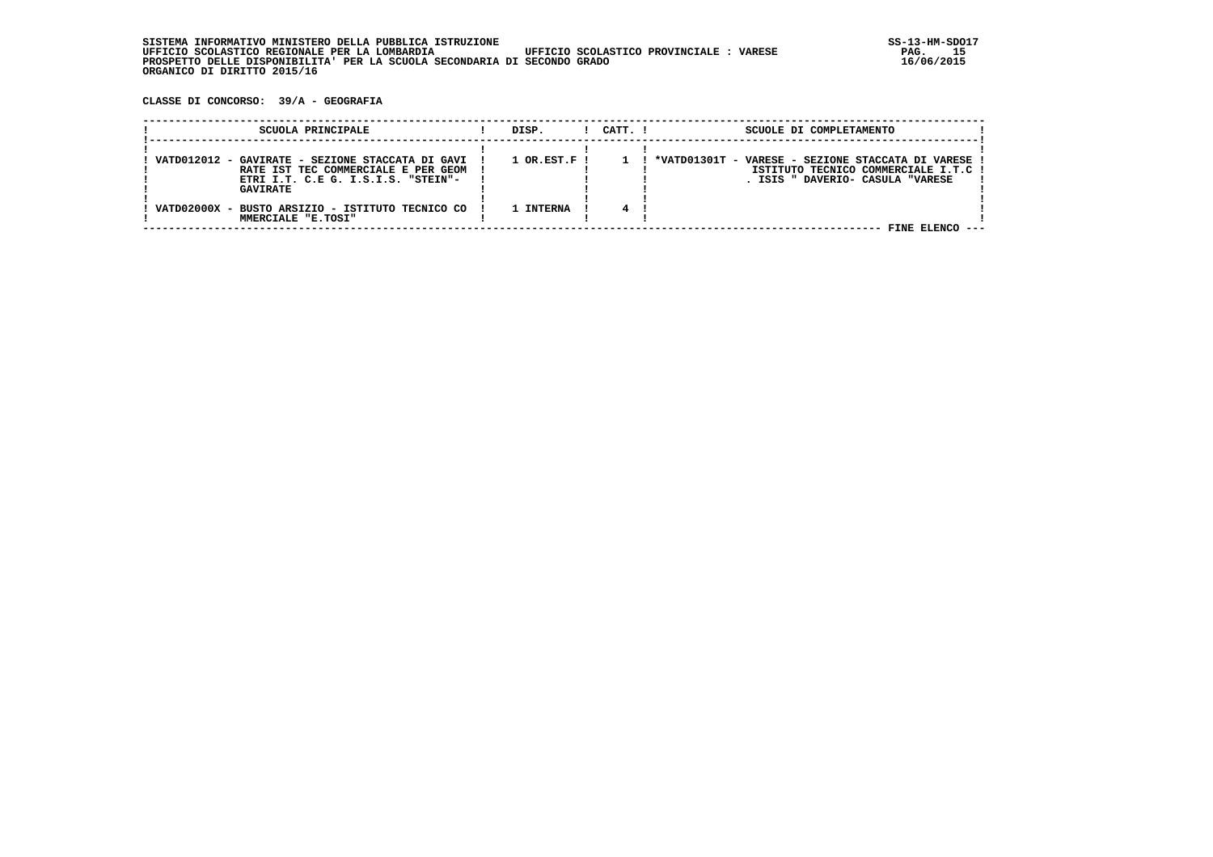**CLASSE DI CONCORSO: 39/A - GEOGRAFIA**

| SCUOLA PRINCIPALE                                                                                                                                | DISP.                       | $1$ $CATT$ . $1$ | SCUOLE DI COMPLETAMENTO                                                                                                       |  |
|--------------------------------------------------------------------------------------------------------------------------------------------------|-----------------------------|------------------|-------------------------------------------------------------------------------------------------------------------------------|--|
| VATD012012 - GAVIRATE - SEZIONE STACCATA DI GAVI<br>RATE IST TEC COMMERCIALE E PER GEOM<br>ETRI I.T. C.E G. I.S.I.S. "STEIN"-<br><b>GAVIRATE</b> | $1$ OR.EST.F $\overline{1}$ |                  | *VATD01301T - VARESE - SEZIONE STACCATA DI VARESE<br>ISTITUTO TECNICO COMMERCIALE I.T.C !<br>. ISIS " DAVERIO- CASULA "VARESE |  |
| VATD02000X - BUSTO ARSIZIO - ISTITUTO TECNICO CO<br>MMERCIALE "E.TOSI"                                                                           | L INTERNA                   |                  | FINE ELENCO                                                                                                                   |  |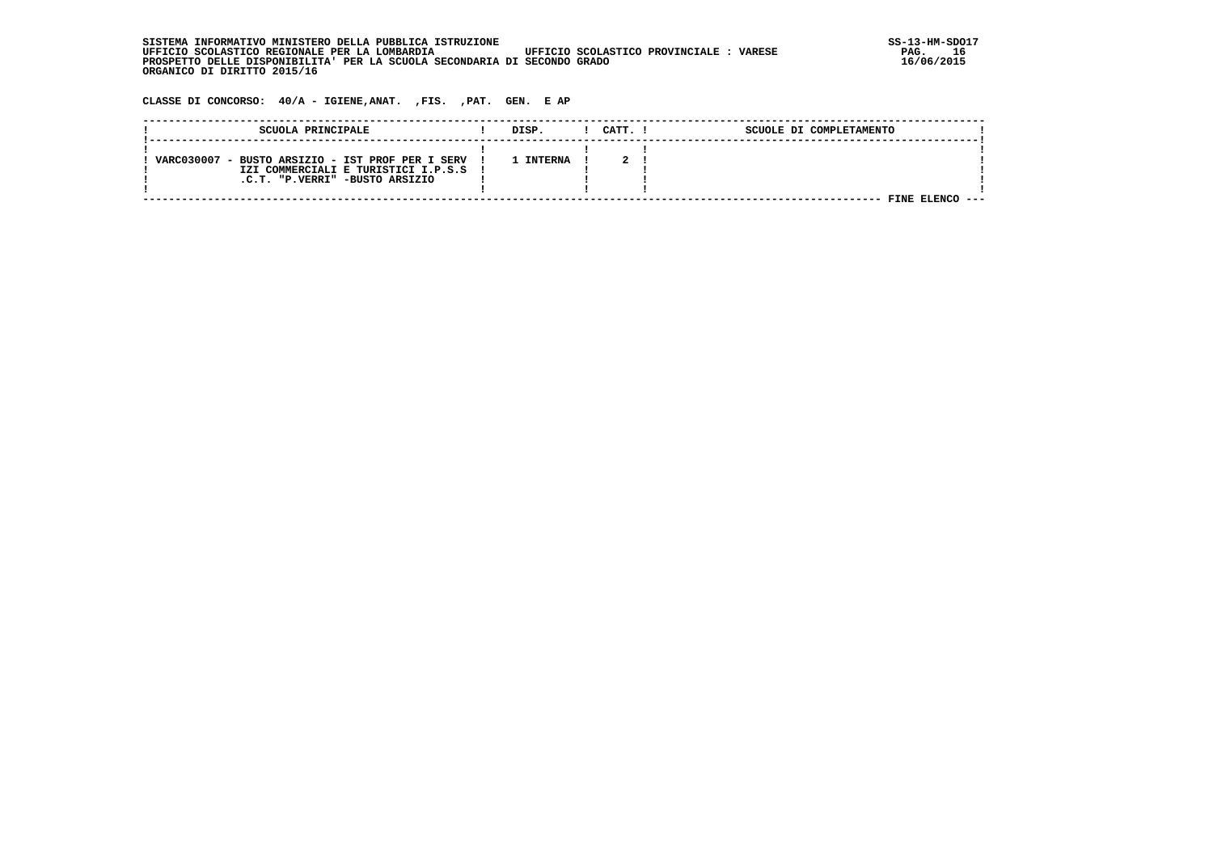| SISTEMA INFORMATIVO MINISTERO DELLA PUBBLICA ISTRUZIONE                                           | $SS-13-HM-SDC$ |
|---------------------------------------------------------------------------------------------------|----------------|
| UFFICIO SCOLASTICO REGIONALE PER LA LOMBARDIA<br>UFFICIO SCOLASTICO PROVINCIALE:<br><b>VARESE</b> | 16<br>PAG.     |
| PROSPETTO DELLE DISPONIBILITA' PER LA SCUOLA SECONDARIA DI SECONDO GRADO                          | 16/06/2015     |
| ORGANICO DI DIRITTO 2015/16                                                                       |                |

 **CLASSE DI CONCORSO: 40/A - IGIENE,ANAT. ,FIS. ,PAT. GEN. E AP**

| SCUOLA PRINCIPALE                                                                                                           | DISP.     | CATT. I | SCUOLE DI COMPLETAMENTO |  |
|-----------------------------------------------------------------------------------------------------------------------------|-----------|---------|-------------------------|--|
| VARC030007 - BUSTO ARSIZIO - IST PROF PER I SERV<br>IZI COMMERCIALI E TURISTICI I.P.S.S !<br>.C.T. "P.VERRI" -BUSTO ARSIZIO | 1 INTERNA |         |                         |  |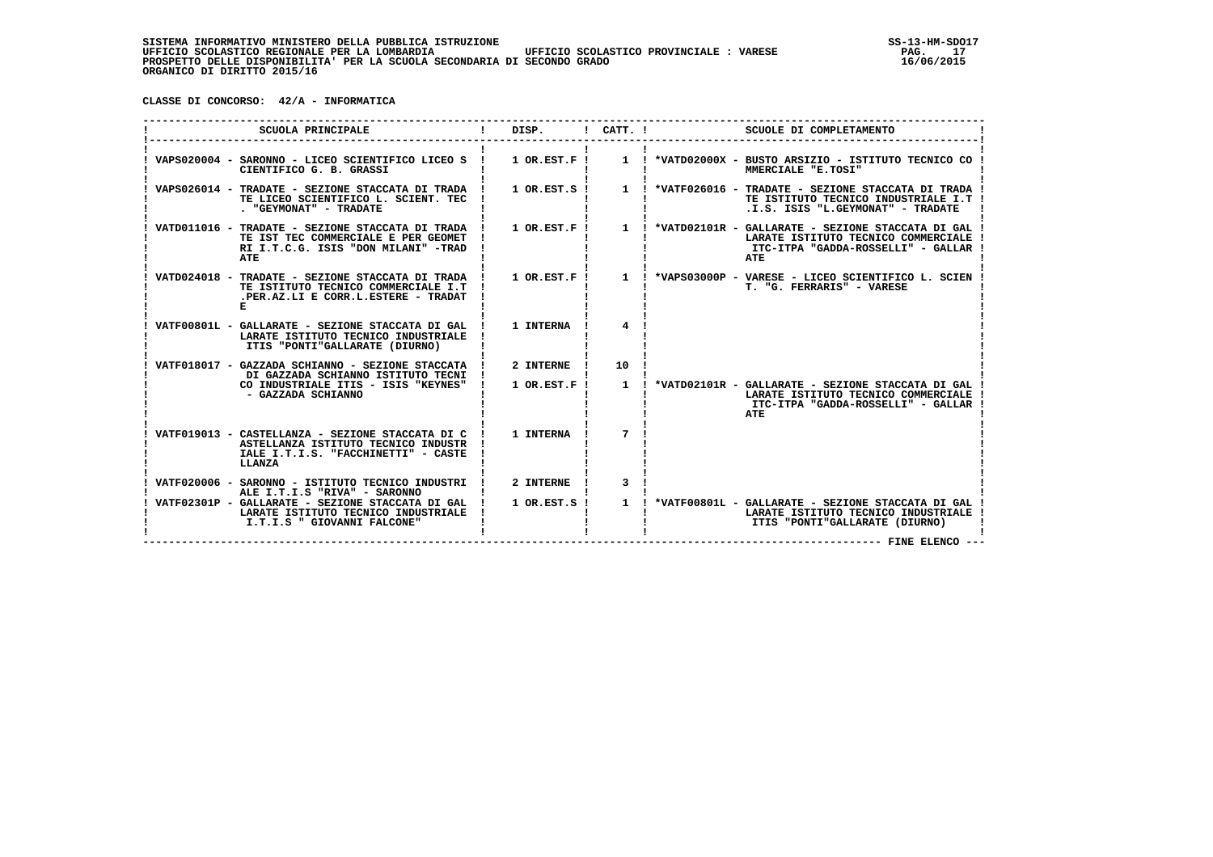**CLASSE DI CONCORSO: 42/A - INFORMATICA**

| SCUOLA PRINCIPALE                                                                                                                        | DISP.              | $!$ CATT. $!$  | SCUOLE DI COMPLETAMENTO                                                                                                                                |
|------------------------------------------------------------------------------------------------------------------------------------------|--------------------|----------------|--------------------------------------------------------------------------------------------------------------------------------------------------------|
| VAPS020004 - SARONNO - LICEO SCIENTIFICO LICEO S ! 1 OR.EST.F !<br>CIENTIFICO G. B. GRASSI                                               |                    |                | 1 : *VATD02000X - BUSTO ARSIZIO - ISTITUTO TECNICO CO !<br>MMERCIALE "E.TOSI"                                                                          |
| VAPS026014 - TRADATE - SEZIONE STACCATA DI TRADA !<br>TE LICEO SCIENTIFICO L. SCIENT. TEC<br>. "GEYMONAT" - TRADATE                      | $1$ OR. EST. $S$ ! |                | 1 ! *VATF026016 - TRADATE - SEZIONE STACCATA DI TRADA<br>TE ISTITUTO TECNICO INDUSTRIALE I.T !<br>.I.S. ISIS "L.GEYMONAT" - TRADATE                    |
| VATD011016 - TRADATE - SEZIONE STACCATA DI TRADA !<br>TE IST TEC COMMERCIALE E PER GEOMET<br>RI I.T.C.G. ISIS "DON MILANI" -TRAD<br>ATE  |                    |                | 1 OR.EST.F ! 1 ! *VATD02101R - GALLARATE - SEZIONE STACCATA DI GAL<br>LARATE ISTITUTO TECNICO COMMERCIALE<br>ITC-ITPA "GADDA-ROSSELLI" - GALLAR<br>ATE |
| VATD024018 - TRADATE - SEZIONE STACCATA DI TRADA !<br>TE ISTITUTO TECNICO COMMERCIALE I.T<br>.PER.AZ.LI E CORR.L.ESTERE - TRADAT         | $1$ OR.EST.F!      |                | 1 ! *VAPS03000P - VARESE - LICEO SCIENTIFICO L. SCIEN<br>T. "G. FERRARIS" - VARESE                                                                     |
| VATF00801L - GALLARATE - SEZIONE STACCATA DI GAL<br>LARATE ISTITUTO TECNICO INDUSTRIALE<br>ITIS "PONTI"GALLARATE (DIURNO)                | 1 INTERNA          | $\overline{4}$ |                                                                                                                                                        |
| VATF018017 - GAZZADA SCHIANNO - SEZIONE STACCATA !<br>DI GAZZADA SCHIANNO ISTITUTO TECNI !                                               | 2 INTERNE          | 10             |                                                                                                                                                        |
| CO INDUSTRIALE ITIS - ISIS "KEYNES"<br>- GAZZADA SCHIANNO                                                                                | $1$ OR.EST.F !     |                | 1 ! *VATD02101R - GALLARATE - SEZIONE STACCATA DI GAL<br>LARATE ISTITUTO TECNICO COMMERCIALE<br>ITC-ITPA "GADDA-ROSSELLI" - GALLAR<br>ATE              |
| VATF019013 - CASTELLANZA - SEZIONE STACCATA DI C<br>ASTELLANZA ISTITUTO TECNICO INDUSTR<br>IALE I.T.I.S. "FACCHINETTI" - CASTE<br>LLANZA | 1 INTERNA          | 7              |                                                                                                                                                        |
| VATF020006 - SARONNO - ISTITUTO TECNICO INDUSTRI !<br>ALE I.T.I.S "RIVA" - SARONNO                                                       | 2 INTERNE !        | 3              |                                                                                                                                                        |
| VATF02301P - GALLARATE - SEZIONE STACCATA DI GAL  <br>LARATE ISTITUTO TECNICO INDUSTRIALE<br>I.T.I.S " GIOVANNI FALCONE"                 | $1$ OR. EST. S !   |                | 1 ! *VATF00801L - GALLARATE - SEZIONE STACCATA DI GAL<br>LARATE ISTITUTO TECNICO INDUSTRIALE<br>ITIS "PONTI"GALLARATE (DIURNO)                         |
|                                                                                                                                          |                    |                | ---- FINE ELENCO --                                                                                                                                    |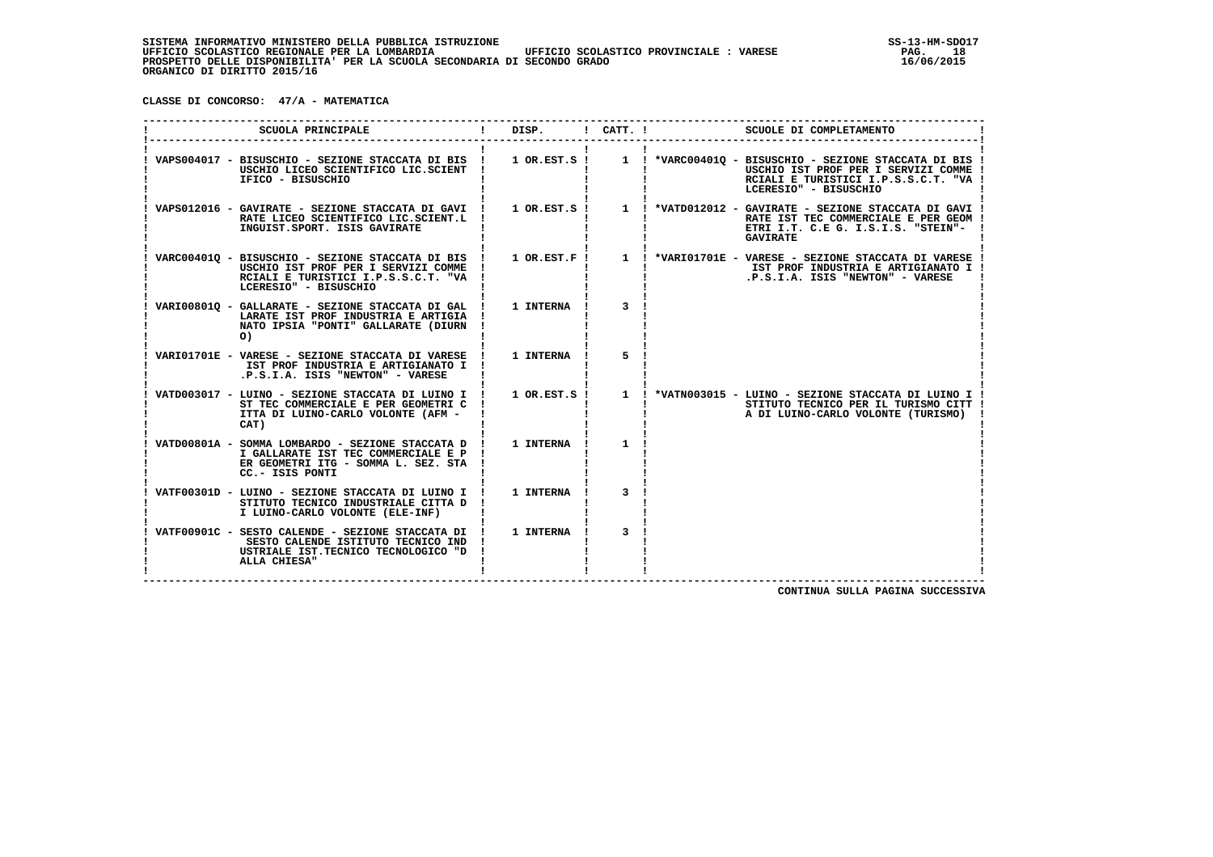**CLASSE DI CONCORSO: 47/A - MATEMATICA**

| SCUOLA PRINCIPALE                                                                                                                                                        | DISP.          | ! CATT. !      | SCUOLE DI COMPLETAMENTO                                                                                                                                        |
|--------------------------------------------------------------------------------------------------------------------------------------------------------------------------|----------------|----------------|----------------------------------------------------------------------------------------------------------------------------------------------------------------|
| VAPS004017 - BISUSCHIO - SEZIONE STACCATA DI BIS !<br>USCHIO LICEO SCIENTIFICO LIC.SCIENT !<br>IFICO - BISUSCHIO                                                         | $1$ OR.EST.S ! |                | 1 ! *VARC004010 - BISUSCHIO - SEZIONE STACCATA DI BIS !<br>USCHIO IST PROF PER I SERVIZI COMME<br>RCIALI E TURISTICI I.P.S.S.C.T. "VA<br>LCERESIO" - BISUSCHIO |
| VAPS012016 - GAVIRATE - SEZIONE STACCATA DI GAVI !<br>RATE LICEO SCIENTIFICO LIC.SCIENT.L !<br>INGUIST.SPORT. ISIS GAVIRATE                                              | 1 OR.EST.S !   |                | 1 ! *VATD012012 - GAVIRATE - SEZIONE STACCATA DI GAVI !<br>RATE IST TEC COMMERCIALE E PER GEOM !<br>ETRI I.T. C.E G. I.S.I.S. "STEIN"-<br><b>GAVIRATE</b>      |
| VARC00401Q - BISUSCHIO - SEZIONE STACCATA DI BIS ! 1 OR.EST.F !<br>USCHIO IST PROF PER I SERVIZI COMME !<br>RCIALI E TURISTICI I.P.S.S.C.T. "VA<br>LCERESIO" - BISUSCHIO |                |                | 1 ! *VARI01701E - VARESE - SEZIONE STACCATA DI VARESE !<br>IST PROF INDUSTRIA E ARTIGIANATO I !<br>.P.S.I.A. ISIS "NEWTON" - VARESE                            |
| VARI008010 - GALLARATE - SEZIONE STACCATA DI GAL !<br>LARATE IST PROF INDUSTRIA E ARTIGIA !<br>NATO IPSIA "PONTI" GALLARATE (DIURN<br>$\circ$                            | 1 INTERNA      | $\mathbf{3}$   |                                                                                                                                                                |
| VARIO1701E - VARESE - SEZIONE STACCATA DI VARESE !<br>IST PROF INDUSTRIA E ARTIGIANATO I !<br>.P.S.I.A. ISIS "NEWTON" - VARESE                                           | 1 INTERNA !    | 5              |                                                                                                                                                                |
| VATD003017 - LUINO - SEZIONE STACCATA DI LUINO I !<br>ST TEC COMMERCIALE E PER GEOMETRI C<br>ITTA DI LUINO-CARLO VOLONTE (AFM -<br>CAT)                                  |                |                | 1 OR.EST.S ! 1 ! *VATN003015 - LUINO - SEZIONE STACCATA DI LUINO I !<br>STITUTO TECNICO PER IL TURISMO CITT !<br>A DI LUINO-CARLO VOLONTE (TURISMO)            |
| VATD00801A - SOMMA LOMBARDO - SEZIONE STACCATA D ! 1 INTERNA<br>I GALLARATE IST TEC COMMERCIALE E P !<br>ER GEOMETRI ITG - SOMMA L. SEZ. STA<br>CC.- ISIS PONTI          |                | $\mathbf{1}$   |                                                                                                                                                                |
| VATF00301D - LUINO - SEZIONE STACCATA DI LUINO I ! 1 INTERNA !<br>STITUTO TECNICO INDUSTRIALE CITTA D !<br>I LUINO-CARLO VOLONTE (ELE-INF)                               |                | 3              |                                                                                                                                                                |
| VATF00901C - SESTO CALENDE - SEZIONE STACCATA DI ! 1 INTERNA !<br>SESTO CALENDE ISTITUTO TECNICO IND !<br>USTRIALE IST. TECNICO TECNOLOGICO "D<br>ALLA CHIESA"           |                | $\overline{3}$ |                                                                                                                                                                |
|                                                                                                                                                                          |                |                | CONTINUA SULLA PAGINA SUCCESSIVA                                                                                                                               |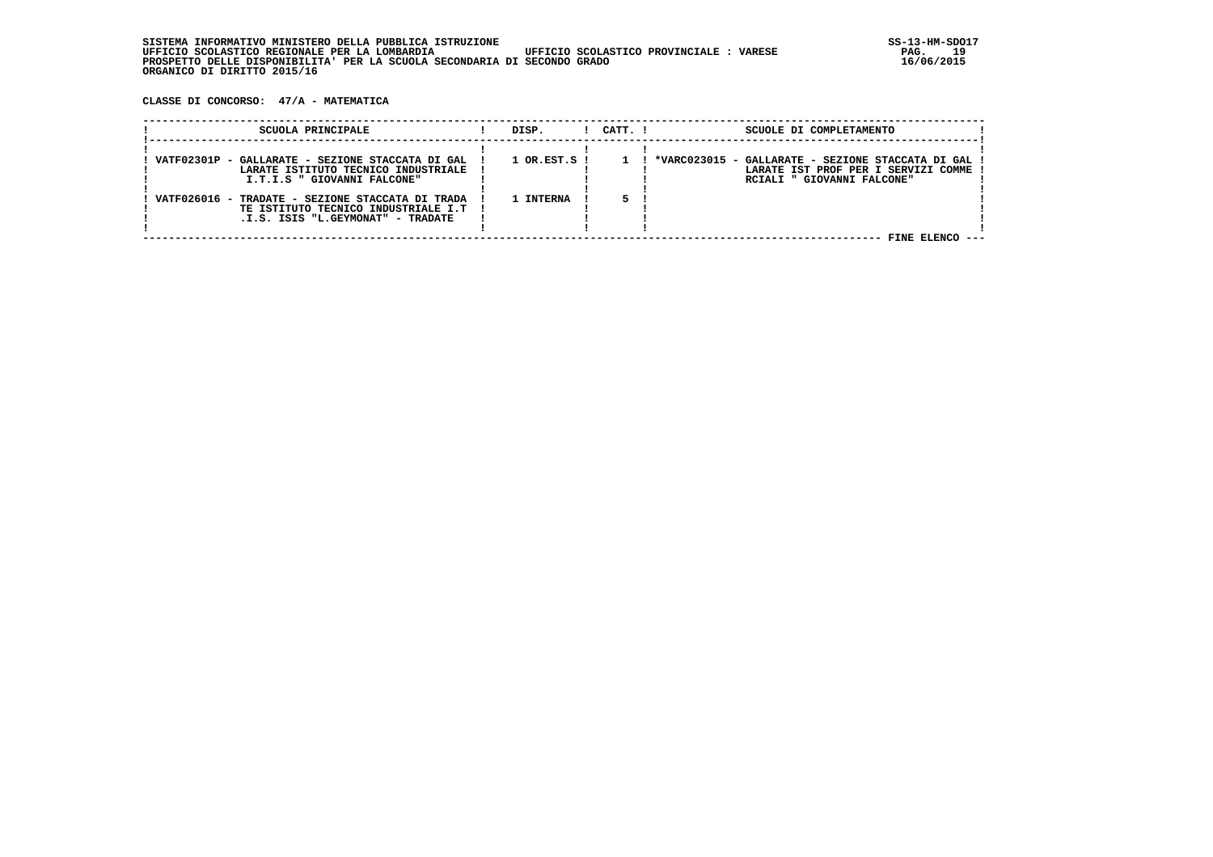**CLASSE DI CONCORSO: 47/A - MATEMATICA**

| SCUOLA PRINCIPALE                                                                                                            | DISP.            | $1$ $CATT$ . $1$ | SCUOLE DI COMPLETAMENTO                                                                                                     |
|------------------------------------------------------------------------------------------------------------------------------|------------------|------------------|-----------------------------------------------------------------------------------------------------------------------------|
| VATF02301P - GALLARATE - SEZIONE STACCATA DI GAL<br>LARATE ISTITUTO TECNICO INDUSTRIALE<br>I.T.I.S " GIOVANNI FALCONE"       | $1$ OR.EST.S $1$ |                  | - GALLARATE - SEZIONE STACCATA DI GAL<br>*VARC023015<br>LARATE IST PROF PER I SERVIZI COMME !<br>RCIALI " GIOVANNI FALCONE" |
| VATF026016 - TRADATE - SEZIONE STACCATA DI TRADA<br>TE ISTITUTO TECNICO INDUSTRIALE I.T<br>.I.S. ISIS "L.GEYMONAT" - TRADATE | 1 INTERNA        |                  |                                                                                                                             |
|                                                                                                                              |                  |                  | FINE ELENCO<br>----                                                                                                         |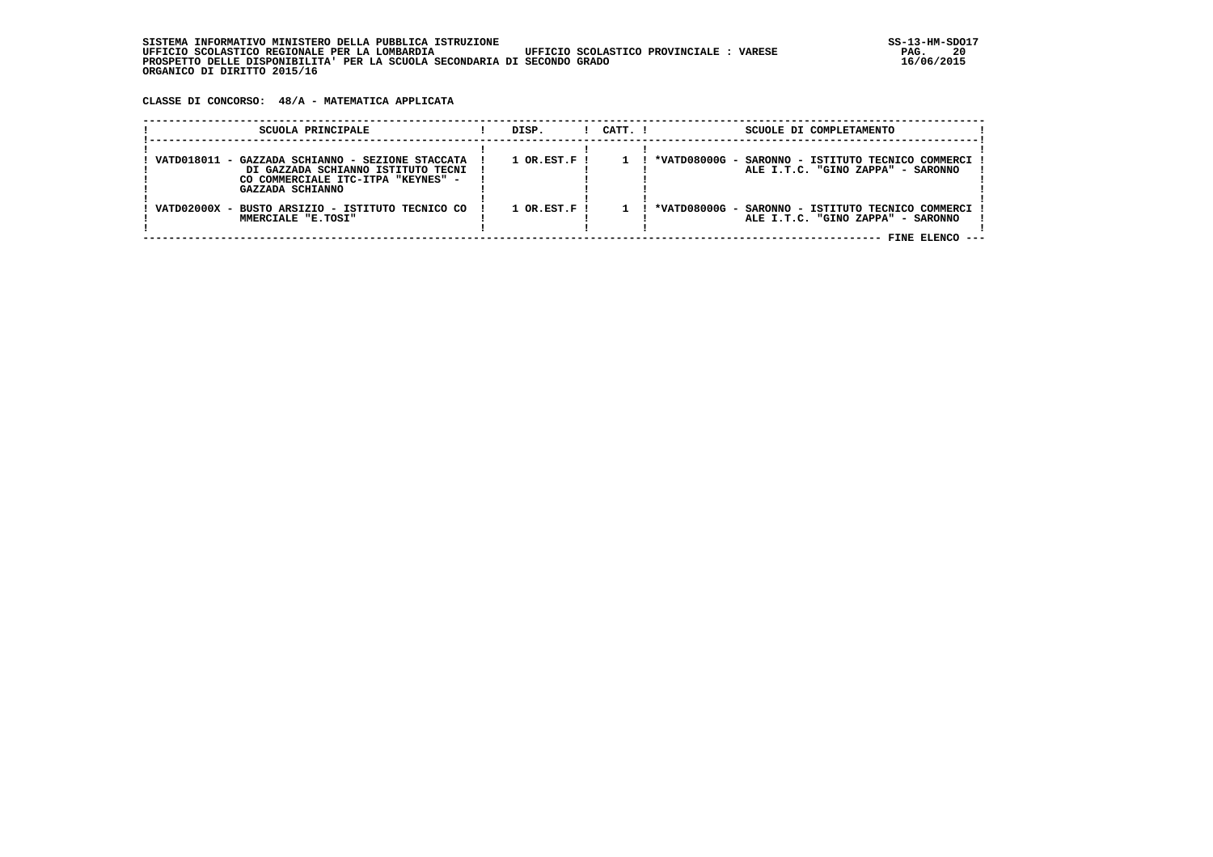**CLASSE DI CONCORSO: 48/A - MATEMATICA APPLICATA**

| SCUOLA PRINCIPALE                                                                                                                                | DISP.                       | $1$ $CATT$ . $1$ | SCUOLE DI COMPLETAMENTO                                                                                   |
|--------------------------------------------------------------------------------------------------------------------------------------------------|-----------------------------|------------------|-----------------------------------------------------------------------------------------------------------|
| VATD018011 - GAZZADA SCHIANNO - SEZIONE STACCATA<br>DI GAZZADA SCHIANNO ISTITUTO TECNI<br>CO COMMERCIALE ITC-ITPA "KEYNES" -<br>GAZZADA SCHIANNO | $1$ OR.EST.F $\overline{1}$ |                  | ! *VATD08000G - SARONNO - ISTITUTO TECNICO COMMERCI !<br>ALE I.T.C. "GINO ZAPPA" - SARONNO                |
| VATD02000X - BUSTO ARSIZIO - ISTITUTO TECNICO CO<br>MMERCIALE "E.TOSI"                                                                           | $1$ OR.EST.F !              |                  | *VATD08000G - SARONNO - ISTITUTO TECNICO COMMERCI<br>ALE I.T.C. "GINO ZAPPA" - SARONNO<br>FINE ELENCO --- |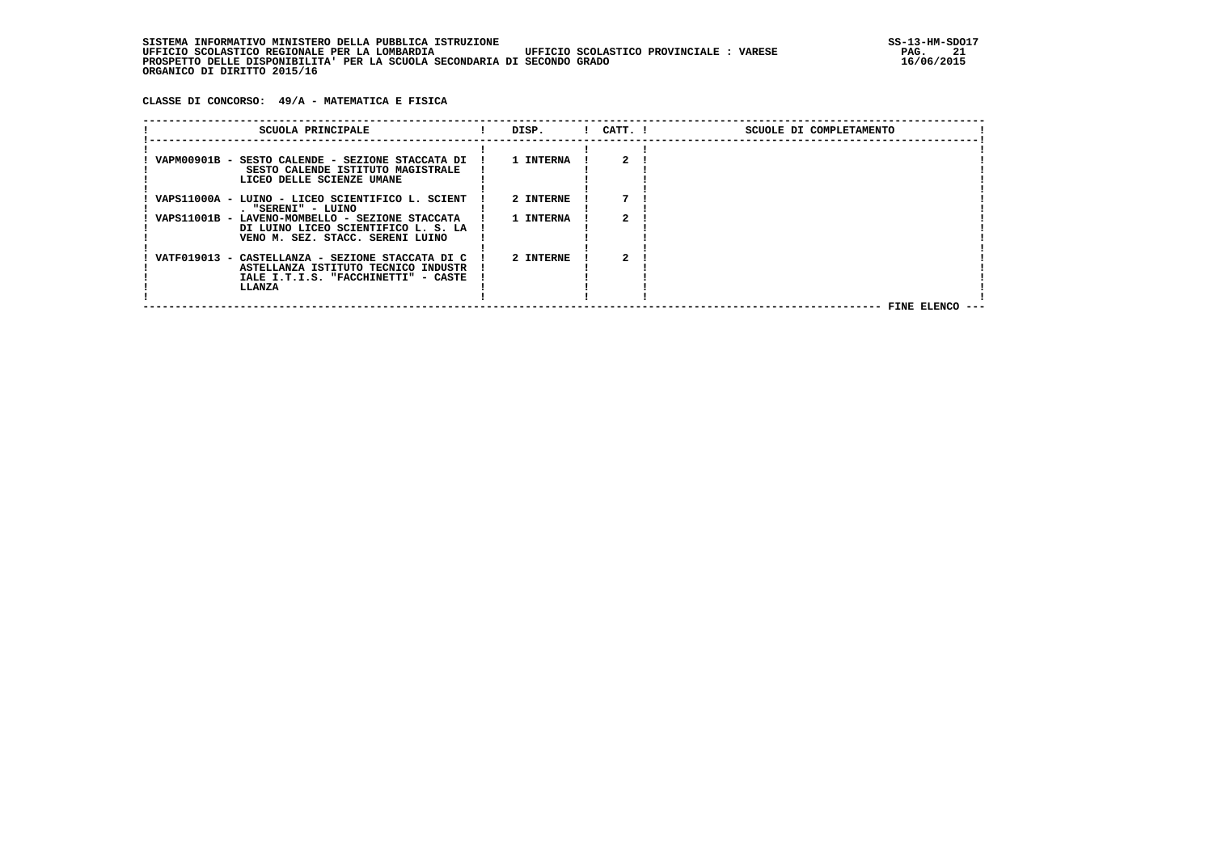**CLASSE DI CONCORSO: 49/A - MATEMATICA E FISICA**

| SCUOLA PRINCIPALE                                | DISP.     | $!$ $CATT$ . $!$ | SCUOLE DI COMPLETAMENTO |
|--------------------------------------------------|-----------|------------------|-------------------------|
|                                                  |           |                  |                         |
| VAPM00901B - SESTO CALENDE - SEZIONE STACCATA DI | 1 INTERNA |                  |                         |
| SESTO CALENDE ISTITUTO MAGISTRALE                |           |                  |                         |
| LICEO DELLE SCIENZE UMANE                        |           |                  |                         |
|                                                  |           |                  |                         |
| VAPS11000A - LUINO - LICEO SCIENTIFICO L. SCIENT | 2 INTERNE |                  |                         |
| . "SERENI" - LUINO                               |           |                  |                         |
| VAPS11001B - LAVENO-MOMBELLO - SEZIONE STACCATA  | 1 INTERNA |                  |                         |
| DI LUINO LICEO SCIENTIFICO L. S. LA              |           |                  |                         |
| VENO M. SEZ. STACC. SERENI LUINO                 |           |                  |                         |
|                                                  |           |                  |                         |
| VATF019013 - CASTELLANZA - SEZIONE STACCATA DI C | 2 INTERNE |                  |                         |
| ASTELLANZA ISTITUTO TECNICO INDUSTR              |           |                  |                         |
| IALE I.T.I.S. "FACCHINETTI" - CASTE              |           |                  |                         |
| LLANZA                                           |           |                  |                         |
|                                                  |           |                  |                         |
|                                                  |           |                  | FINE ELENCO ---         |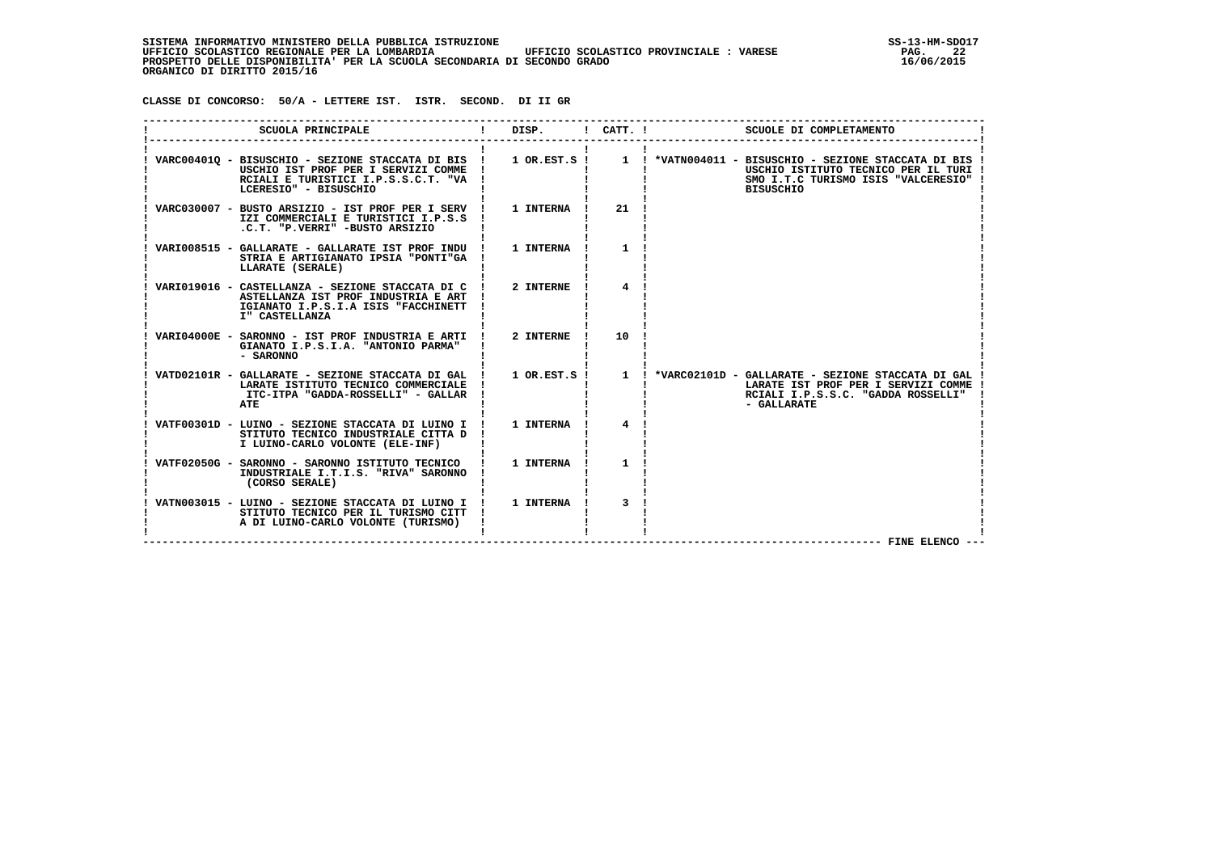SISTEMA INFORMATIVO MINISTERO DELLA PUBBLICA ISTRUZIONE<br>12 UFFICIO SCOLASTICO REGIONALE PER LA LOMBARDIA UFFICIO SCOLASTICO PROVINCIALE : VARESE  **UFFICIO SCOLASTICO REGIONALE PER LA LOMBARDIA UFFICIO SCOLASTICO PROVINCIALE : VARESE PAG. 22 PROSPETTO DELLE DISPONIBILITA' PER LA SCUOLA SECONDARIA DI SECONDO GRADO 16/06/2015 ORGANICO DI DIRITTO 2015/16**

 **CLASSE DI CONCORSO: 50/A - LETTERE IST. ISTR. SECOND. DI II GR**

| SCUOLA PRINCIPALE                                                                                                                                                          | DISP.            | $!$ $CATT$ . $!$ | SCUOLE DI COMPLETAMENTO                                                                                                                                        |
|----------------------------------------------------------------------------------------------------------------------------------------------------------------------------|------------------|------------------|----------------------------------------------------------------------------------------------------------------------------------------------------------------|
| VARC00401Q - BISUSCHIO - SEZIONE STACCATA DI BIS ! 1 OR.EST.S !<br>USCHIO IST PROF PER I SERVIZI COMME !<br>RCIALI E TURISTICI I.P.S.S.C.T. "VA !<br>LCERESIO" - BISUSCHIO |                  |                  | 1 ! *VATN004011 - BISUSCHIO - SEZIONE STACCATA DI BIS !<br>USCHIO ISTITUTO TECNICO PER IL TURI<br>SMO I.T.C TURISMO ISIS "VALCERESIO"<br><b>BISUSCHIO</b>      |
| VARC030007 - BUSTO ARSIZIO - IST PROF PER I SERV !<br>IZI COMMERCIALI E TURISTICI I.P.S.S<br>.C.T. "P.VERRI" -BUSTO ARSIZIO                                                | <b>1 INTERNA</b> | 21               |                                                                                                                                                                |
| VARI008515 - GALLARATE - GALLARATE IST PROF INDU !<br>STRIA E ARTIGIANATO IPSIA "PONTI"GA<br>LLARATE (SERALE)                                                              | 1 INTERNA        | 1                |                                                                                                                                                                |
| VARIO19016 - CASTELLANZA - SEZIONE STACCATA DI C !<br>ASTELLANZA IST PROF INDUSTRIA E ART<br>IGIANATO I.P.S.I.A ISIS "FACCHINETT<br>I" CASTELLANZA                         | 2 INTERNE        | 4                |                                                                                                                                                                |
| VARI04000E - SARONNO - IST PROF INDUSTRIA E ARTI !<br>GIANATO I.P.S.I.A. "ANTONIO PARMA"<br>- SARONNO                                                                      | 2 INTERNE        | 10               |                                                                                                                                                                |
| VATD02101R - GALLARATE - SEZIONE STACCATA DI GAL !<br>LARATE ISTITUTO TECNICO COMMERCIALE<br>ITC-ITPA "GADDA-ROSSELLI" - GALLAR<br>ATE                                     |                  |                  | 1 OR.EST.S ! 1 ! *VARC02101D - GALLARATE - SEZIONE STACCATA DI GAL<br>LARATE IST PROF PER I SERVIZI COMME<br>RCIALI I.P.S.S.C. "GADDA ROSSELLI"<br>- GALLARATE |
| VATF00301D - LUINO - SEZIONE STACCATA DI LUINO I !<br>STITUTO TECNICO INDUSTRIALE CITTA D<br>I LUINO-CARLO VOLONTE (ELE-INF)                                               | <b>1 INTERNA</b> | $\overline{4}$   |                                                                                                                                                                |
| VATF02050G - SARONNO - SARONNO ISTITUTO TECNICO<br>INDUSTRIALE I.T.I.S. "RIVA" SARONNO<br>(CORSO SERALE)                                                                   | 1 INTERNA        | 1                |                                                                                                                                                                |
| VATN003015 - LUINO - SEZIONE STACCATA DI LUINO I !<br>STITUTO TECNICO PER IL TURISMO CITT<br>A DI LUINO-CARLO VOLONTE (TURISMO)                                            | 1 INTERNA        | 3                | FINE ELENCO --                                                                                                                                                 |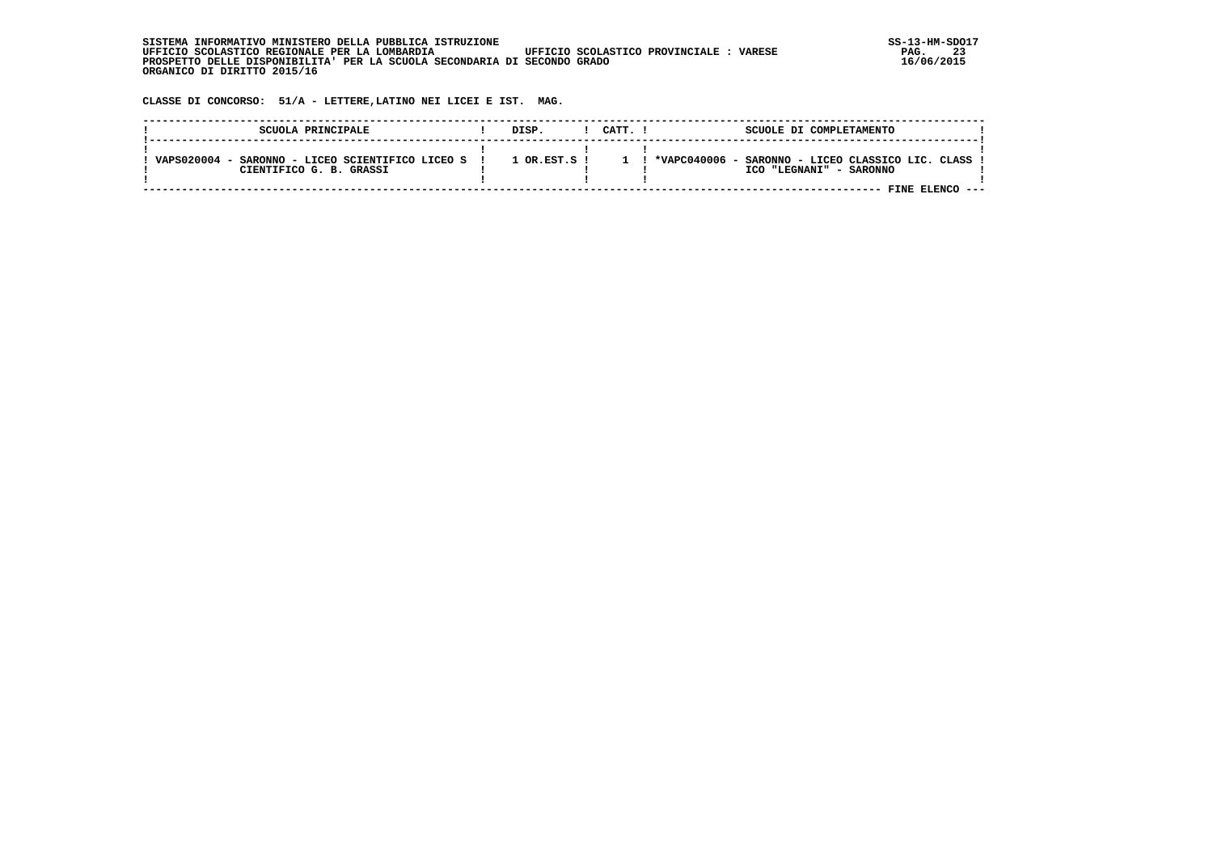| SISTEMA INFORMATIVO MINISTERO DELLA PUBBLICA ISTRUZIONE                                           | $SS-13-HM-SDC$ |
|---------------------------------------------------------------------------------------------------|----------------|
| UFFICIO SCOLASTICO REGIONALE PER LA LOMBARDIA<br>UFFICIO SCOLASTICO PROVINCIALE:<br><b>VARESE</b> | 23<br>PAG.     |
| PROSPETTO DELLE DISPONIBILITA' PER LA SCUOLA SECONDARIA DI SECONDO GRADO                          | 16/06/2015     |
| ORGANICO DI DIRITTO 2015/16                                                                       |                |

 **CLASSE DI CONCORSO: 51/A - LETTERE,LATINO NEI LICEI E IST. MAG.**

| SCUOLA PRINCIPALE                                                              | DISP.            | CATT. ! | SCUOLE DI COMPLETAMENTO                                                      |  |
|--------------------------------------------------------------------------------|------------------|---------|------------------------------------------------------------------------------|--|
| VAPS020004 -<br>SARONNO - LICEO SCIENTIFICO LICEO S<br>CIENTIFICO G. B. GRASSI | $1$ OR $RST.S$ ! |         | *VAPC040006 - SARONNO - LICEO CLASSICO LIC. CLASS<br>ICO "LEGNANI" - SARONNO |  |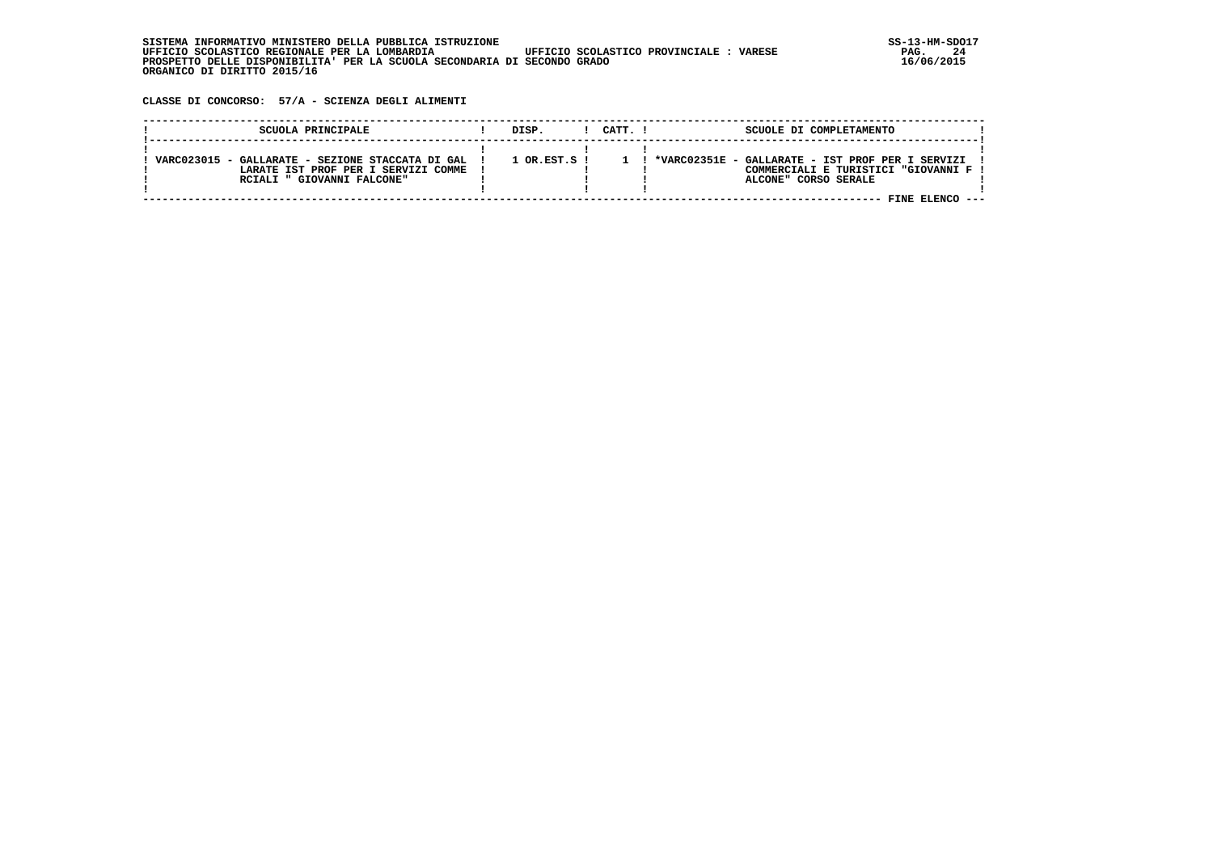**CLASSE DI CONCORSO: 57/A - SCIENZA DEGLI ALIMENTI**

| SCUOLA PRINCIPALE                                | DISP.            | CATT. I | SCUOLE DI COMPLETAMENTO                             |  |
|--------------------------------------------------|------------------|---------|-----------------------------------------------------|--|
|                                                  |                  |         |                                                     |  |
| VARC023015 - GALLARATE - SEZIONE STACCATA DI GAL | $1$ OR.EST.S $1$ |         | - GALLARATE - IST PROF PER I SERVIZI<br>*VARC02351E |  |
| LARATE IST PROF PER I SERVIZI COMME              |                  |         | COMMERCIALI E TURISTICI "GIOVANNI F !               |  |
| RCIALI " GIOVANNI FALCONE"                       |                  |         | ALCONE" CORSO SERALE                                |  |
|                                                  |                  |         |                                                     |  |
|                                                  |                  |         |                                                     |  |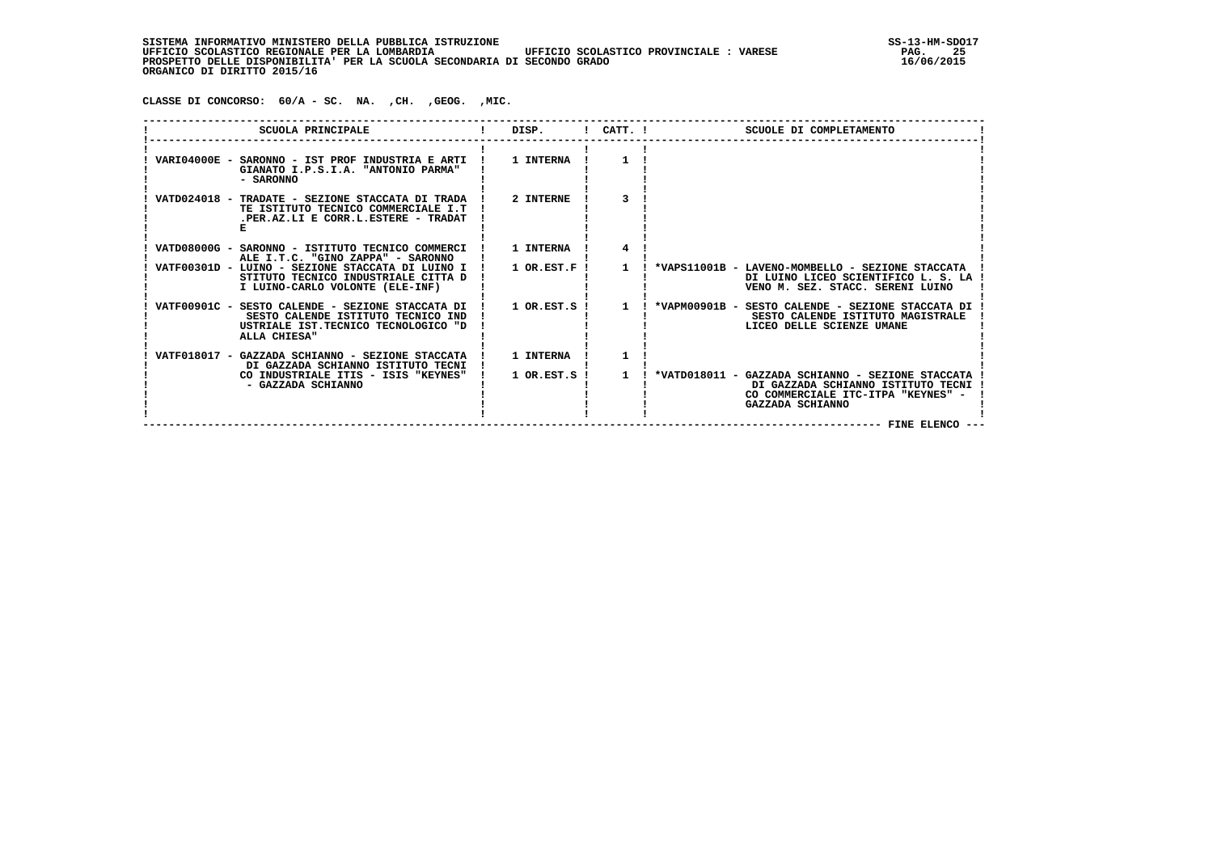**CLASSE DI CONCORSO: 60/A - SC. NA. ,CH. ,GEOG. ,MIC.**

| SCUOLA PRINCIPALE                                                                                                                             | DISP.                 | $!$ $CATT$ . $!$ | SCUOLE DI COMPLETAMENTO                                                                                                                                             |
|-----------------------------------------------------------------------------------------------------------------------------------------------|-----------------------|------------------|---------------------------------------------------------------------------------------------------------------------------------------------------------------------|
| VARI04000E - SARONNO - IST PROF INDUSTRIA E ARTI !<br>GIANATO I.P.S.I.A. "ANTONIO PARMA"<br>- SARONNO                                         | 1 INTERNA             |                  |                                                                                                                                                                     |
| VATD024018 - TRADATE - SEZIONE STACCATA DI TRADA<br>TE ISTITUTO TECNICO COMMERCIALE I.T<br>.PER.AZ.LI E CORR.L.ESTERE - TRADAT                | 2 INTERNE             |                  |                                                                                                                                                                     |
| VATD08000G - SARONNO - ISTITUTO TECNICO COMMERCI<br>ALE I.T.C. "GINO ZAPPA" - SARONNO                                                         | 1 INTERNA             |                  |                                                                                                                                                                     |
| VATF00301D - LUINO - SEZIONE STACCATA DI LUINO I<br>STITUTO TECNICO INDUSTRIALE CITTA D<br>I LUINO-CARLO VOLONTE (ELE-INF)                    | 1 OR.EST.F !          |                  | *VAPS11001B - LAVENO-MOMBELLO - SEZIONE STACCATA<br>DI LUINO LICEO SCIENTIFICO L. S. LA<br>VENO M. SEZ. STACC. SERENI LUINO                                         |
| VATF00901C - SESTO CALENDE - SEZIONE STACCATA DI<br>SESTO CALENDE ISTITUTO TECNICO IND<br>USTRIALE IST.TECNICO TECNOLOGICO "D<br>ALLA CHIESA" | $1$ OR. EST. S $\;$ I | $\mathbf{1}$     | *VAPM00901B - SESTO CALENDE - SEZIONE STACCATA DI<br>SESTO CALENDE ISTITUTO MAGISTRALE<br>LICEO DELLE SCIENZE UMANE                                                 |
| VATF018017 - GAZZADA SCHIANNO - SEZIONE STACCATA<br>DI GAZZADA SCHIANNO ISTITUTO TECNI                                                        | 1 INTERNA             |                  |                                                                                                                                                                     |
| CO INDUSTRIALE ITIS - ISIS "KEYNES"<br>- GAZZADA SCHIANNO                                                                                     | $1$ OR. EST. S $\;$ I | $\mathbf{1}$     | *VATD018011 - GAZZADA SCHIANNO - SEZIONE STACCATA<br>DI GAZZADA SCHIANNO ISTITUTO TECNI<br>CO COMMERCIALE ITC-ITPA "KEYNES" -<br>GAZZADA SCHIANNO<br>FINE ELENCO -- |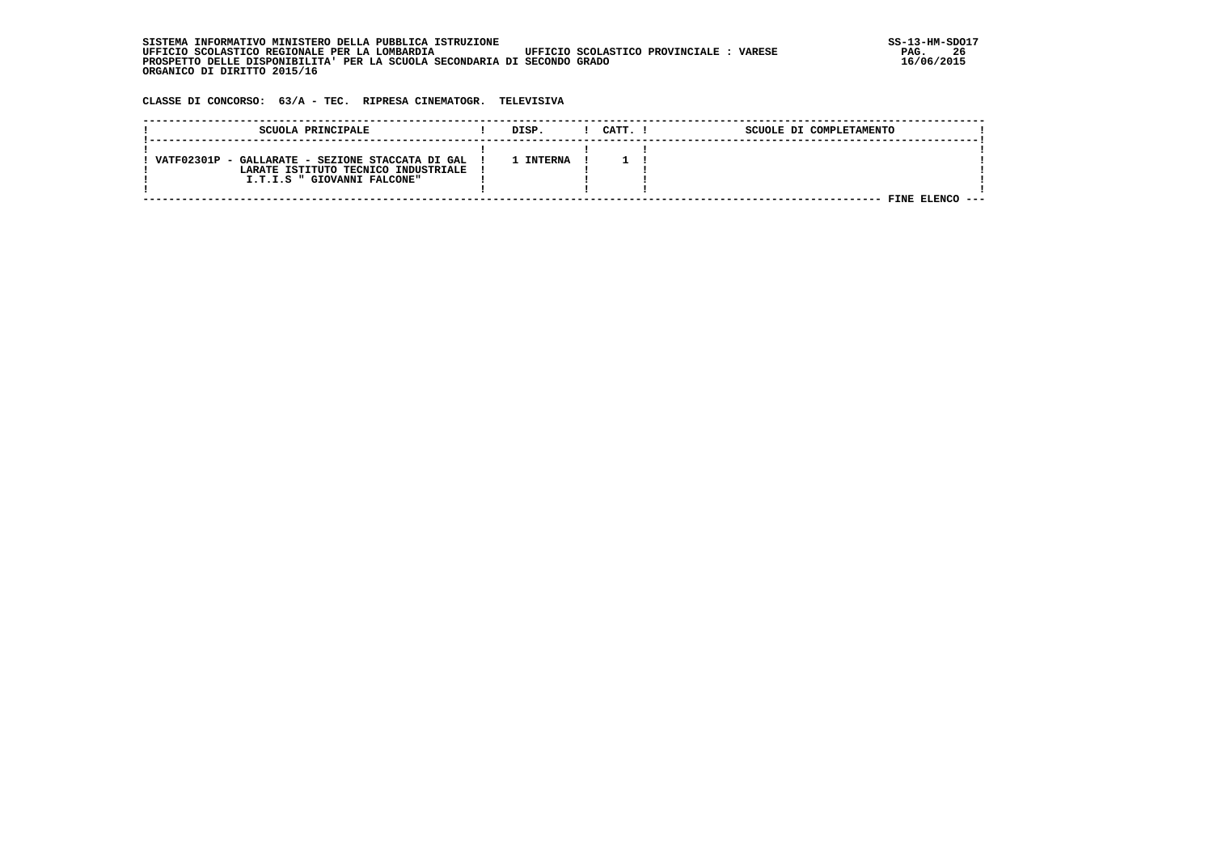| . INFORMATIVO MINISTERO DELLA PUBBLICA ISTRUZIONE<br>STSTEMA                                      | SS-13-HM-SDC |
|---------------------------------------------------------------------------------------------------|--------------|
| UFFICIO SCOLASTICO REGIONALE PER LA LOMBARDIA<br>UFFICIO SCOLASTICO PROVINCIALE:<br><b>VARESE</b> | 26<br>PAG.   |
| PROSPETTO DELLE DISPONIBILITA' PER LA SCUOLA SECONDARIA DI SECONDO GRADO                          | 16/06/2015   |
| ORGANICO DI DIRITTO 2015/16                                                                       |              |

 **CLASSE DI CONCORSO: 63/A - TEC. RIPRESA CINEMATOGR. TELEVISIVA**

| SCUOLA PRINCIPALE                                | DISP.          | CATT. | SCUOLE DI COMPLETAMENTO |  |
|--------------------------------------------------|----------------|-------|-------------------------|--|
|                                                  |                |       |                         |  |
| VATF02301P - GALLARATE - SEZIONE STACCATA DI GAL | <b>INTERNA</b> |       |                         |  |
| LARATE ISTITUTO TECNICO INDUSTRIALE              |                |       |                         |  |
| I.T.I.S " GIOVANNI FALCONE"                      |                |       |                         |  |
|                                                  |                |       |                         |  |
|                                                  |                |       | FINE                    |  |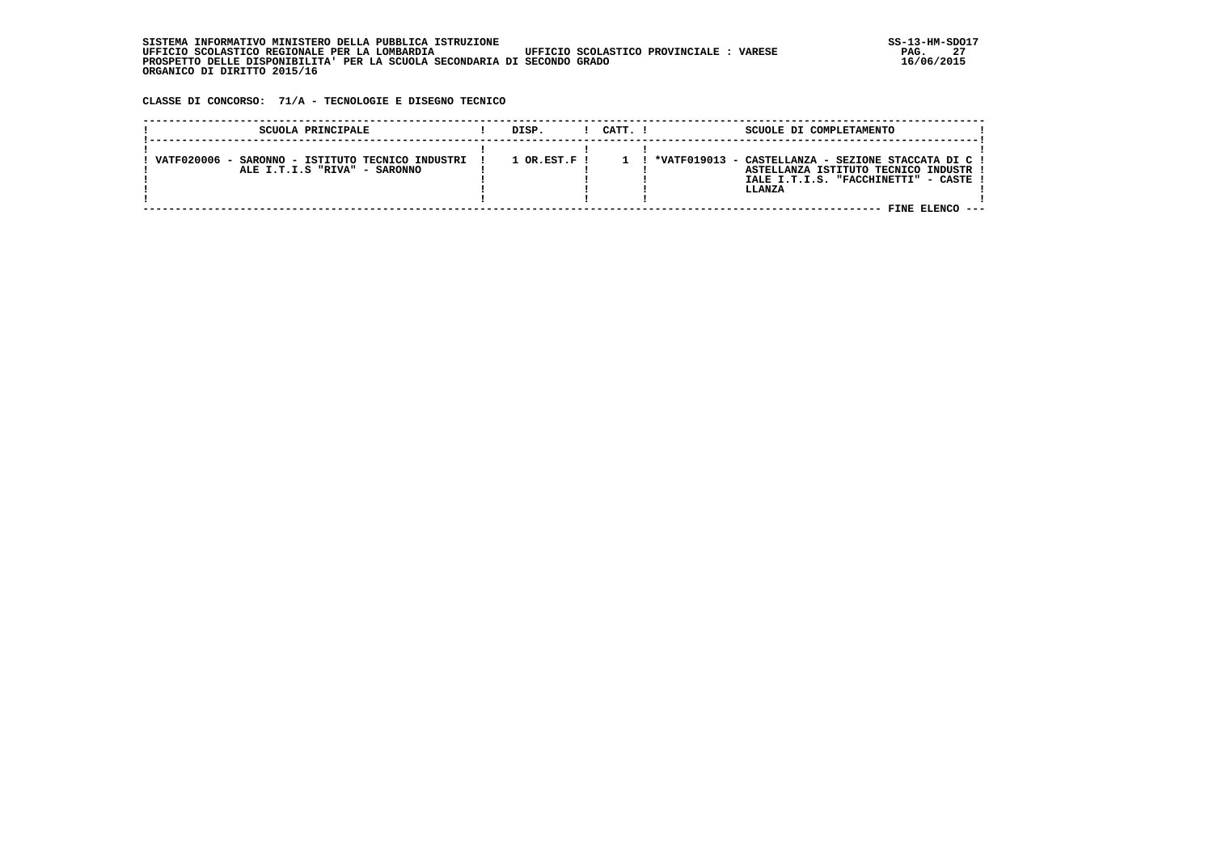**CLASSE DI CONCORSO: 71/A - TECNOLOGIE E DISEGNO TECNICO**

| SCUOLA PRINCIPALE                                                                | DISP.          | CATT. I | SCUOLE DI COMPLETAMENTO                                                                                                                                            |  |
|----------------------------------------------------------------------------------|----------------|---------|--------------------------------------------------------------------------------------------------------------------------------------------------------------------|--|
| VATF020006 - SARONNO - ISTITUTO TECNICO INDUSTRI<br>ALE I.T.I.S "RIVA" - SARONNO | $1$ OR.EST.F ! |         | *VATF019013 - CASTELLANZA - SEZIONE STACCATA DI C !<br>ASTELLANZA ISTITUTO TECNICO INDUSTR !<br>IALE I.T.I.S. "FACCHINETTI" - CASTE !<br>LLANZA<br>FINE ELENCO --- |  |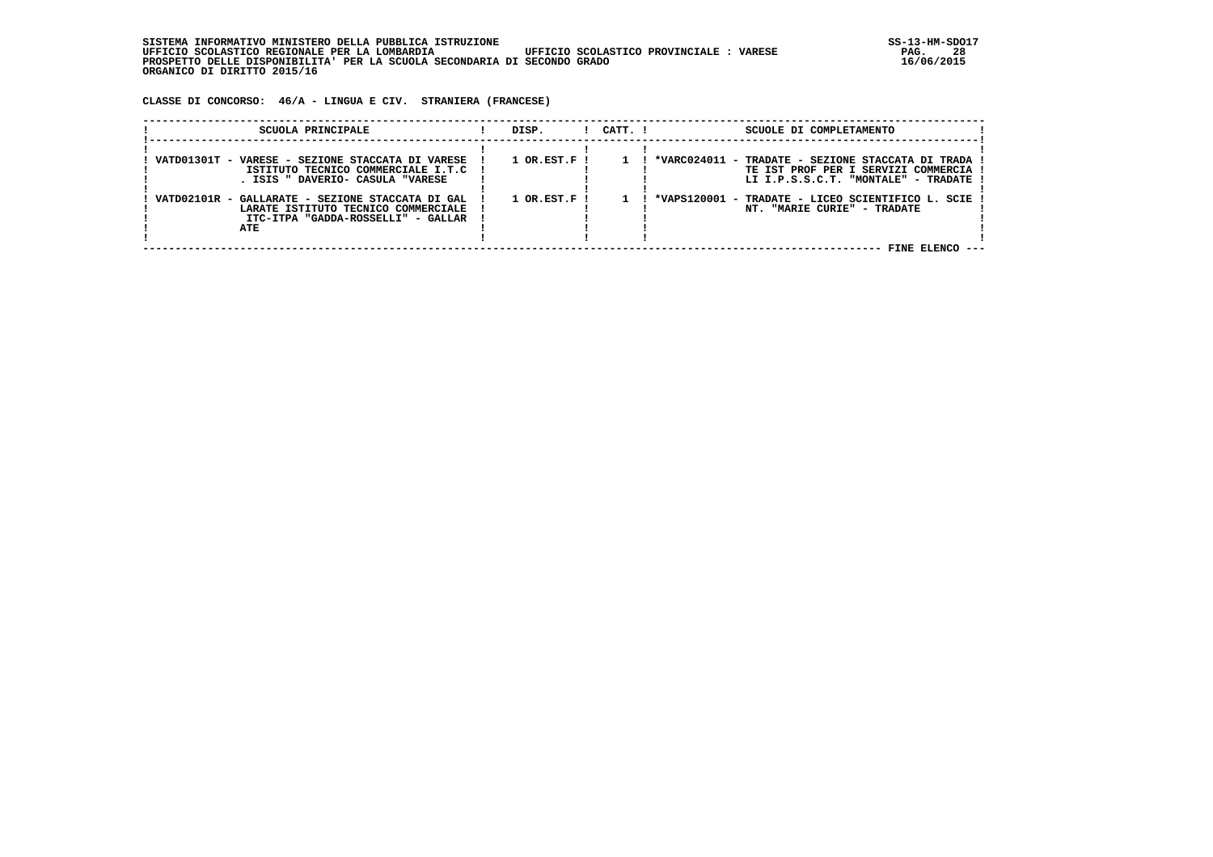| , INFORMATIVO MINISTERO DELLA PUBBLICA ISTRUZIONE<br>STSTEMA                                      | SS-13-HM-SDC |
|---------------------------------------------------------------------------------------------------|--------------|
| UFFICIO SCOLASTICO REGIONALE PER LA LOMBARDIA<br>UFFICIO SCOLASTICO PROVINCIALE:<br><b>VARESE</b> | 28<br>PAG.   |
| PROSPETTO DELLE DISPONIBILITA' PER LA SCUOLA SECONDARIA DI SECONDO GRADO                          | 16/06/2015   |
| ORGANICO DI DIRITTO 2015/16                                                                       |              |

 **CLASSE DI CONCORSO: 46/A - LINGUA E CIV. STRANIERA (FRANCESE)**

| SCUOLA PRINCIPALE                                | DISP.                       | $1$ $CATT$ . $1$ | SCUOLE DI COMPLETAMENTO                             |
|--------------------------------------------------|-----------------------------|------------------|-----------------------------------------------------|
|                                                  |                             |                  |                                                     |
| VATD01301T - VARESE - SEZIONE STACCATA DI VARESE | $1$ OR.EST.F $\overline{1}$ |                  | *VARC024011 - TRADATE - SEZIONE STACCATA DI TRADA ! |
| ISTITUTO TECNICO COMMERCIALE I.T.C               |                             |                  | TE IST PROF PER I SERVIZI COMMERCIA !               |
| ISIS " DAVERIO- CASULA "VARESE                   |                             |                  | LI I.P.S.S.C.T. "MONTALE" - TRADATE                 |
|                                                  |                             |                  |                                                     |
| VATD02101R - GALLARATE - SEZIONE STACCATA DI GAL | $1$ OR.EST.F !              |                  | *VAPS120001 - TRADATE - LICEO SCIENTIFICO L. SCIE   |
| LARATE ISTITUTO TECNICO COMMERCIALE              |                             |                  | NT. "MARIE CURIE" - TRADATE                         |
| ITC-ITPA "GADDA-ROSSELLI" - GALLAR               |                             |                  |                                                     |
| ATE                                              |                             |                  |                                                     |
|                                                  |                             |                  |                                                     |
|                                                  |                             |                  | FINE ELENCO                                         |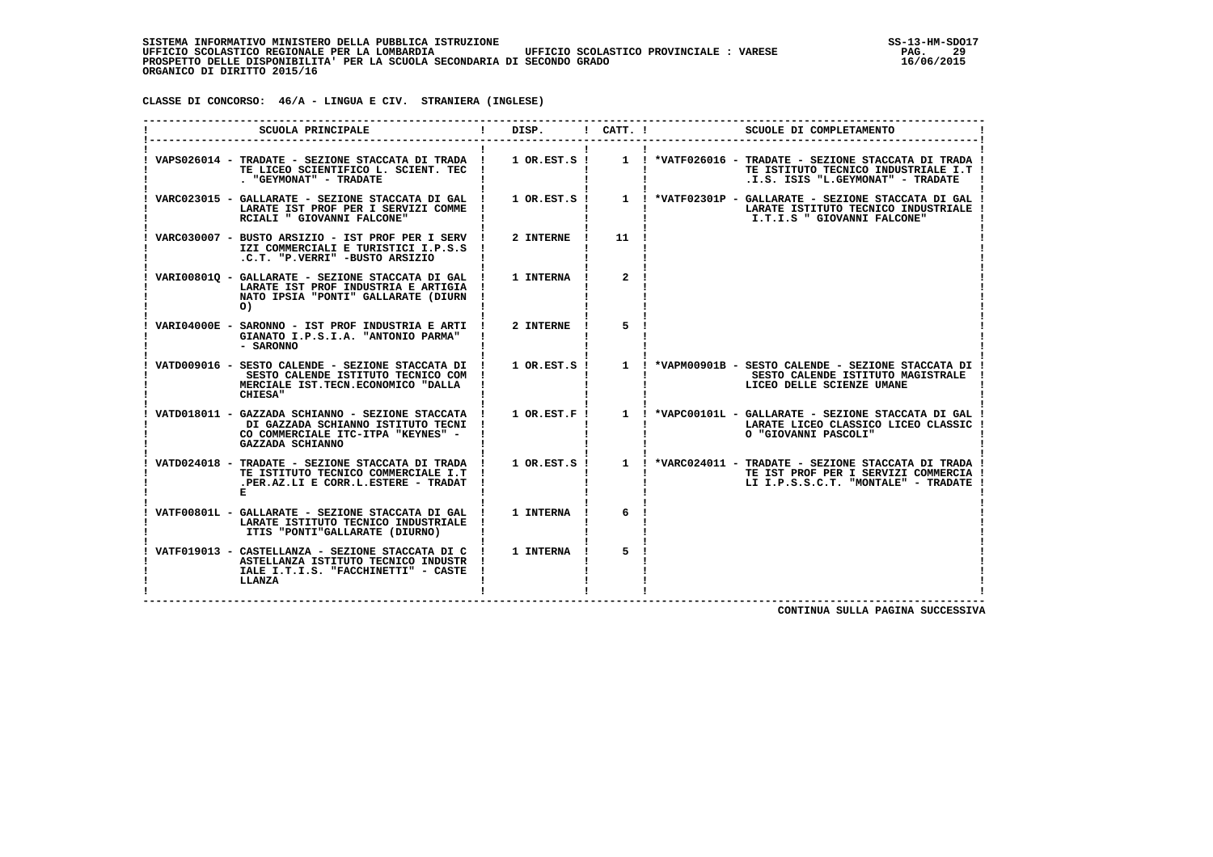**CLASSE DI CONCORSO: 46/A - LINGUA E CIV. STRANIERA (INGLESE)**

| SCUOLA PRINCIPALE                                                                                                                                    | DISP.           | $!$ $CATT$ . $!$ | SCUOLE DI COMPLETAMENTO                                                                                                                                                                             |
|------------------------------------------------------------------------------------------------------------------------------------------------------|-----------------|------------------|-----------------------------------------------------------------------------------------------------------------------------------------------------------------------------------------------------|
| VAPS026014 - TRADATE - SEZIONE STACCATA DI TRADA !<br>TE LICEO SCIENTIFICO L. SCIENT. TEC<br>. "GEYMONAT" - TRADATE                                  | $1$ OR.EST.S !  |                  | 1 ! *VATF026016 - TRADATE - SEZIONE STACCATA DI TRADA !<br>TE ISTITUTO TECNICO INDUSTRIALE I.T !<br>.I.S. ISIS "L.GEYMONAT" - TRADATE                                                               |
| VARC023015 - GALLARATE - SEZIONE STACCATA DI GAL<br>LARATE IST PROF PER I SERVIZI COMME<br>RCIALI " GIOVANNI FALCONE"                                |                 |                  | 1 OR.EST.S ! 1 ! *VATF02301P - GALLARATE - SEZIONE STACCATA DI GAL !<br>LARATE ISTITUTO TECNICO INDUSTRIALE<br>I.T.I.S " GIOVANNI FALCONE"                                                          |
| VARC030007 - BUSTO ARSIZIO - IST PROF PER I SERV<br>IZI COMMERCIALI E TURISTICI I.P.S.S<br>.C.T. "P.VERRI" -BUSTO ARSIZIO                            | 2 INTERNE       | 11               |                                                                                                                                                                                                     |
| VARI008010 - GALLARATE - SEZIONE STACCATA DI GAL !<br>LARATE IST PROF INDUSTRIA E ARTIGIA !<br>NATO IPSIA "PONTI" GALLARATE (DIURN<br>O)             | 1 INTERNA       | $\overline{2}$   |                                                                                                                                                                                                     |
| VARI04000E - SARONNO - IST PROF INDUSTRIA E ARTI !<br>GIANATO I.P.S.I.A. "ANTONIO PARMA"<br>- SARONNO                                                | 2 INTERNE       | 5                |                                                                                                                                                                                                     |
| VATD009016 - SESTO CALENDE - SEZIONE STACCATA DI !<br>SESTO CALENDE ISTITUTO TECNICO COM !<br>MERCIALE IST. TECN. ECONOMICO "DALLA<br>CHIESA"        |                 |                  | 1 OR.EST.S ! 1 ! *VAPM00901B - SESTO CALENDE - SEZIONE STACCATA DI !<br>SESTO CALENDE ISTITUTO MAGISTRALE<br>LICEO DELLE SCIENZE UMANE                                                              |
| VATD018011 - GAZZADA SCHIANNO - SEZIONE STACCATA !<br>DI GAZZADA SCHIANNO ISTITUTO TECNI !<br>CO COMMERCIALE ITC-ITPA "KEYNES" -<br>GAZZADA SCHIANNO | $1$ OR. EST. F! |                  | 1 ! *VAPC00101L - GALLARATE - SEZIONE STACCATA DI GAL<br>LARATE LICEO CLASSICO LICEO CLASSIC<br>O "GIOVANNI PASCOLI"                                                                                |
| TE ISTITUTO TECNICO COMMERCIALE I.T<br>.PER.AZ.LI E CORR.L.ESTERE - TRADAT                                                                           |                 |                  | VATD024018 - TRADATE - SEZIONE STACCATA DI TRADA ! 1 OR.EST.S ! 1 ! *VARC024011 - TRADATE - SEZIONE STACCATA DI TRADA<br>TE IST PROF PER I SERVIZI COMMERCIA<br>LI I.P.S.S.C.T. "MONTALE" - TRADATE |
| VATF00801L - GALLARATE - SEZIONE STACCATA DI GAL !<br>LARATE ISTITUTO TECNICO INDUSTRIALE<br>ITIS "PONTI"GALLARATE (DIURNO)                          | 1 INTERNA       | 6                |                                                                                                                                                                                                     |
| VATF019013 - CASTELLANZA - SEZIONE STACCATA DI C<br>ASTELLANZA ISTITUTO TECNICO INDUSTR !<br>IALE I.T.I.S. "FACCHINETTI" - CASTE<br>LLANZA           | 1 INTERNA       | 5                |                                                                                                                                                                                                     |

 **CONTINUA SULLA PAGINA SUCCESSIVA**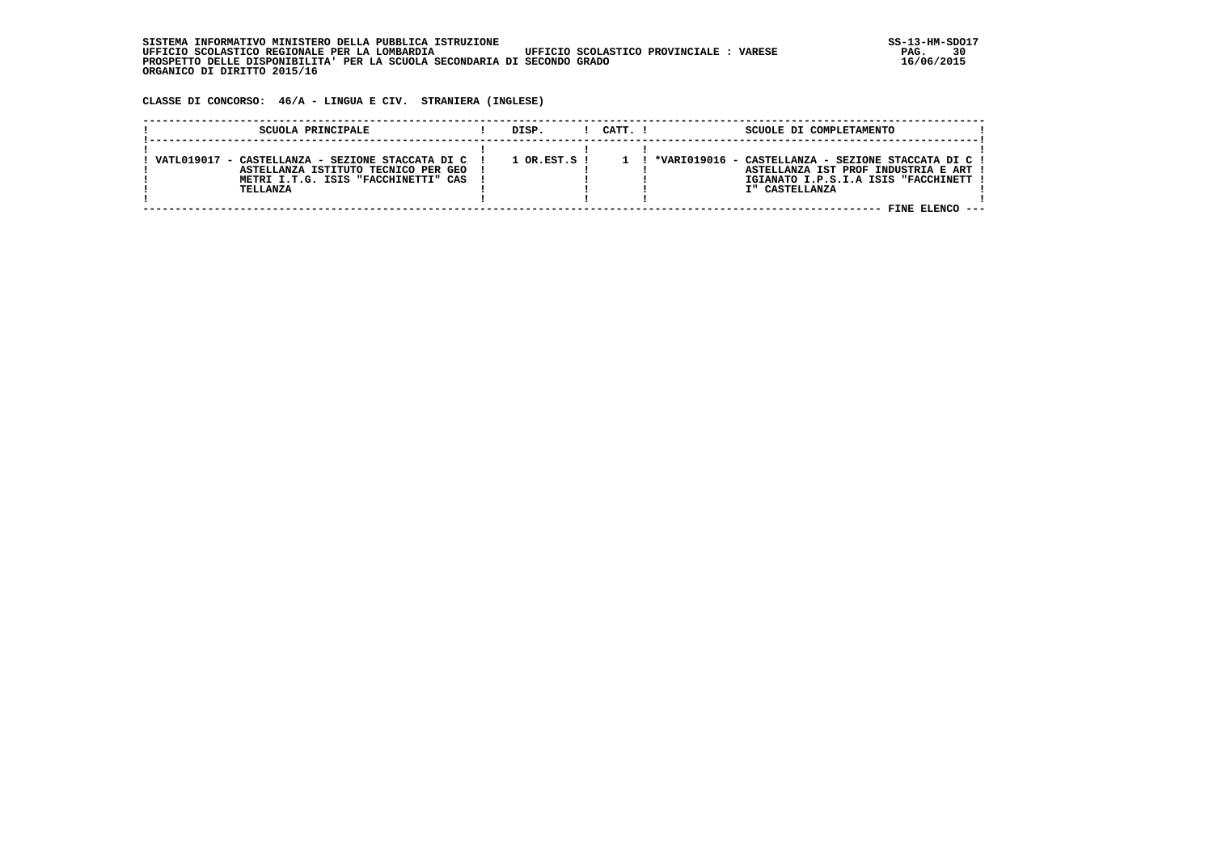| . INFORMATIVO MINISTERO DELLA PUBBLICA ISTRUZIONE<br>STSTEMA                                      | SS-13-HM-SDC |
|---------------------------------------------------------------------------------------------------|--------------|
| UFFICIO SCOLASTICO REGIONALE PER LA LOMBARDIA<br>UFFICIO SCOLASTICO PROVINCIALE:<br><b>VARESE</b> | 30<br>PAG.   |
| PROSPETTO DELLE DISPONIBILITA' PER LA SCUOLA SECONDARIA DI SECONDO GRADO                          | 16/06/2015   |
| ORGANICO DI DIRITTO 2015/16                                                                       |              |

 **CLASSE DI CONCORSO: 46/A - LINGUA E CIV. STRANIERA (INGLESE)**

| SCUOLA PRINCIPALE                                                                                                                                | DISP.            | CATT. I | SCUOLE DI COMPLETAMENTO                                                                                                                                 |  |
|--------------------------------------------------------------------------------------------------------------------------------------------------|------------------|---------|---------------------------------------------------------------------------------------------------------------------------------------------------------|--|
| - CASTELLANZA - SEZIONE STACCATA DI C 1<br>VATI.019017<br>ASTELLANZA ISTITUTO TECNICO PER GEO<br>METRI I.T.G. ISIS "FACCHINETTI" CAS<br>TELLANZA | $1$ OR.EST.S $1$ |         | *VARIO19016 - CASTELLANZA - SEZIONE STACCATA DI C !<br>ASTELLANZA IST PROF INDUSTRIA E ART !<br>IGIANATO I.P.S.I.A ISIS "FACCHINETT !<br>I" CASTELLANZA |  |
|                                                                                                                                                  |                  |         |                                                                                                                                                         |  |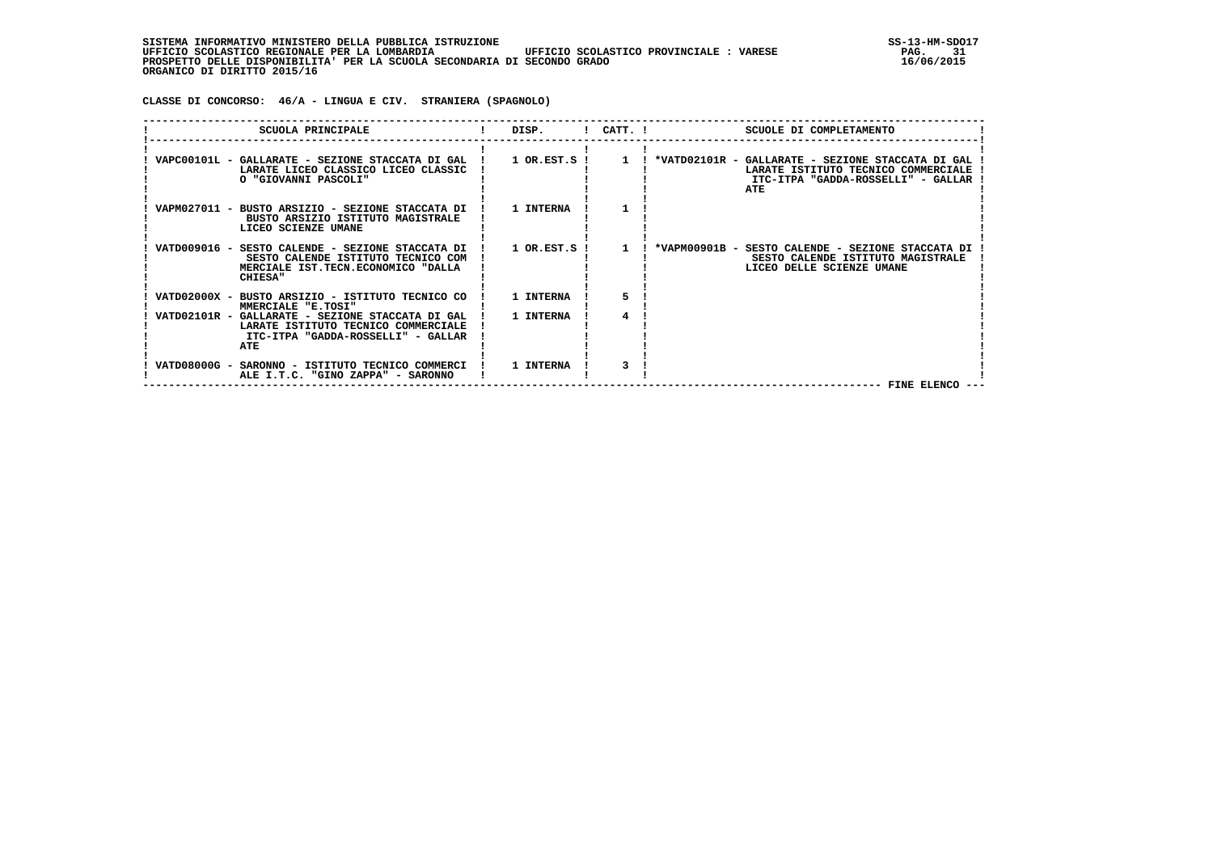**CLASSE DI CONCORSO: 46/A - LINGUA E CIV. STRANIERA (SPAGNOLO)**

|  | SCUOLA PRINCIPALE                                                                                                                              | DISP.            | $!$ CATT. $!$ | SCUOLE DI COMPLETAMENTO                                                                                                                                                                                   |
|--|------------------------------------------------------------------------------------------------------------------------------------------------|------------------|---------------|-----------------------------------------------------------------------------------------------------------------------------------------------------------------------------------------------------------|
|  | LARATE LICEO CLASSICO LICEO CLASSIC<br>O "GIOVANNI PASCOLI"                                                                                    |                  |               | VAPC00101L - GALLARATE - SEZIONE STACCATA DI GAL ! 1 OR.EST.S ! 1 ! *VATD02101R - GALLARATE - SEZIONE STACCATA DI GAL<br>LARATE ISTITUTO TECNICO COMMERCIALE<br>ITC-ITPA "GADDA-ROSSELLI" - GALLAR<br>ATE |
|  | VAPM027011 - BUSTO ARSIZIO - SEZIONE STACCATA DI !<br>BUSTO ARSIZIO ISTITUTO MAGISTRALE<br>LICEO SCIENZE UMANE                                 | 1 INTERNA        |               |                                                                                                                                                                                                           |
|  | VATD009016 - SESTO CALENDE - SEZIONE STACCATA DI<br>SESTO CALENDE ISTITUTO TECNICO COM<br>MERCIALE IST.TECN.ECONOMICO "DALLA<br><b>CHIESA"</b> | 1 OR.EST.S !     |               | *VAPM00901B - SESTO CALENDE - SEZIONE STACCATA DI<br>SESTO CALENDE ISTITUTO MAGISTRALE<br>LICEO DELLE SCIENZE UMANE                                                                                       |
|  | VATD02000X - BUSTO ARSIZIO - ISTITUTO TECNICO CO !<br>MMERCIALE "E.TOSI"                                                                       | <b>1 INTERNA</b> |               |                                                                                                                                                                                                           |
|  | VATD02101R - GALLARATE - SEZIONE STACCATA DI GAL<br>LARATE ISTITUTO TECNICO COMMERCIALE<br>ITC-ITPA "GADDA-ROSSELLI" - GALLAR<br>ATE           | 1 INTERNA        |               |                                                                                                                                                                                                           |
|  | VATD08000G - SARONNO - ISTITUTO TECNICO COMMERCI<br>ALE I.T.C. "GINO ZAPPA" - SARONNO                                                          | 1 INTERNA        |               | FINE ELENCO                                                                                                                                                                                               |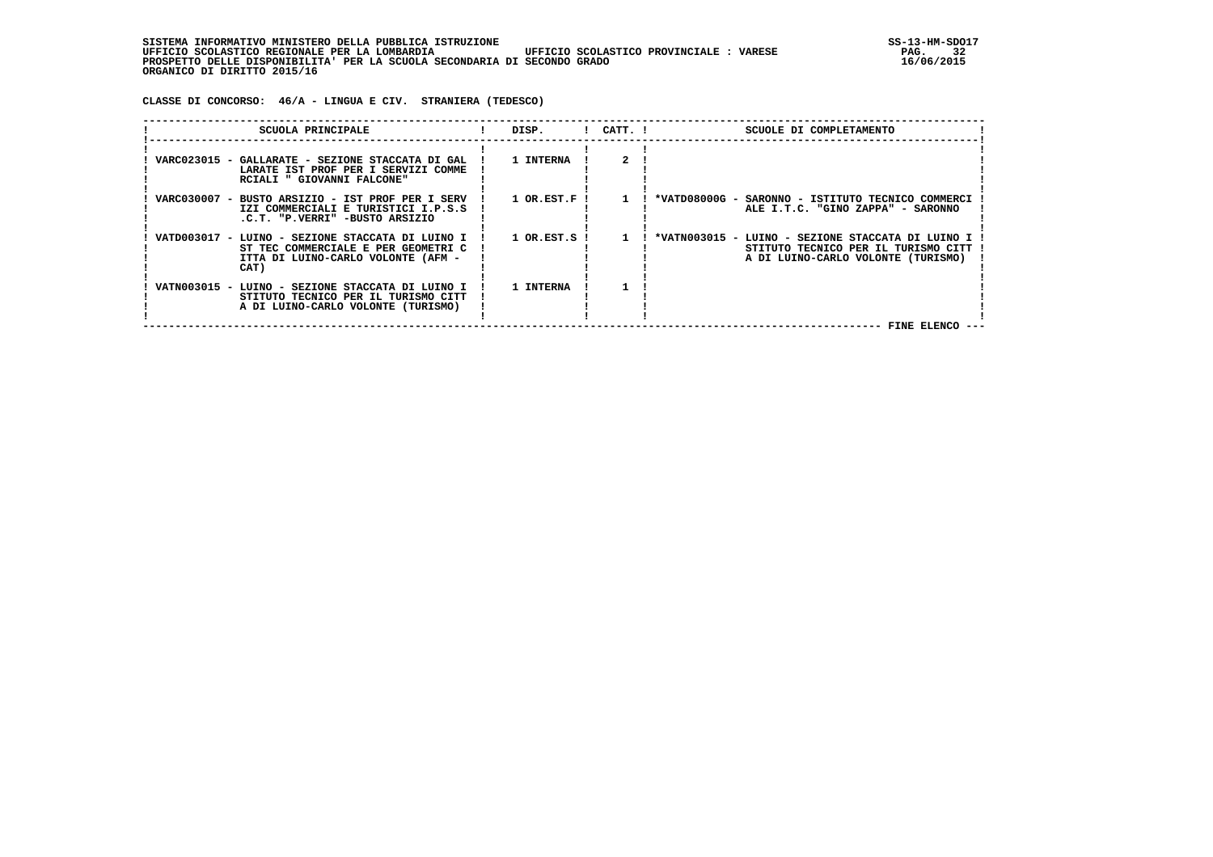| , INFORMATIVO MINISTERO DELLA PUBBLICA ISTRUZIONE<br>STSTEMA                                      | SS-13-HM-SDC |
|---------------------------------------------------------------------------------------------------|--------------|
| UFFICIO SCOLASTICO REGIONALE PER LA LOMBARDIA<br>UFFICIO SCOLASTICO PROVINCIALE:<br><b>VARESE</b> | 32<br>PAG.   |
| PROSPETTO DELLE DISPONIBILITA' PER LA SCUOLA SECONDARIA DI SECONDO GRADO                          | 16/06/2015   |
| ORGANICO DI DIRITTO 2015/16                                                                       |              |

 **CLASSE DI CONCORSO: 46/A - LINGUA E CIV. STRANIERA (TEDESCO)**

| SCUOLA PRINCIPALE                                                                                                                     | DISP.        | $!$ $CATT$ . $!$ | SCUOLE DI COMPLETAMENTO                                                                                                        |
|---------------------------------------------------------------------------------------------------------------------------------------|--------------|------------------|--------------------------------------------------------------------------------------------------------------------------------|
| VARC023015 - GALLARATE - SEZIONE STACCATA DI GAL<br>LARATE IST PROF PER I SERVIZI COMME<br>RCIALI " GIOVANNI FALCONE"                 | 1 INTERNA    |                  |                                                                                                                                |
| VARC030007 - BUSTO ARSIZIO - IST PROF PER I SERV<br>IZI COMMERCIALI E TURISTICI I.P.S.S<br>.C.T. "P.VERRI" -BUSTO ARSIZIO             | 1 OR.EST.F ! |                  | *VATD08000G -<br>SARONNO - ISTITUTO TECNICO COMMERCI<br>ALE I.T.C. "GINO ZAPPA" - SARONNO                                      |
| VATD003017 - LUINO - SEZIONE STACCATA DI LUINO I<br>ST TEC COMMERCIALE E PER GEOMETRI C<br>ITTA DI LUINO-CARLO VOLONTE (AFM -<br>CAT) | 1 OR.EST.S ! | $\mathbf{1}$     | *VATN003015 - LUINO - SEZIONE STACCATA DI LUINO I<br>STITUTO TECNICO PER IL TURISMO CITT<br>A DI LUINO-CARLO VOLONTE (TURISMO) |
| VATN003015 - LUINO - SEZIONE STACCATA DI LUINO I<br>STITUTO TECNICO PER IL TURISMO CITT<br>A DI LUINO-CARLO VOLONTE (TURISMO)         | 1 INTERNA    |                  | FINE ELENCO                                                                                                                    |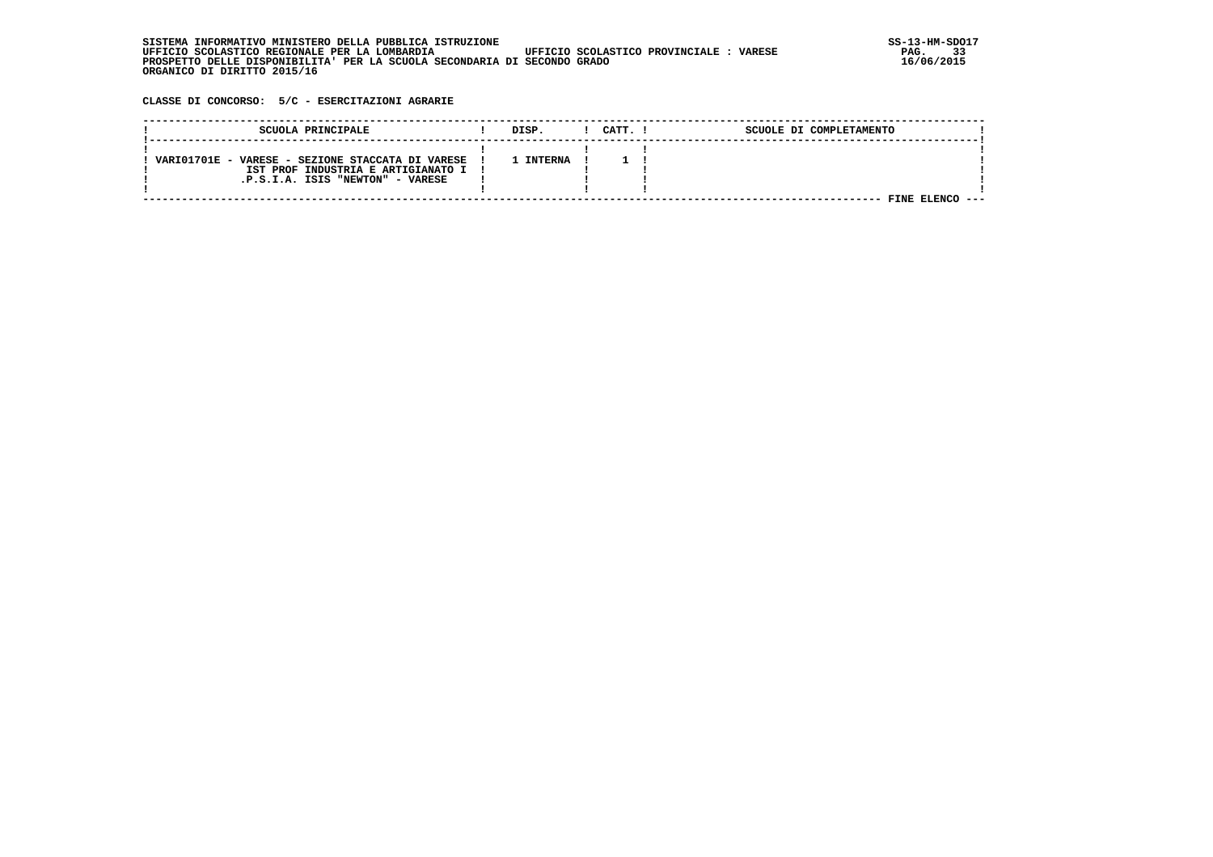| . INFORMATIVO MINISTERO DELLA PUBBLICA ISTRUZIONE<br>STSTEMA                                      | SS-13-HM-SDC |
|---------------------------------------------------------------------------------------------------|--------------|
| UFFICIO SCOLASTICO REGIONALE PER LA LOMBARDIA<br>UFFICIO SCOLASTICO PROVINCIALE:<br><b>VARESE</b> | 33<br>PAG.   |
| PROSPETTO DELLE DISPONIBILITA' PER LA SCUOLA SECONDARIA DI SECONDO GRADO                          | 16/06/2015   |
| ORGANICO DI DIRITTO 2015/16                                                                       |              |

 **CLASSE DI CONCORSO: 5/C - ESERCITAZIONI AGRARIE**

| SCUOLA PRINCIPALE                                | DISP.   | CATT. I | SCUOLE DI COMPLETAMENTO |  |
|--------------------------------------------------|---------|---------|-------------------------|--|
|                                                  |         |         |                         |  |
| VARIO1701E - VARESE - SEZIONE STACCATA DI VARESE | TNTERNA |         |                         |  |
| IST PROF INDUSTRIA E ARTIGIANATO I               |         |         |                         |  |
| .P.S.I.A. ISIS "NEWTON" - VARESE                 |         |         |                         |  |
|                                                  |         |         |                         |  |
|                                                  |         |         | FINE                    |  |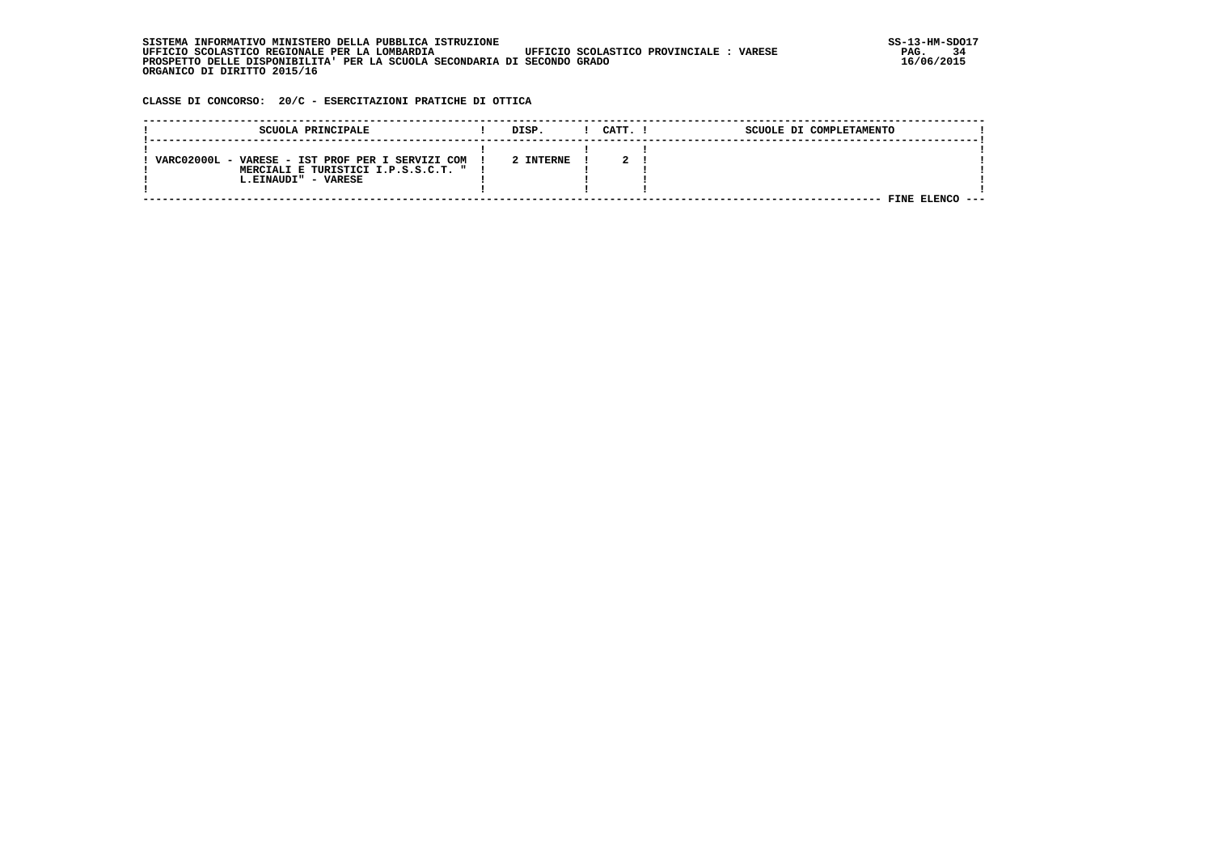| . INFORMATIVO MINISTERO DELLA PUBBLICA ISTRUZIONE<br>STSTEMA                                      | SS-13-HM-SDC |
|---------------------------------------------------------------------------------------------------|--------------|
| UFFICIO SCOLASTICO REGIONALE PER LA LOMBARDIA<br>UFFICIO SCOLASTICO PROVINCIALE:<br><b>VARESE</b> | 34<br>PAG.   |
| PROSPETTO DELLE DISPONIBILITA' PER LA SCUOLA SECONDARIA DI SECONDO GRADO                          | 16/06/2015   |
| ORGANICO DI DIRITTO 2015/16                                                                       |              |

 **CLASSE DI CONCORSO: 20/C - ESERCITAZIONI PRATICHE DI OTTICA**

| SCUOLA PRINCIPALE                                                                                                | DISP.     | CATT. I | SCUOLE DI COMPLETAMENTO |  |
|------------------------------------------------------------------------------------------------------------------|-----------|---------|-------------------------|--|
| VARC02000L - VARESE - IST PROF PER I SERVIZI COM<br>MERCIALI E TURISTICI I.P.S.S.C.T. " !<br>L.EINAUDI" - VARESE | 2 INTERNE |         |                         |  |
|                                                                                                                  |           |         | 7INE.                   |  |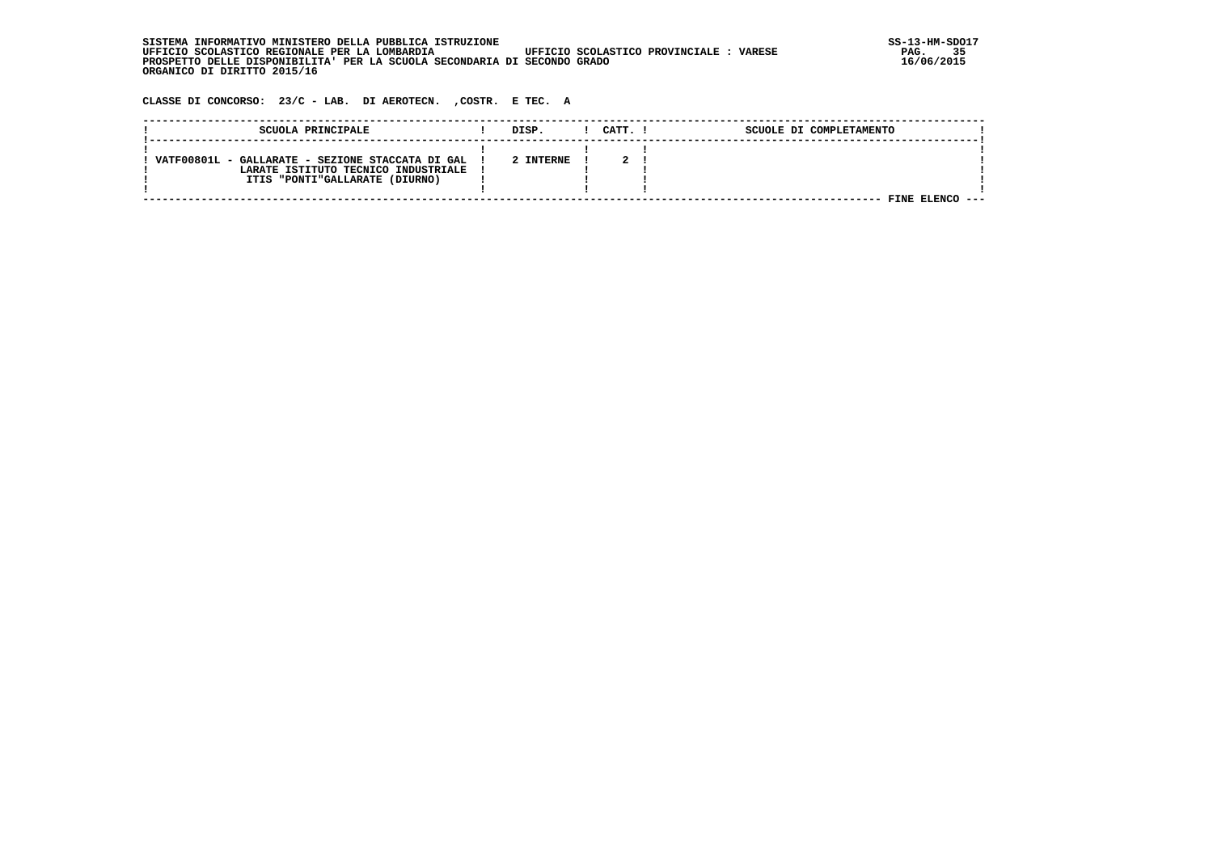| SISTEMA INFORMATIVO MINISTERO DELLA PUBBLICA ISTRUZIONE                                           | $SS-13-HM-SDC$ |
|---------------------------------------------------------------------------------------------------|----------------|
| UFFICIO SCOLASTICO PROVINCIALE:<br>UFFICIO SCOLASTICO REGIONALE PER LA LOMBARDIA<br><b>VARESE</b> | 35<br>PAG.     |
| PROSPETTO DELLE DISPONIBILITA' PER LA SCUOLA SECONDARIA DI SECONDO GRADO                          | 16/06/2015     |
| ORGANICO DI DIRITTO 2015/16                                                                       |                |

 **CLASSE DI CONCORSO: 23/C - LAB. DI AEROTECN. ,COSTR. E TEC. A**

| SCUOLA PRINCIPALE                                                                                                         | DISP.     | CATT. 1 | SCUOLE DI COMPLETAMENTO |  |
|---------------------------------------------------------------------------------------------------------------------------|-----------|---------|-------------------------|--|
| VATF00801L - GALLARATE - SEZIONE STACCATA DI GAL<br>LARATE ISTITUTO TECNICO INDUSTRIALE<br>ITIS "PONTI"GALLARATE (DIURNO) | 2 INTERNE |         | FINE                    |  |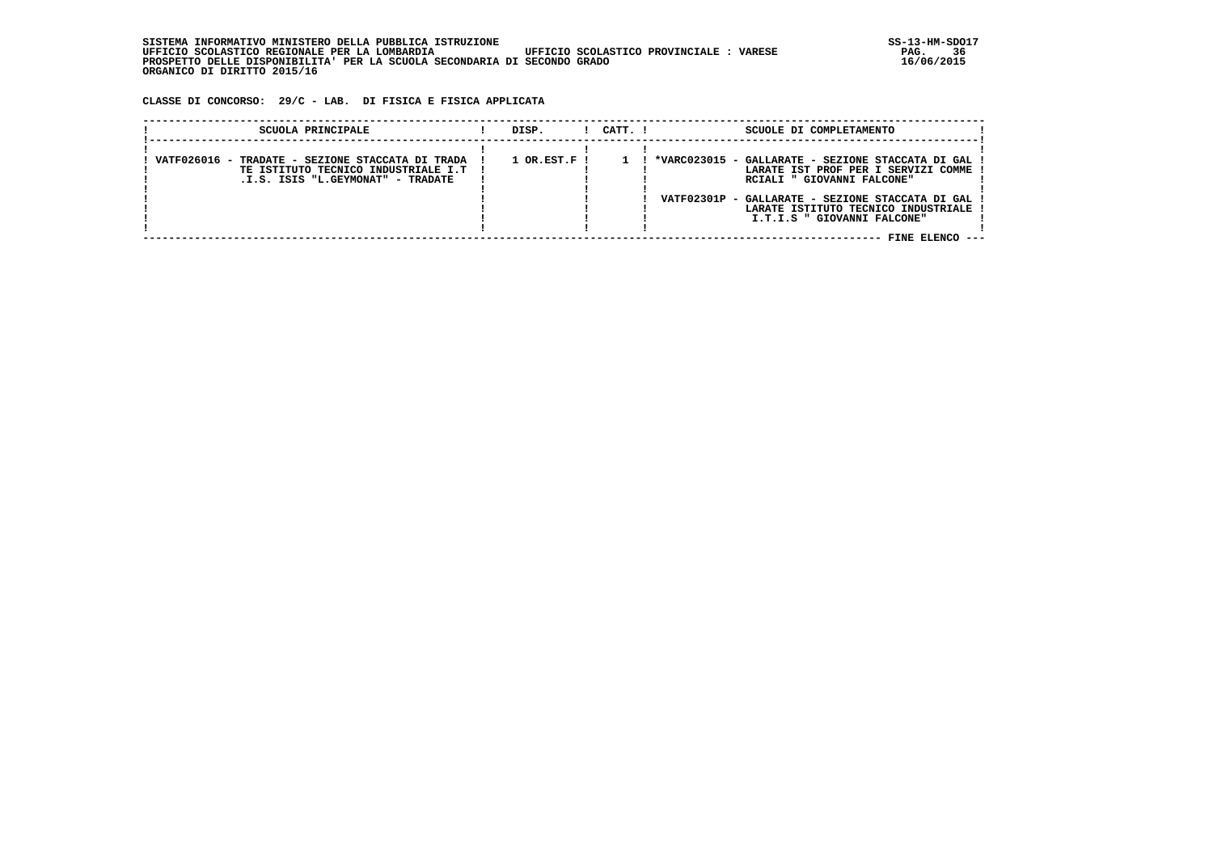**CLASSE DI CONCORSO: 29/C - LAB. DI FISICA E FISICA APPLICATA**

| SCUOLA PRINCIPALE                                                                                                              | DISP.                       | $1$ $CATT$ . $1$ | SCUOLE DI COMPLETAMENTO                                                                                                                                                                                                                          |
|--------------------------------------------------------------------------------------------------------------------------------|-----------------------------|------------------|--------------------------------------------------------------------------------------------------------------------------------------------------------------------------------------------------------------------------------------------------|
| VATF026016 - TRADATE - SEZIONE STACCATA DI TRADA<br>TE ISTITUTO TECNICO INDUSTRIALE I.T  <br>.I.S. ISIS "L.GEYMONAT" - TRADATE | $1$ OR.EST.F $\overline{1}$ |                  | *VARC023015 - GALLARATE - SEZIONE STACCATA DI GAL<br>LARATE IST PROF PER I SERVIZI COMME<br>RCIALI " GIOVANNI FALCONE"<br>VATF02301P - GALLARATE - SEZIONE STACCATA DI GAL<br>LARATE ISTITUTO TECNICO INDUSTRIALE<br>I.T.I.S " GIOVANNI FALCONE" |
|                                                                                                                                |                             |                  | FINE ELENCO                                                                                                                                                                                                                                      |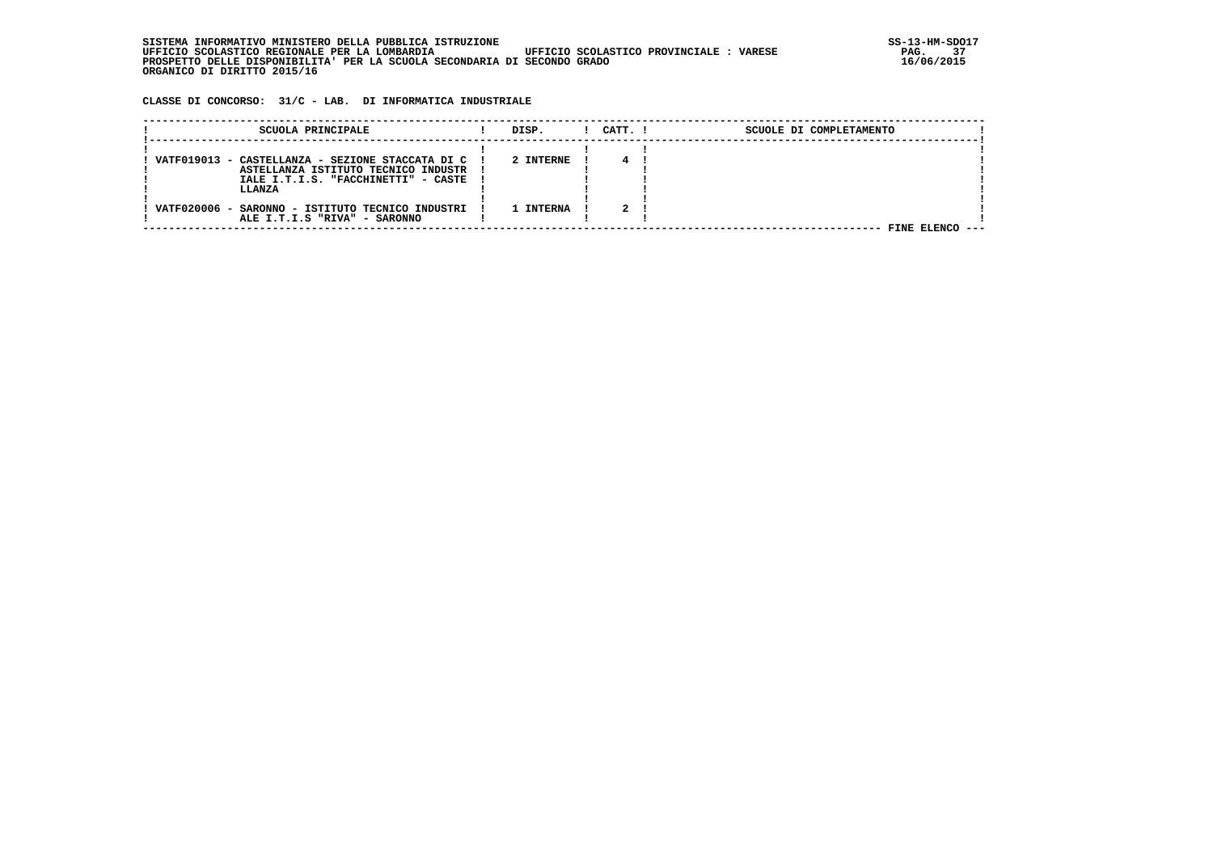| . INFORMATIVO MINISTERO DELLA PUBBLICA ISTRUZIONE<br>STSTEMA                                       | SS-13-HM-SDC |
|----------------------------------------------------------------------------------------------------|--------------|
| UFFICIO SCOLASTICO PROVINCIALE :<br>UFFICIO SCOLASTICO REGIONALE PER LA LOMBARDIA<br><b>VARESE</b> | 37<br>PAG.   |
| PROSPETTO DELLE DISPONIBILITA' PER LA SCUOLA SECONDARIA DI SECONDO GRADO                           | 16/06/2015   |
| ORGANICO DI DIRITTO 2015/16                                                                        |              |

 **CLASSE DI CONCORSO: 31/C - LAB. DI INFORMATICA INDUSTRIALE**

| SCUOLA PRINCIPALE                                  | DISP.     | CATT. I | SCUOLE DI COMPLETAMENTO |  |
|----------------------------------------------------|-----------|---------|-------------------------|--|
| VATF019013 - CASTELLANZA - SEZIONE STACCATA DI C ! | 2 INTERNE |         |                         |  |
| ASTELLANZA ISTITUTO TECNICO INDUSTR                |           |         |                         |  |
| IALE I.T.I.S. "FACCHINETTI" - CASTE<br>LLANZA      |           |         |                         |  |
| VATF020006 - SARONNO - ISTITUTO TECNICO INDUSTRI   | 1 INTERNA |         |                         |  |
| ALE I.T.I.S "RIVA" - SARONNO                       |           |         | FINE ELENCO             |  |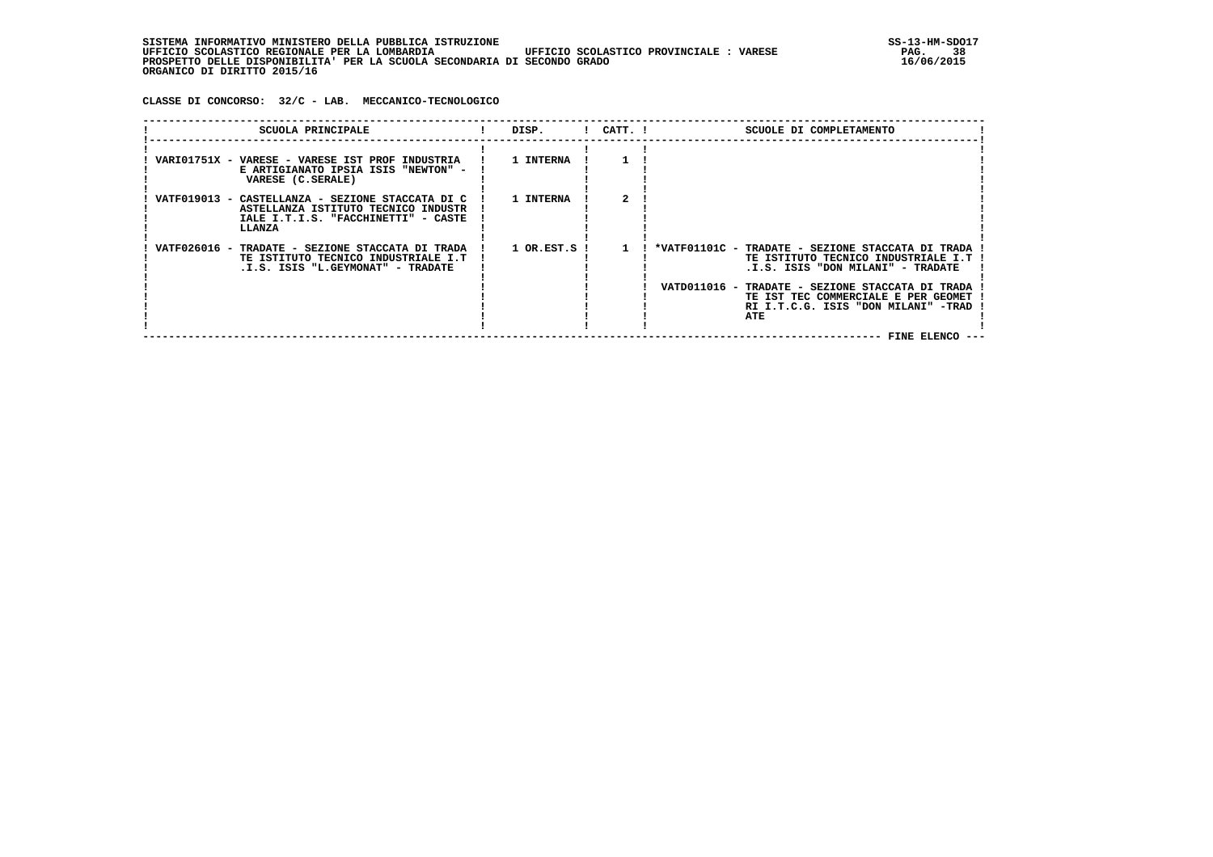**CLASSE DI CONCORSO: 32/C - LAB. MECCANICO-TECNOLOGICO**

| SCUOLA PRINCIPALE                                                                                                                        | DISP.        | $!$ $CATT$ . $!$ | SCUOLE DI COMPLETAMENTO                                                                                                                                                                                                                                                |
|------------------------------------------------------------------------------------------------------------------------------------------|--------------|------------------|------------------------------------------------------------------------------------------------------------------------------------------------------------------------------------------------------------------------------------------------------------------------|
| VARIO1751X - VARESE - VARESE IST PROF INDUSTRIA<br>E ARTIGIANATO IPSIA ISIS "NEWTON" -<br>VARESE (C.SERALE)                              | 1 INTERNA    |                  |                                                                                                                                                                                                                                                                        |
| VATF019013 - CASTELLANZA - SEZIONE STACCATA DI C<br>ASTELLANZA ISTITUTO TECNICO INDUSTR<br>IALE I.T.I.S. "FACCHINETTI" - CASTE<br>LLANZA | 1 INTERNA    |                  |                                                                                                                                                                                                                                                                        |
| VATF026016 - TRADATE - SEZIONE STACCATA DI TRADA<br>TE ISTITUTO TECNICO INDUSTRIALE I.T<br>.I.S. ISIS "L.GEYMONAT" - TRADATE             | 1 OR.EST.S ! |                  | *VATF01101C - TRADATE - SEZIONE STACCATA DI TRADA<br>TE ISTITUTO TECNICO INDUSTRIALE I.T<br>.I.S. ISIS "DON MILANI" - TRADATE<br>VATD011016 - TRADATE - SEZIONE STACCATA DI TRADA<br>TE IST TEC COMMERCIALE E PER GEOMET<br>RI I.T.C.G. ISIS "DON MILANI" -TRAD<br>ATE |
|                                                                                                                                          |              |                  | FINE ELENCO ---                                                                                                                                                                                                                                                        |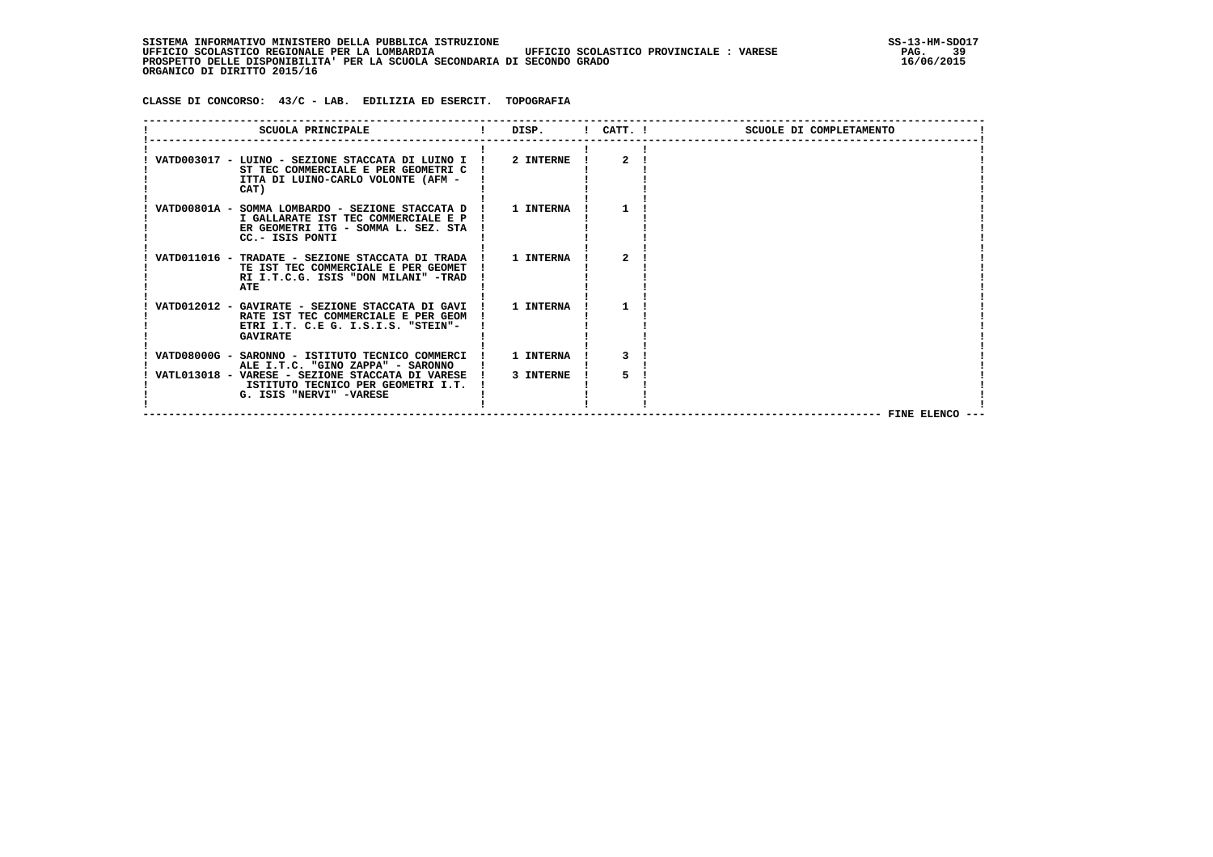SISTEMA INFORMATIVO MINISTERO DELLA PUBBLICA ISTRUZIONE<br>UFFICIO SCOLASTICO REGIONALE PER LA LOMBARDIA UFFICIO SCOLASTICO PROVINCIALE : VARESE **STAGA SOLASTICO REGIONALE UFFICIO SCOLASTICO REGIONALE PER LA LOMBARDIA UFFICIO SCOLASTICO PROVINCIALE : VARESE PAG. 39 PROSPETTO DELLE DISPONIBILITA' PER LA SCUOLA SECONDARIA DI SECONDO GRADO 16/06/2015 ORGANICO DI DIRITTO 2015/16**

 **CLASSE DI CONCORSO: 43/C - LAB. EDILIZIA ED ESERCIT. TOPOGRAFIA**

| SCUOLA PRINCIPALE                                                                                                                                   | DISP.            | ! CATT. !             | SCUOLE DI COMPLETAMENTO |
|-----------------------------------------------------------------------------------------------------------------------------------------------------|------------------|-----------------------|-------------------------|
| VATD003017 - LUINO - SEZIONE STACCATA DI LUINO I !<br>ST TEC COMMERCIALE E PER GEOMETRI C<br>ITTA DI LUINO-CARLO VOLONTE (AFM -<br>CAT)             | 2 INTERNE        | $\mathbf{2}^{\prime}$ |                         |
| VATD00801A - SOMMA LOMBARDO - SEZIONE STACCATA D !<br>I GALLARATE IST TEC COMMERCIALE E P<br>ER GEOMETRI ITG - SOMMA L. SEZ. STA<br>CC.- ISIS PONTI | 1 INTERNA        |                       |                         |
| VATD011016 - TRADATE - SEZIONE STACCATA DI TRADA<br>TE IST TEC COMMERCIALE E PER GEOMET<br>RI I.T.C.G. ISIS "DON MILANI" -TRAD<br>ATE               | <b>1 INTERNA</b> | 2                     |                         |
| VATD012012 - GAVIRATE - SEZIONE STACCATA DI GAVI !<br>RATE IST TEC COMMERCIALE E PER GEOM<br>ETRI I.T. C.E G. I.S.I.S. "STEIN"-<br><b>GAVIRATE</b>  | 1 INTERNA        |                       |                         |
| VATD08000G - SARONNO - ISTITUTO TECNICO COMMERCI<br>ALE I.T.C. "GINO ZAPPA" - SARONNO                                                               | 1 INTERNA        |                       |                         |
| VATL013018 - VARESE - SEZIONE STACCATA DI VARESE !<br>ISTITUTO TECNICO PER GEOMETRI I.T.<br>G. ISIS "NERVI" -VARESE                                 | 3 INTERNE        |                       |                         |
|                                                                                                                                                     |                  |                       | FINE ELENCO             |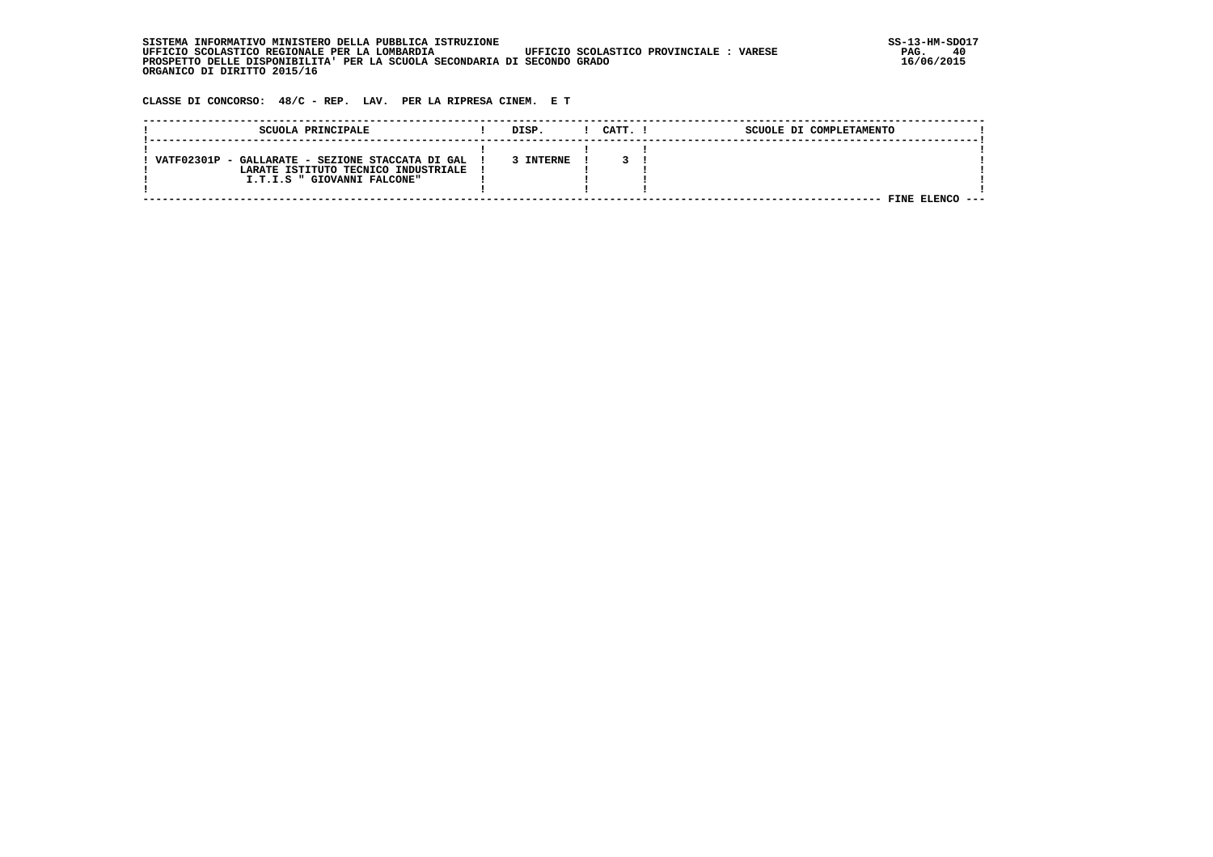| , INFORMATIVO MINISTERO DELLA PUBBLICA ISTRUZIONE<br>STSTEMA                                      | SS-13-HM-SDC |
|---------------------------------------------------------------------------------------------------|--------------|
| UFFICIO SCOLASTICO REGIONALE PER LA LOMBARDIA<br>UFFICIO SCOLASTICO PROVINCIALE:<br><b>VARESE</b> | 40<br>PAG.   |
| PROSPETTO DELLE DISPONIBILITA' PER LA SCUOLA SECONDARIA DI SECONDO GRADO                          | 16/06/2015   |
| ORGANICO DI DIRITTO 2015/16                                                                       |              |

 **CLASSE DI CONCORSO: 48/C - REP. LAV. PER LA RIPRESA CINEM. E T**

| SCUOLA PRINCIPALE                                | DISP.          | CATT. | SCUOLE DI COMPLETAMENTO |  |
|--------------------------------------------------|----------------|-------|-------------------------|--|
|                                                  |                |       |                         |  |
| VATF02301P - GALLARATE - SEZIONE STACCATA DI GAL | <b>INTERNE</b> |       |                         |  |
| LARATE ISTITUTO TECNICO INDUSTRIALE              |                |       |                         |  |
| I.T.I.S " GIOVANNI FALCONE"                      |                |       |                         |  |
|                                                  |                |       |                         |  |
|                                                  |                |       | FINE                    |  |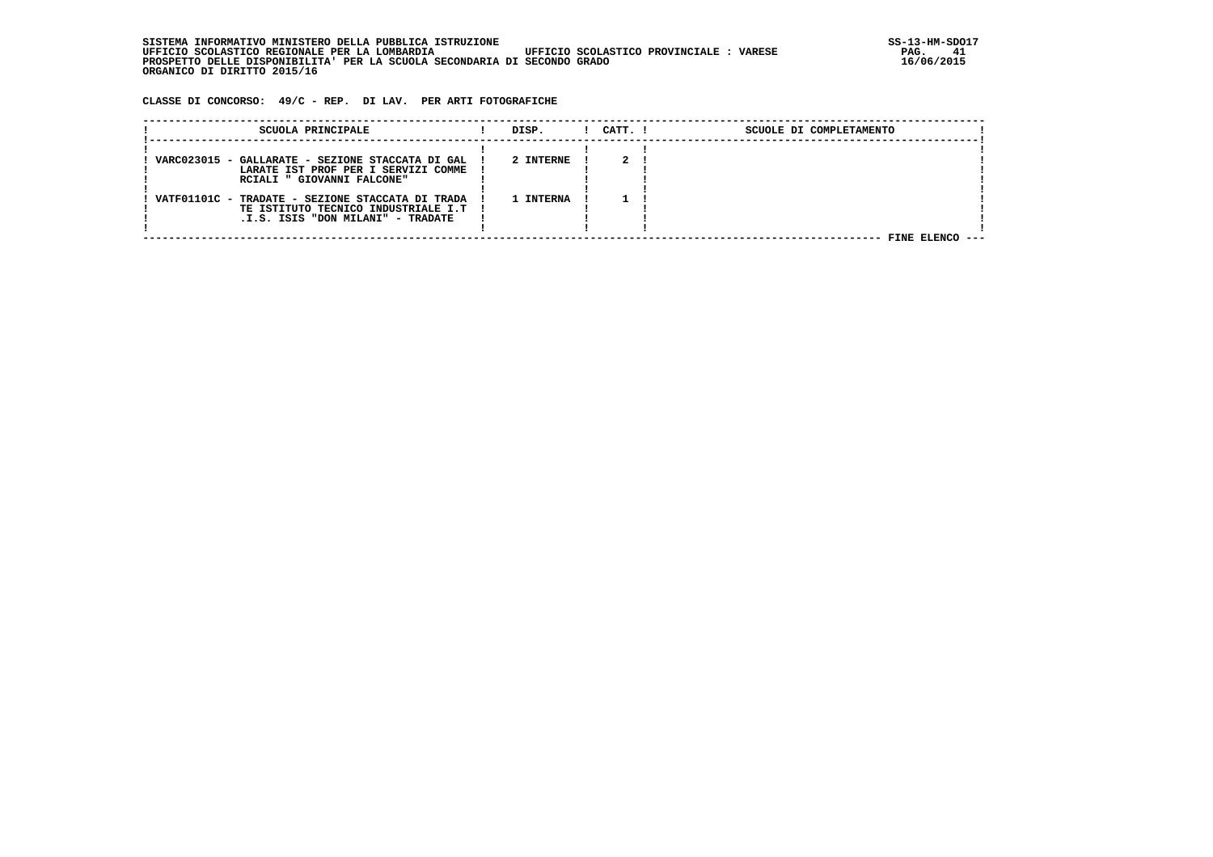| , INFORMATIVO MINISTERO DELLA PUBBLICA ISTRUZIONE<br>STSTEMA                                      | SS-13-HM-SDC |
|---------------------------------------------------------------------------------------------------|--------------|
| UFFICIO SCOLASTICO REGIONALE PER LA LOMBARDIA<br>UFFICIO SCOLASTICO PROVINCIALE:<br><b>VARESE</b> | PAG.         |
| PROSPETTO DELLE DISPONIBILITA' PER LA SCUOLA SECONDARIA DI SECONDO GRADO                          | 16/06/2015   |
| ORGANICO DI DIRITTO 2015/16                                                                       |              |

 **CLASSE DI CONCORSO: 49/C - REP. DI LAV. PER ARTI FOTOGRAFICHE**

| SCUOLA PRINCIPALE                                                                         | DISP.     | $1$ $CATT$ . $1$ | SCUOLE DI COMPLETAMENTO |
|-------------------------------------------------------------------------------------------|-----------|------------------|-------------------------|
|                                                                                           |           |                  |                         |
| VARC023015 - GALLARATE - SEZIONE STACCATA DI GAL !<br>LARATE IST PROF PER I SERVIZI COMME | 2 INTERNE |                  |                         |
| RCIALI " GIOVANNI FALCONE"                                                                |           |                  |                         |
| VATF01101C - TRADATE - SEZIONE STACCATA DI TRADA                                          | 1 TNTERNA |                  |                         |
| TE ISTITUTO TECNICO INDUSTRIALE I.T  <br>.I.S. ISIS "DON MILANI" - TRADATE                |           |                  |                         |
|                                                                                           |           |                  | FINE ELENCO ---         |
|                                                                                           |           |                  |                         |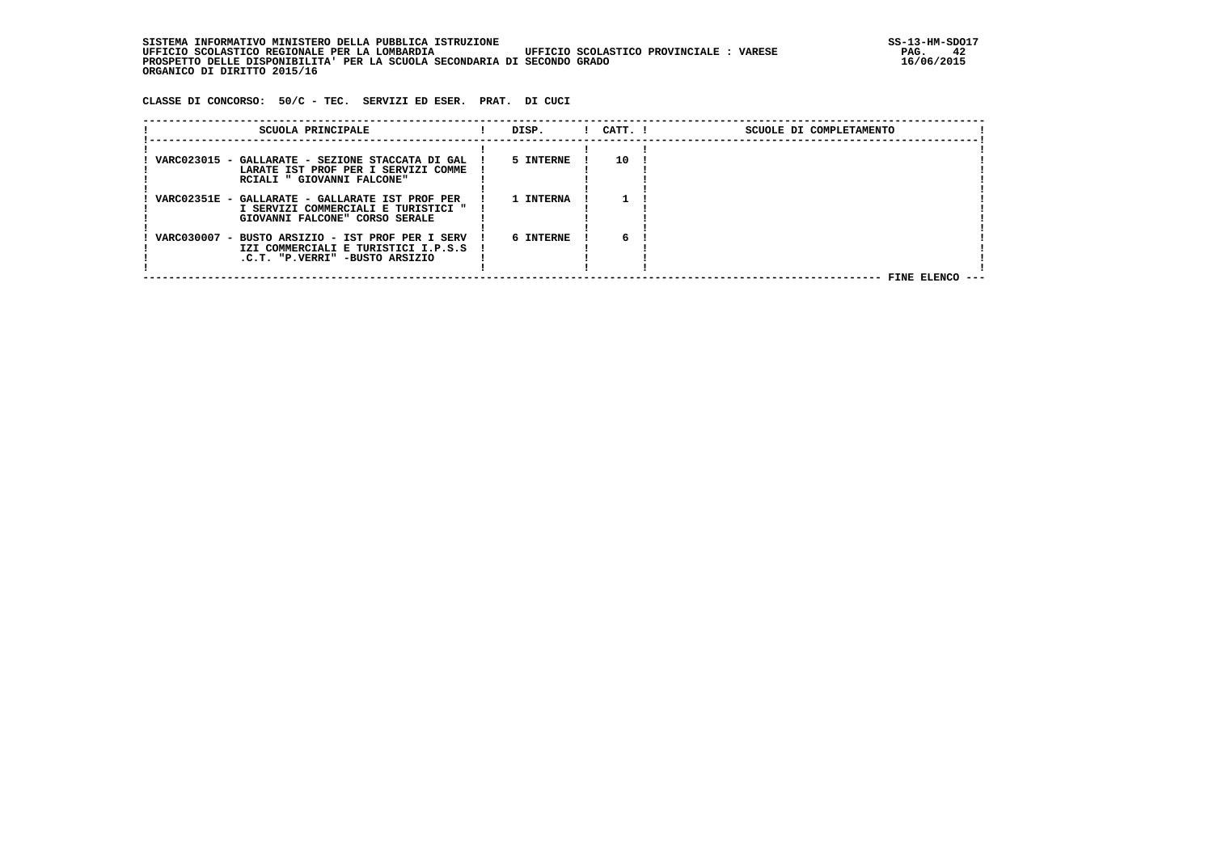SISTEMA INFORMATIVO MINISTERO DELLA PUBBLICA ISTRUZIONE<br>12 **JIFFICIO SCOLASTICO REGIONALE PER LA LOMBARDIA** UFFICIO SCOLASTICO PROVINCIALE : VARESE  **UFFICIO SCOLASTICO REGIONALE PER LA LOMBARDIA UFFICIO SCOLASTICO PROVINCIALE : VARESE PAG. 42 PROSPETTO DELLE DISPONIBILITA' PER LA SCUOLA SECONDARIA DI SECONDO GRADO 16/06/2015 ORGANICO DI DIRITTO 2015/16**

 **CLASSE DI CONCORSO: 50/C - TEC. SERVIZI ED ESER. PRAT. DI CUCI**

| SCUOLA PRINCIPALE                                                                                                         | DISP.     | $1$ $CATT$ . $1$ | SCUOLE DI COMPLETAMENTO |  |
|---------------------------------------------------------------------------------------------------------------------------|-----------|------------------|-------------------------|--|
| VARC023015 - GALLARATE - SEZIONE STACCATA DI GAL !<br>LARATE IST PROF PER I SERVIZI COMME<br>RCIALI " GIOVANNI FALCONE"   | 5 INTERNE | 10               |                         |  |
| VARC02351E - GALLARATE - GALLARATE IST PROF PER<br>I SERVIZI COMMERCIALI E TURISTICI "<br>GIOVANNI FALCONE" CORSO SERALE  | 1 INTERNA |                  |                         |  |
| VARC030007 - BUSTO ARSIZIO - IST PROF PER I SERV<br>IZI COMMERCIALI E TURISTICI I.P.S.S<br>.C.T. "P.VERRI" -BUSTO ARSIZIO | 6 INTERNE | 6                | FINE ELENCO             |  |